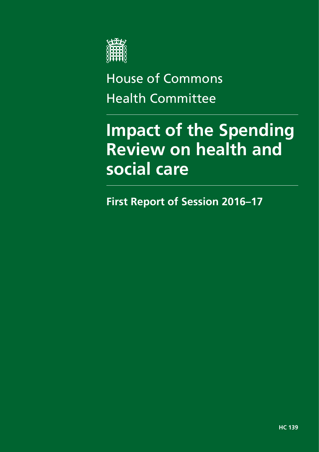

# House of Commons Health Committee

# **Impact of the Spending Review on health and social care**

**First Report of Session 2016–17**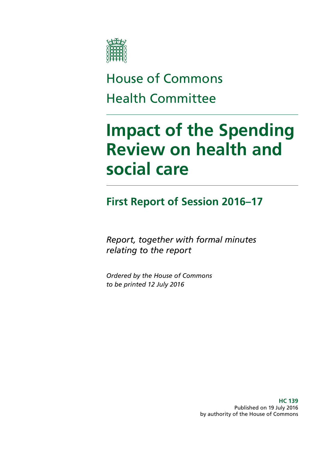

# House of Commons Health Committee

# **Impact of the Spending Review on health and social care**

# **First Report of Session 2016–17**

*Report, together with formal minutes relating to the report*

*Ordered by the House of Commons to be printed 12 July 2016*

> **HC 139** Published on 19 July 2016 by authority of the House of Commons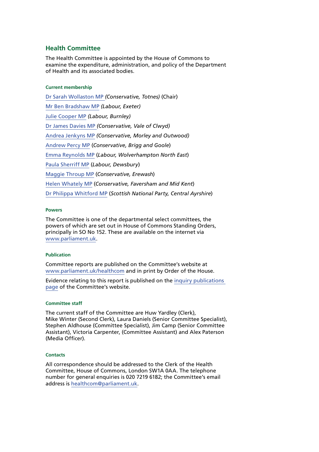### **Health Committee**

The Health Committee is appointed by the House of Commons to examine the expenditure, administration, and policy of the Department of Health and its associated bodies.

#### **Current membership**

[Dr Sarah Wollaston MP](http://www.parliament.uk/biographies/commons/dr-sarah-wollaston/4073) *(Conservative, Totnes)* (Chair) [Mr Ben Bradshaw MP](http://www.parliament.uk/biographies/commons/mr-ben-bradshaw/230) *(Labour, Exeter)* [Julie Cooper MP](http://www.parliament.uk/biographies/commons/julie-cooper/4405) *(Labour, Burnley)* [Dr James Davies MP](http://www.parliament.uk/biographies/commons/dr-james-davies/4476) *(Conservative, Vale of Clwyd)* [Andrea Jenkyns MP](http://www.parliament.uk/biographies/commons/andrea-jenkyns/4490) *(Conservative, Morley and Outwood)* [Andrew Percy MP](http://www.parliament.uk/biographies/commons/andrew-percy/3939) (*Conservative, Brigg and Goole*) [Emma Reynolds MP](http://www.parliament.uk/biographies/commons/emma-reynolds/4077) (*Labour, Wolverhampton North East*) [Paula Sherriff MP](http://www.parliament.uk/biographies/commons/paula-sherriff/4426) (*Labour, Dewsbury*) [Maggie Throup MP](http://www.parliament.uk/biographies/commons/maggie-throup/4447) (*Conservative, Erewash*) [Helen Whately MP](http://www.parliament.uk/biographies/commons/helen-whately/4527) (*Conservative, Faversham and Mid Kent*) [Dr Philippa Whitford MP](http://www.parliament.uk/biographies/commons/dr-philippa-whitford/4385) (*Scottish National Party, Central Ayrshire*)

#### **Powers**

The Committee is one of the departmental select committees, the powers of which are set out in House of Commons Standing Orders, principally in SO No 152. These are available on the internet via [www.parliament.uk](http://www.parliament.uk/).

#### **Publication**

Committee reports are published on the Committee's website at [www.parliament.uk/healthcom](http://www.parliament.uk/healthcom) and in print by Order of the House.

Evidence relating to this report is published on the [inquiry publications](http://www.parliament.uk/business/committees/committees-a-z/commons-select/health-committee/inquiries/parliament-2015/impact-comprehensive-spending-review-health-social-care-15-16/publications/)  [page](http://www.parliament.uk/business/committees/committees-a-z/commons-select/health-committee/inquiries/parliament-2015/impact-comprehensive-spending-review-health-social-care-15-16/publications/) of the Committee's website.

#### **Committee staff**

The current staff of the Committee are Huw Yardley (Clerk), Mike Winter (Second Clerk), Laura Daniels (Senior Committee Specialist), Stephen Aldhouse (Committee Specialist), Jim Camp (Senior Committee Assistant), Victoria Carpenter, (Committee Assistant) and Alex Paterson (Media Officer).

#### **Contacts**

All correspondence should be addressed to the Clerk of the Health Committee, House of Commons, London SW1A 0AA. The telephone number for general enquiries is 020 7219 6182; the Committee's email address is [healthcom@parliament.uk](mailto:healthcom@parliament.uk).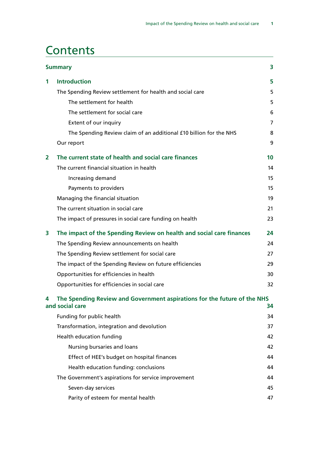# **Contents**

|   | <b>Summary</b>                                                                              | 3              |
|---|---------------------------------------------------------------------------------------------|----------------|
| 1 | <b>Introduction</b>                                                                         | 5              |
|   | The Spending Review settlement for health and social care                                   | 5              |
|   | The settlement for health                                                                   | 5              |
|   | The settlement for social care                                                              | 6              |
|   | Extent of our inquiry                                                                       | $\overline{7}$ |
|   | The Spending Review claim of an additional £10 billion for the NHS                          | 8              |
|   | Our report                                                                                  | 9              |
| 2 | The current state of health and social care finances                                        | 10             |
|   | The current financial situation in health                                                   | 14             |
|   | Increasing demand                                                                           | 15             |
|   | Payments to providers                                                                       | 15             |
|   | Managing the financial situation                                                            | 19             |
|   | The current situation in social care                                                        | 21             |
|   | The impact of pressures in social care funding on health                                    | 23             |
| 3 | The impact of the Spending Review on health and social care finances                        | 24             |
|   | The Spending Review announcements on health                                                 | 24             |
|   | The Spending Review settlement for social care                                              | 27             |
|   | The impact of the Spending Review on future efficiencies                                    | 29             |
|   | Opportunities for efficiencies in health                                                    | 30             |
|   | Opportunities for efficiencies in social care                                               | 32             |
| 4 | The Spending Review and Government aspirations for the future of the NHS<br>and social care | 34             |
|   | Funding for public health                                                                   | 34             |
|   | Transformation, integration and devolution                                                  | 37             |
|   | Health education funding                                                                    | 42             |
|   | Nursing bursaries and loans                                                                 | 42             |
|   | Effect of HEE's budget on hospital finances                                                 | 44             |
|   | Health education funding: conclusions                                                       | 44             |
|   | The Government's aspirations for service improvement                                        | 44             |
|   | Seven-day services                                                                          | 45             |
|   | Parity of esteem for mental health                                                          | 47             |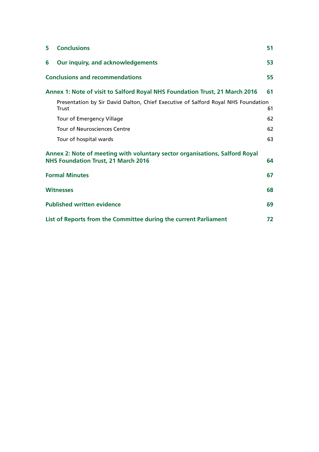| 5 | <b>Conclusions</b>                                                                                                        | 51 |
|---|---------------------------------------------------------------------------------------------------------------------------|----|
| 6 | Our inquiry, and acknowledgements                                                                                         | 53 |
|   | <b>Conclusions and recommendations</b>                                                                                    | 55 |
|   | Annex 1: Note of visit to Salford Royal NHS Foundation Trust, 21 March 2016                                               | 61 |
|   | Presentation by Sir David Dalton, Chief Executive of Salford Royal NHS Foundation<br>Trust                                | 61 |
|   | Tour of Emergency Village                                                                                                 | 62 |
|   | <b>Tour of Neurosciences Centre</b>                                                                                       | 62 |
|   | Tour of hospital wards                                                                                                    | 63 |
|   | Annex 2: Note of meeting with voluntary sector organisations, Salford Royal<br><b>NHS Foundation Trust, 21 March 2016</b> | 64 |
|   | <b>Formal Minutes</b>                                                                                                     | 67 |
|   | <b>Witnesses</b>                                                                                                          | 68 |
|   | <b>Published written evidence</b>                                                                                         | 69 |
|   | List of Reports from the Committee during the current Parliament                                                          | 72 |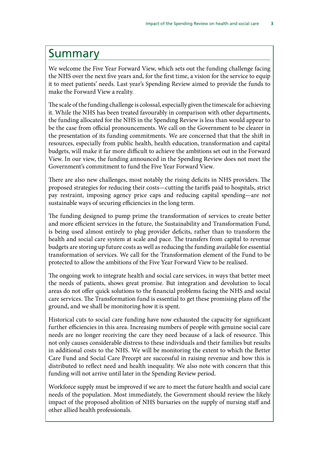# <span id="page-6-0"></span>Summary

We welcome the Five Year Forward View, which sets out the funding challenge facing the NHS over the next five years and, for the first time, a vision for the service to equip it to meet patients' needs. Last year's Spending Review aimed to provide the funds to make the Forward View a reality.

The scale of the funding challenge is colossal, especially given the timescale for achieving it. While the NHS has been treated favourably in comparison with other departments, the funding allocated for the NHS in the Spending Review is less than would appear to be the case from official pronouncements. We call on the Government to be clearer in the presentation of its funding commitments. We are concerned that that the shift in resources, especially from public health, health education, transformation and capital budgets, will make it far more difficult to achieve the ambitions set out in the Forward View. In our view, the funding announced in the Spending Review does not meet the Government's commitment to fund the Five Year Forward View.

There are also new challenges, most notably the rising deficits in NHS providers. The proposed strategies for reducing their costs—cutting the tariffs paid to hospitals, strict pay restraint, imposing agency price caps and reducing capital spending—are not sustainable ways of securing efficiencies in the long term.

The funding designed to pump prime the transformation of services to create better and more efficient services in the future, the Sustainability and Transformation Fund, is being used almost entirely to plug provider deficits, rather than to transform the health and social care system at scale and pace. The transfers from capital to revenue budgets are storing up future costs as well as reducing the funding available for essential transformation of services. We call for the Transformation element of the Fund to be protected to allow the ambitions of the Five Year Forward View to be realised.

The ongoing work to integrate health and social care services, in ways that better meet the needs of patients, shows great promise. But integration and devolution to local areas do not offer quick solutions to the financial problems facing the NHS and social care services. The Transformation fund is essential to get these promising plans off the ground, and we shall be monitoring how it is spent.

Historical cuts to social care funding have now exhausted the capacity for significant further efficiencies in this area. Increasing numbers of people with genuine social care needs are no longer receiving the care they need because of a lack of resource. This not only causes considerable distress to these individuals and their families but results in additional costs to the NHS. We will be monitoring the extent to which the Better Care Fund and Social Care Precept are successful in raising revenue and how this is distributed to reflect need and health inequality. We also note with concern that this funding will not arrive until later in the Spending Review period.

Workforce supply must be improved if we are to meet the future health and social care needs of the population. Most immediately, the Government should review the likely impact of the proposed abolition of NHS bursaries on the supply of nursing staff and other allied health professionals.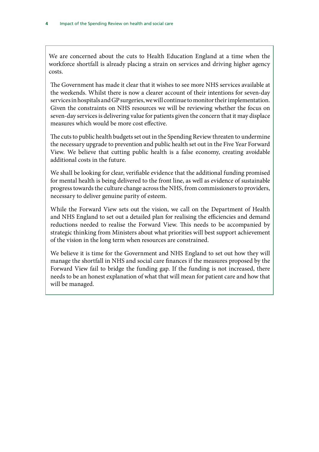We are concerned about the cuts to Health Education England at a time when the workforce shortfall is already placing a strain on services and driving higher agency costs.

The Government has made it clear that it wishes to see more NHS services available at the weekends. Whilst there is now a clearer account of their intentions for seven-day services in hospitals and GP surgeries, we will continue to monitor their implementation. Given the constraints on NHS resources we will be reviewing whether the focus on seven-day services is delivering value for patients given the concern that it may displace measures which would be more cost effective.

The cuts to public health budgets set out in the Spending Review threaten to undermine the necessary upgrade to prevention and public health set out in the Five Year Forward View. We believe that cutting public health is a false economy, creating avoidable additional costs in the future.

We shall be looking for clear, verifiable evidence that the additional funding promised for mental health is being delivered to the front line, as well as evidence of sustainable progress towards the culture change across the NHS, from commissioners to providers, necessary to deliver genuine parity of esteem.

While the Forward View sets out the vision, we call on the Department of Health and NHS England to set out a detailed plan for realising the efficiencies and demand reductions needed to realise the Forward View. This needs to be accompanied by strategic thinking from Ministers about what priorities will best support achievement of the vision in the long term when resources are constrained.

We believe it is time for the Government and NHS England to set out how they will manage the shortfall in NHS and social care finances if the measures proposed by the Forward View fail to bridge the funding gap. If the funding is not increased, there needs to be an honest explanation of what that will mean for patient care and how that will be managed.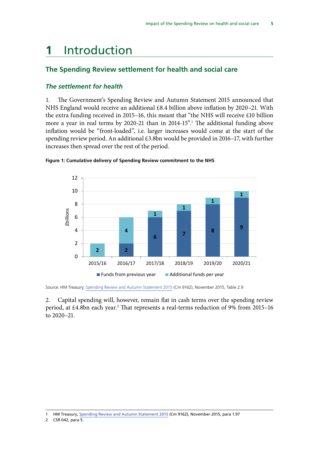# <span id="page-8-0"></span>**1** Introduction

# **The Spending Review settlement for health and social care**

## *The settlement for health*

1. The Government's Spending Review and Autumn Statement 2015 announced that NHS England would receive an additional £8.4 billion above inflation by 2020–21. With the extra funding received in 2015–16, this meant that "the NHS will receive £10 billion more a year in real terms by 2020-21 than in 2014-15".<sup>1</sup> The additional funding above inflation would be "front-loaded", i.e. larger increases would come at the start of the spending review period. An additional £3.8bn would be provided in 2016–17, with further increases then spread over the rest of the period.



#### **Figure 1: Cumulative delivery of Spending Review commitment to the NHS**

2. Capital spending will, however, remain flat in cash terms over the spending review period, at £4.8bn each year.<sup>2</sup> That represents a real-terms reduction of 9% from 2015–16 to 2020–21.

Source: HM Treasury, [Spending Review and Autumn Statement 2015](https://www.gov.uk/government/uploads/system/uploads/attachment_data/file/479749/52229_Blue_Book_PU1865_Web_Accessible.pdf) (Cm 9162), November 2015, Table 2.9

<sup>1</sup> HM Treasury, [Spending Review and Autumn Statement 2015](https://www.gov.uk/government/uploads/system/uploads/attachment_data/file/479749/52229_Blue_Book_PU1865_Web_Accessible.pdf) (Cm 9162), November 2015, para 1.97

<sup>2</sup> CSR 042, para 5.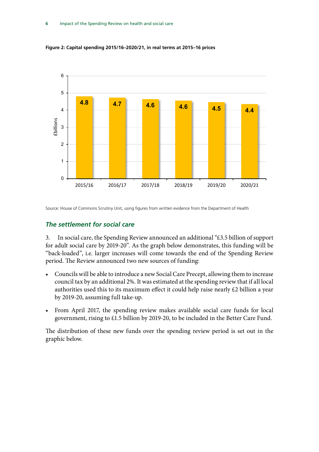

<span id="page-9-0"></span>**Figure 2: Capital spending 2015/16–2020/21, in real terms at 2015–16 prices**

Source: House of Commons Scrutiny Unit, using figures from written evidence from the Department of Health

#### *The settlement for social care*

3. In social care, the Spending Review announced an additional "£3.5 billion of support for adult social care by 2019-20". As the graph below demonstrates, this funding will be "back-loaded", i.e. larger increases will come towards the end of the Spending Review period. The Review announced two new sources of funding:

- Councils will be able to introduce a new Social Care Precept, allowing them to increase council tax by an additional 2%. It was estimated at the spending review that if all local authorities used this to its maximum effect it could help raise nearly £2 billion a year by 2019-20, assuming full take-up.
- From April 2017, the spending review makes available social care funds for local government, rising to £1.5 billion by 2019-20, to be included in the Better Care Fund.

The distribution of these new funds over the spending review period is set out in the graphic below.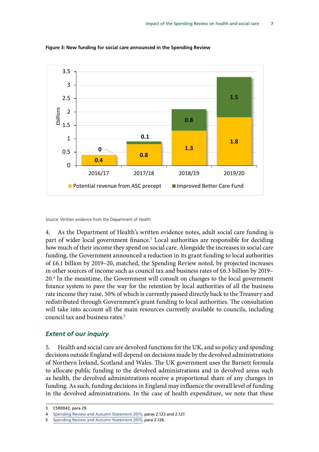

<span id="page-10-0"></span>**Figure 3: New funding for social care announced in the Spending Review**

Source: Written evidence from the Department of Health

4. As the Department of Health's written evidence notes, adult social care funding is part of wider local government finance.<sup>3</sup> Local authorities are responsible for deciding how much of their income they spend on social care. Alongside the increases in social care funding, the Government announced a reduction in its grant funding to local authorities of £6.1 billion by 2019–20, matched, the Spending Review noted, by projected increases in other sources of income such as council tax and business rates of £6.3 billion by 2019– 20.4 In the meantime, the Government will consult on changes to the local government finance system to pave the way for the retention by local authorities of all the business rate income they raise, 50% of which is currently passed directly back to the Treasury and redistributed through Government's grant funding to local authorities. The consultation will take into account all the main resources currently available to councils, including council tax and business rates.<sup>5</sup>

### *Extent of our inquiry*

5. Health and social care are devolved functions for the UK, and so policy and spending decisions outside England will depend on decisions made by the devolved administrations of Northern Ireland, Scotland and Wales. The UK government uses the Barnett formula to allocate public funding to the devolved administrations and in devolved areas such as health, the devolved administrations receive a proportional share of any changes in funding. As such, funding decisions in England may influence the overall level of funding in the devolved administrations. In the case of health expenditure, we note that these

<sup>3</sup> CSR0042, para 29.

<sup>4</sup> [Spending Review and Autumn Statement 2015](https://www.gov.uk/government/uploads/system/uploads/attachment_data/file/479749/52229_Blue_Book_PU1865_Web_Accessible.pdf), paras 2.123 and 2.127.

<sup>5</sup> [Spending Review and Autumn Statement 2015](https://www.gov.uk/government/uploads/system/uploads/attachment_data/file/479749/52229_Blue_Book_PU1865_Web_Accessible.pdf), para 2.126.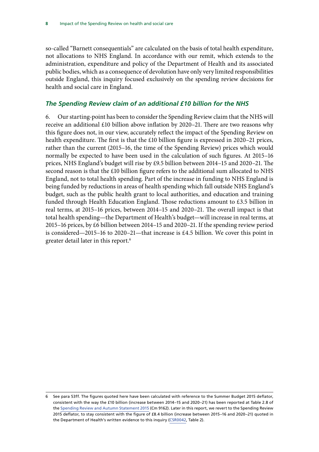<span id="page-11-0"></span>so-called "Barnett consequentials" are calculated on the basis of total health expenditure, not allocations to NHS England. In accordance with our remit, which extends to the administration, expenditure and policy of the Department of Health and its associated public bodies, which as a consequence of devolution have only very limited responsibilities outside England, this inquiry focused exclusively on the spending review decisions for health and social care in England.

#### *The Spending Review claim of an additional £10 billion for the NHS*

<span id="page-11-1"></span>6. Our starting-point has been to consider the Spending Review claim that the NHS will receive an additional £10 billion above inflation by 2020–21. There are two reasons why this figure does not, in our view, accurately reflect the impact of the Spending Review on health expenditure. The first is that the £10 billion figure is expressed in 2020–21 prices, rather than the current (2015–16, the time of the Spending Review) prices which would normally be expected to have been used in the calculation of such figures. At 2015–16 prices, NHS England's budget will rise by £9.5 billion between 2014–15 and 2020–21. The second reason is that the £10 billion figure refers to the additional sum allocated to NHS England, not to total health spending. Part of the increase in funding to NHS England is being funded by reductions in areas of health spending which fall outside NHS England's budget, such as the public health grant to local authorities, and education and training funded through Health Education England. Those reductions amount to £3.5 billion in real terms, at 2015–16 prices, between 2014–15 and 2020–21. The overall impact is that total health spending—the Department of Health's budget—will increase in real terms, at 2015–16 prices, by £6 billion between 2014–15 and 2020–21. If the spending review period is considered—2015–16 to 2020–21—that increase is £4.5 billion. We cover this point in greater detail later in this report.6

<sup>6</sup> See para [53](#page-28-0)ff. The figures quoted here have been calculated with reference to the Summer Budget 2015 deflator, consistent with the way the £10 billion (increase between 2014–15 and 2020–21) has been reported at Table 2.8 of the [Spending Review and Autumn Statement 2015](https://www.gov.uk/government/uploads/system/uploads/attachment_data/file/479749/52229_Blue_Book_PU1865_Web_Accessible.pdf) (Cm 9162). Later in this report, we revert to the Spending Review 2015 deflator, to stay consistent with the figure of £8.4 billion (increase between 2015–16 and 2020–21) quoted in the Department of Health's written evidence to this inquiry ([CSR0042](http://data.parliament.uk/writtenevidence/committeeevidence.svc/evidencedocument/health-committee/impact-of-the-comprehensive-spending-review-on-health-and-social-care/written/27323.html), Table 2).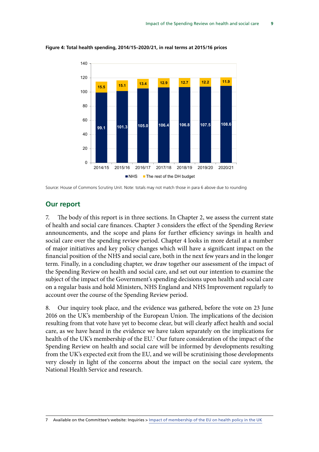

<span id="page-12-0"></span>**Figure 4: Total health spending, 2014/15–2020/21, in real terms at 2015/16 prices**

### **Our report**

7. The body of this report is in three sections. In Chapter 2, we assess the current state of health and social care finances. Chapter 3 considers the effect of the Spending Review announcements, and the scope and plans for further efficiency savings in health and social care over the spending review period. Chapter 4 looks in more detail at a number of major initiatives and key policy changes which will have a significant impact on the financial position of the NHS and social care, both in the next few years and in the longer term. Finally, in a concluding chapter, we draw together our assessment of the impact of the Spending Review on health and social care, and set out our intention to examine the subject of the impact of the Government's spending decisions upon health and social care on a regular basis and hold Ministers, NHS England and NHS Improvement regularly to account over the course of the Spending Review period.

8. Our inquiry took place, and the evidence was gathered, before the vote on 23 June 2016 on the UK's membership of the European Union. The implications of the decision resulting from that vote have yet to become clear, but will clearly affect health and social care, as we have heard in the evidence we have taken separately on the implications for health of the UK's membership of the EU.7 Our future consideration of the impact of the Spending Review on health and social care will be informed by developments resulting from the UK's expected exit from the EU, and we will be scrutinising those developments very closely in light of the concerns about the impact on the social care system, the National Health Service and research.

Source: House of Commons Scrutiny Unit. Note: totals may not match those in para 6 above due to rounding

Available on the Committee's website: Inquiries > [Impact of membership of the EU on health policy in the UK](http://www.parliament.uk/business/committees/committees-a-z/commons-select/health-committee/inquiries/parliament-2015/inquiry2/)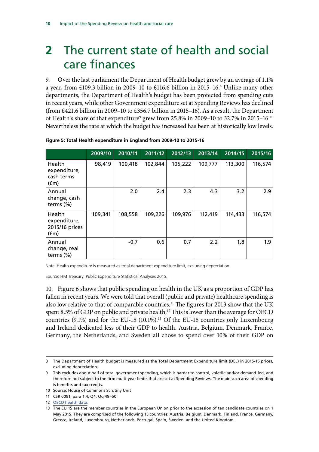# <span id="page-13-0"></span>**2** The current state of health and social care finances

9. Over the last parliament the Department of Health budget grew by an average of 1.1% a year, from £109.3 billion in 2009–10 to £116.6 billion in 2015–16.<sup>8</sup> Unlike many other departments, the Department of Health's budget has been protected from spending cuts in recent years, while other Government expenditure set at Spending Reviews has declined (from £421.6 billion in 2009–10 to £356.7 billion in 2015–16). As a result, the Department of Health's share of that expenditure $^9$  grew from 25.8% in 2009–10 to 32.7% in 2015–16. $^{\rm 10}$ Nevertheless the rate at which the budget has increased has been at historically low levels.

|                                                  | 2009/10 | 2010/11 | 2011/12 | 2012/13 | 2013/14 | 2014/15 | 2015/16 |
|--------------------------------------------------|---------|---------|---------|---------|---------|---------|---------|
| Health<br>expenditure,<br>cash terms<br>(fm)     | 98,419  | 100,418 | 102,844 | 105,222 | 109,777 | 113,300 | 116,574 |
| Annual<br>change, cash<br>terms $(\%)$           |         | 2.0     | 2.4     | 2.3     | 4.3     | 3.2     | 2.9     |
| Health<br>expenditure,<br>2015/16 prices<br>(fm) | 109,341 | 108,558 | 109,226 | 109,976 | 112,419 | 114,433 | 116,574 |
| Annual<br>change, real<br>terms $(\%)$           |         | $-0.7$  | 0.6     | 0.7     | 2.2     | 1.8     | 1.9     |

**Figure 5: Total Health expenditure in England from 2009-10 to 2015-16**

Note: Health expenditure is measured as total department expenditure limit, excluding depreciation

Source: HM Treasury. Public Expenditure Statistical Analyses 2015.

10. Figure 6 shows that public spending on health in the UK as a proportion of GDP has fallen in recent years. We were told that overall (public and private) healthcare spending is also low relative to that of comparable countries.<sup>11</sup> The figures for 2013 show that the UK spent 8.5% of GDP on public and private health.<sup>12</sup> This is lower than the average for OECD countries  $(9.1\%)$  and for the EU-15  $(10.1\%)$ .<sup>13</sup> Of the EU-15 countries only Luxembourg and Ireland dedicated less of their GDP to health. Austria, Belgium, Denmark, France, Germany, the Netherlands, and Sweden all chose to spend over 10% of their GDP on

<sup>8</sup> The Department of Health budget is measured as the Total Department Expenditure limit (DEL) in 2015-16 prices, excluding depreciation.

<sup>9</sup> This excludes about half of total government spending, which is harder to control, volatile and/or demand-led, and therefore not subject to the firm multi-year limits that are set at Spending Reviews. The main such area of spending is benefits and tax credits.

<sup>10</sup> Source: House of Commons Scrutiny Unit

<sup>11</sup> CSR 0091, para 1.4; Q4; Qq 49–50.

<sup>12</sup> [OECD health data](http://stats.oecd.org/index.aspx?DataSetCode=HEALTH_STAT).

<sup>13</sup> The EU 15 are the member countries in the European Union prior to the accession of ten candidate countries on 1 May 2015. They are comprised of the following 15 countries: Austria, Belgium, Denmark, Finland, France, Germany, Greece, Ireland, Luxembourg, Netherlands, Portugal, Spain, Sweden, and the United Kingdom.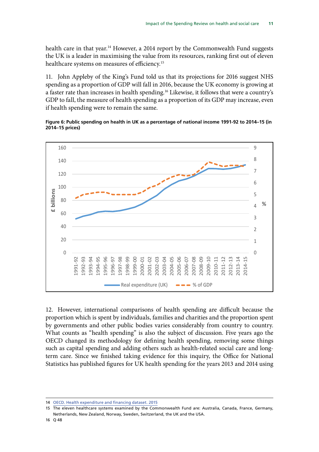health care in that year.<sup>14</sup> However, a 2014 report by the Commonwealth Fund suggests the UK is a leader in maximising the value from its resources, ranking first out of eleven healthcare systems on measures of efficiency.<sup>15</sup>

11. John Appleby of the King's Fund told us that its projections for 2016 suggest NHS spending as a proportion of GDP will fall in 2016, because the UK economy is growing at a faster rate than increases in health spending.<sup>16</sup> Likewise, it follows that were a country's GDP to fall, the measure of health spending as a proportion of its GDP may increase, even if health spending were to remain the same.

**Figure 6: Public spending on health in UK as a percentage of national income 1991-92 to 2014–15 (in 2014–15 prices)**



12. However, international comparisons of health spending are difficult because the proportion which is spent by individuals, families and charities and the proportion spent by governments and other public bodies varies considerably from country to country. What counts as "health spending" is also the subject of discussion. Five years ago the OECD changed its methodology for defining health spending, removing some things such as capital spending and adding others such as health-related social care and longterm care. Since we finished taking evidence for this inquiry, the Office for National Statistics has published figures for UK health spending for the years 2013 and 2014 using

<sup>14</sup> [OECD. Health expenditure and financing dataset. 2015](http://stats.oecd.org/index.aspx?DataSetCode=HEALTH_STAT)

<sup>15</sup> The eleven healthcare systems examined by the Commonwealth Fund are: Australia, Canada, France, Germany, Netherlands, New Zealand, Norway, Sweden, Switzerland, the UK and the USA.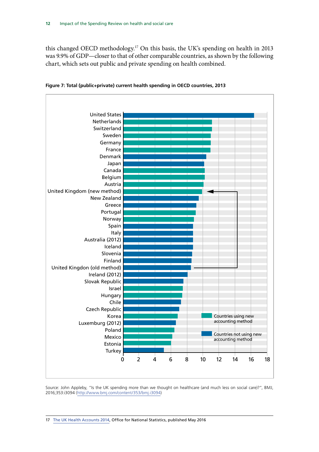this changed OECD methodology.17 On this basis, the UK's spending on health in 2013 was 9.9% of GDP—closer to that of other comparable countries, as shown by the following chart, which sets out public and private spending on health combined.



**Figure 7: Total (public+private) current health spending in OECD countries, 2013**

Source: John Appleby, "Is the UK spending more than we thought on healthcare (and much less on social care)?", BMJ, 2016;353:i3094 (http://www.bmj.com/content/353/bmj.i3094)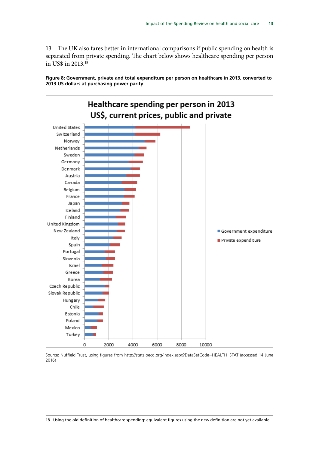13. The UK also fares better in international comparisons if public spending on health is separated from private spending. The chart below shows healthcare spending per person in US\$ in 2013.18

**Figure 8: Government, private and total expenditure per person on healthcare in 2013, converted to 2013 US dollars at purchasing power parity**



Source: Nuffield Trust, using figures from http://stats.oecd.org/index.aspx?DataSetCode=HEALTH\_STAT (accessed 14 June 2016)

18 Using the old definition of healthcare spending: equivalent figures using the new definition are not yet available.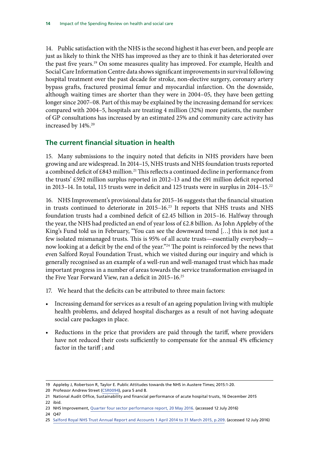<span id="page-17-0"></span>14. Public satisfaction with the NHS is the second highest it has ever been, and people are just as likely to think the NHS has improved as they are to think it has deteriorated over the past five years.19 On some measures quality has improved. For example, Health and Social Care Information Centre data shows significant improvements in survival following hospital treatment over the past decade for stroke, non-elective surgery, coronary artery bypass grafts, fractured proximal femur and myocardial infarction. On the downside, although waiting times are shorter than they were in 2004–05, they have been getting longer since 2007–08. Part of this may be explained by the increasing demand for services: compared with 2004–5, hospitals are treating 4 million (32%) more patients, the number of GP consultations has increased by an estimated 25% and community care activity has increased by 14%.<sup>20</sup>

# **The current financial situation in health**

15. Many submissions to the inquiry noted that deficits in NHS providers have been growing and are widespread. In 2014–15, NHS trusts and NHS foundation trusts reported a combined deficit of £843 million.<sup>21</sup> This reflects a continued decline in performance from the trusts' £592 million surplus reported in 2012–13 and the £91 million deficit reported in 2013–14. In total, 115 trusts were in deficit and 125 trusts were in surplus in 2014–15.<sup>22</sup>

16. NHS Improvement's provisional data for 2015–16 suggests that the financial situation in trusts continued to deteriorate in 2015–16.23 It reports that NHS trusts and NHS foundation trusts had a combined deficit of £2.45 billion in 2015–16. Halfway through the year, the NHS had predicted an end of year loss of £2.8 billion. As John Appleby of the King's Fund told us in February, "You can see the downward trend […] this is not just a few isolated mismanaged trusts. This is 95% of all acute trusts—essentially everybody now looking at a deficit by the end of the year."24 The point is reinforced by the news that even Salford Royal Foundation Trust, which we visited during our inquiry and which is generally recognised as an example of a well-run and well-managed trust which has made important progress in a number of areas towards the service transformation envisaged in the Five Year Forward View, ran a deficit in 2015–16.25

- 17. We heard that the deficits can be attributed to three main factors:
- Increasing demand for services as a result of an ageing population living with multiple health problems, and delayed hospital discharges as a result of not having adequate social care packages in place.
- Reductions in the price that providers are paid through the tariff, where providers have not reduced their costs sufficiently to compensate for the annual 4% efficiency factor in the tariff ; and

<sup>19</sup> Appleby J, Robertson R, Taylor E. Public Attitudes towards the NHS in Austere Times; 2015:1-20.

<sup>20</sup> Professor Andrew Street ([CSR0094\)](http://data.parliament.uk/writtenevidence/committeeevidence.svc/evidencedocument/health-committee/impact-of-the-comprehensive-spending-review-on-health-and-social-care/written/29068.html), para 5 and 8.

<sup>21</sup> National Audit Office, Sustainability and financial performance of acute hospital trusts, 16 December 2015 22 ibid.

<sup>23</sup> NHS Improvement, [Quarter four sector performance report, 20 May 2016.](https://improvement.nhs.uk/news-alerts/nhs-providers-working-hard-still-under-pressure/) (accessed 12 July 2016)

<sup>24</sup> Q47

<sup>25</sup> [Salford Royal NHS Trust Annual Report and Accounts 1 April 2014 to 31 March 2015, p.209](http://www.srft.nhs.uk/media-centre/publications/annual-reports-and-reviews/). (accessed 12 July 2016)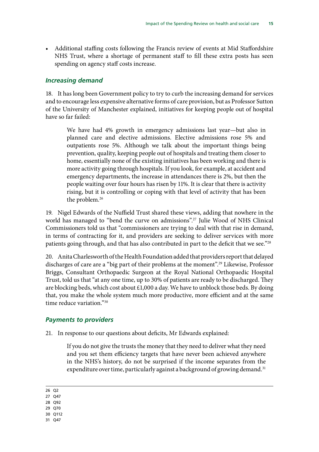<span id="page-18-0"></span>• Additional staffing costs following the Francis review of events at Mid Staffordshire NHS Trust, where a shortage of permanent staff to fill these extra posts has seen spending on agency staff costs increase.

#### *Increasing demand*

18. It has long been Government policy to try to curb the increasing demand for services and to encourage less expensive alternative forms of care provision, but as Professor Sutton of the University of Manchester explained, initiatives for keeping people out of hospital have so far failed:

We have had 4% growth in emergency admissions last year—but also in planned care and elective admissions. Elective admissions rose 5% and outpatients rose 5%. Although we talk about the important things being prevention, quality, keeping people out of hospitals and treating them closer to home, essentially none of the existing initiatives has been working and there is more activity going through hospitals. If you look, for example, at accident and emergency departments, the increase in attendances there is 2%, but then the people waiting over four hours has risen by 11%. It is clear that there is activity rising, but it is controlling or coping with that level of activity that has been the problem.<sup>26</sup>

19. Nigel Edwards of the Nuffield Trust shared these views, adding that nowhere in the world has managed to "bend the curve on admissions".<sup>27</sup> Julie Wood of NHS Clinical Commissioners told us that "commissioners are trying to deal with that rise in demand, in terms of contracting for it, and providers are seeking to deliver services with more patients going through, and that has also contributed in part to the deficit that we see."28

20. Anita Charlesworth of the Health Foundation added that providers report that delayed discharges of care are a "big part of their problems at the moment".29 Likewise, Professor Briggs, Consultant Orthopaedic Surgeon at the Royal National Orthopaedic Hospital Trust, told us that "at any one time, up to 30% of patients are ready to be discharged. They are blocking beds, which cost about  $£1,000$  a day. We have to unblock those beds. By doing that, you make the whole system much more productive, more efficient and at the same time reduce variation."30

#### *Payments to providers*

21. In response to our questions about deficits, Mr Edwards explained:

If you do not give the trusts the money that they need to deliver what they need and you set them efficiency targets that have never been achieved anywhere in the NHS's history, do not be surprised if the income separates from the expenditure over time, particularly against a background of growing demand.<sup>31</sup>

26 Q2

- 27 Q47
- 28 Q92
- 29 Q70
- 30 Q112
- 31 Q47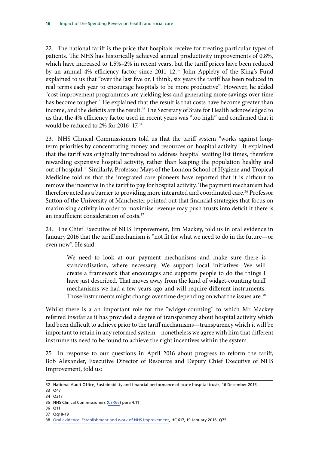22. The national tariff is the price that hospitals receive for treating particular types of patients. The NHS has historically achieved annual productivity improvements of 0.8%, which have increased to 1.5%–2% in recent years, but the tariff prices have been reduced by an annual 4% efficiency factor since 2011–12.32 John Appleby of the King's Fund explained to us that "over the last five or, I think, six years the tariff has been reduced in real terms each year to encourage hospitals to be more productive". However, he added "cost-improvement programmes are yielding less and generating more savings over time has become tougher". He explained that the result is that costs have become greater than income, and the deficits are the result.<sup>33</sup> The Secretary of State for Health acknowledged to us that the 4% efficiency factor used in recent years was "too high" and confirmed that it would be reduced to 2% for 2016–17.34

23. NHS Clinical Commissioners told us that the tariff system "works against longterm priorities by concentrating money and resources on hospital activity". It explained that the tariff was originally introduced to address hospital waiting list times, therefore rewarding expensive hospital activity, rather than keeping the population healthy and out of hospital.<sup>35</sup> Similarly, Professor Mays of the London School of Hygiene and Tropical Medicine told us that the integrated care pioneers have reported that it is difficult to remove the incentive in the tariff to pay for hospital activity. The payment mechanism had therefore acted as a barrier to providing more integrated and coordinated care.<sup>36</sup> Professor Sutton of the University of Manchester pointed out that financial strategies that focus on maximising activity in order to maximise revenue may push trusts into deficit if there is an insufficient consideration of costs.<sup>37</sup>

24. The Chief Executive of NHS Improvement, Jim Mackey, told us in oral evidence in January 2016 that the tariff mechanism is "not fit for what we need to do in the future—or even now". He said:

We need to look at our payment mechanisms and make sure there is standardisation, where necessary. We support local initiatives. We will create a framework that encourages and supports people to do the things I have just described. That moves away from the kind of widget-counting tariff mechanisms we had a few years ago and will require different instruments. Those instruments might change over time depending on what the issues are.<sup>38</sup>

Whilst there is a an important role for the "widget-counting" to which Mr Mackey referred insofar as it has provided a degree of transparency about hospital activity which had been difficult to achieve prior to the tariff mechanisms—transparency which it will be important to retain in any reformed system—nonetheless we agree with him that different instruments need to be found to achieve the right incentives within the system.

25. In response to our questions in April 2016 about progress to reform the tariff, Bob Alexander, Executive Director of Resource and Deputy Chief Executive of NHS Improvement, told us:

<sup>32</sup> National Audit Office, Sustainability and financial performance of acute hospital trusts, 16 December 2015

<sup>33</sup> Q47

<sup>34</sup> Q317

<sup>35</sup> NHS Clinical Commissioners ([CSR65](http://data.parliament.uk/writtenevidence/committeeevidence.svc/evidencedocument/health-committee/impact-of-the-comprehensive-spending-review-on-health-and-social-care/written/27375.pdf)) para 4.11

<sup>36</sup> Q11

<sup>37</sup> Qq18-19

<sup>38</sup> [Oral evidence: Establishment and work of NHS Improvement,](http://data.parliament.uk/writtenevidence/committeeevidence.svc/evidencedocument/health-committee/postappointment-hearing-with-the-chair-and-chief-executive-nhs-improvement/oral/27319.pdf) HC 617, 19 January 2016, Q75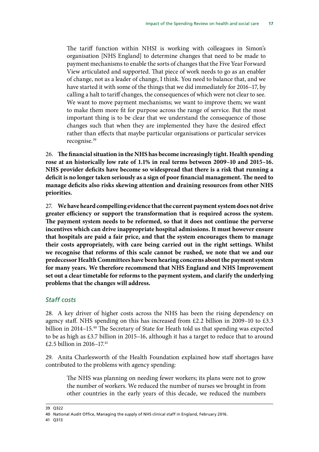The tariff function within NHSI is working with colleagues in Simon's organisation [NHS England] to determine changes that need to be made to payment mechanisms to enable the sorts of changes that the Five Year Forward View articulated and supported. That piece of work needs to go as an enabler of change, not as a leader of change, I think. You need to balance that, and we have started it with some of the things that we did immediately for 2016–17, by calling a halt to tariff changes, the consequences of which were not clear to see. We want to move payment mechanisms; we want to improve them; we want to make them more fit for purpose across the range of service. But the most important thing is to be clear that we understand the consequence of those changes such that when they are implemented they have the desired effect rather than effects that maybe particular organisations or particular services recognise.39

26. **The financial situation in the NHS has become increasingly tight. Health spending rose at an historically low rate of 1.1% in real terms between 2009–10 and 2015–16. NHS provider deficits have become so widespread that there is a risk that running a deficit is no longer taken seriously as a sign of poor financial management. The need to manage deficits also risks skewing attention and draining resources from other NHS priorities.**

27. **We have heard compelling evidence that the current payment system does not drive greater efficiency or support the transformation that is required across the system. The payment system needs to be reformed, so that it does not continue the perverse incentives which can drive inappropriate hospital admissions. It must however ensure that hospitals are paid a fair price, and that the system encourages them to manage their costs appropriately, with care being carried out in the right settings. Whilst we recognise that reforms of this scale cannot be rushed, we note that we and our predecessor Health Committees have been hearing concerns about the payment system for many years. We therefore recommend that NHS England and NHS Improvement set out a clear timetable for reforms to the payment system, and clarify the underlying problems that the changes will address.**

## *Staff costs*

28. A key driver of higher costs across the NHS has been the rising dependency on agency staff. NHS spending on this has increased from £2.2 billion in 2009-10 to £3.3 billion in 2014–15.40 The Secretary of State for Heath told us that spending was expected to be as high as £3.7 billion in 2015–16, although it has a target to reduce that to around £2.5 billion in 2016–17.41

29. Anita Charlesworth of the Health Foundation explained how staff shortages have contributed to the problems with agency spending:

The NHS was planning on needing fewer workers; its plans were not to grow the number of workers. We reduced the number of nurses we brought in from other countries in the early years of this decade, we reduced the numbers

39 Q322

41 Q313

<sup>40</sup> National Audit Office, Managing the supply of NHS clinical staff in England, February 2016.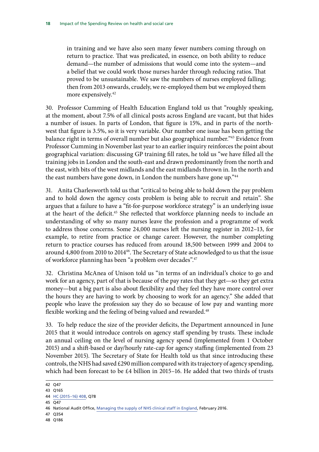in training and we have also seen many fewer numbers coming through on return to practice. That was predicated, in essence, on both ability to reduce demand—the number of admissions that would come into the system—and a belief that we could work those nurses harder through reducing ratios. That proved to be unsustainable. We saw the numbers of nurses employed falling; then from 2013 onwards, crudely, we re-employed them but we employed them more expensively.<sup>42</sup>

30. Professor Cumming of Health Education England told us that "roughly speaking, at the moment, about 7.5% of all clinical posts across England are vacant, but that hides a number of issues. In parts of London, that figure is 15%, and in parts of the northwest that figure is 3.5%, so it is very variable. Our number one issue has been getting the balance right in terms of overall number but also geographical number."<sup>43</sup> Evidence from Professor Cumming in November last year to an earlier inquiry reinforces the point about geographical variation: discussing GP training fill rates, he told us "we have filled all the training jobs in London and the south-east and drawn predominantly from the north and the east, with bits of the west midlands and the east midlands thrown in. In the north and the east numbers have gone down, in London the numbers have gone up."44

31. Anita Charlesworth told us that "critical to being able to hold down the pay problem and to hold down the agency costs problem is being able to recruit and retain". She argues that a failure to have a "fit-for-purpose workforce strategy" is an underlying issue at the heart of the deficit.<sup>45</sup> She reflected that workforce planning needs to include an understanding of why so many nurses leave the profession and a programme of work to address those concerns. Some 24,000 nurses left the nursing register in 2012–13, for example, to retire from practice or change career. However, the number completing return to practice courses has reduced from around 18,500 between 1999 and 2004 to around 4,800 from 2010 to 2014<sup>46</sup>. The Secretary of State acknowledged to us that the issue of workforce planning has been "a problem over decades".47

32. Christina McAnea of Unison told us "in terms of an individual's choice to go and work for an agency, part of that is because of the pay rates that they get—so they get extra money—but a big part is also about flexibility and they feel they have more control over the hours they are having to work by choosing to work for an agency." She added that people who leave the profession say they do so because of low pay and wanting more flexible working and the feeling of being valued and rewarded.<sup>48</sup>

33. To help reduce the size of the provider deficits, the Department announced in June 2015 that it would introduce controls on agency staff spending by trusts. These include an annual ceiling on the level of nursing agency spend (implemented from 1 October 2015) and a shift-based or day/hourly rate-cap for agency staffing (implemented from 23 November 2015). The Secretary of State for Health told us that since introducing these controls, the NHS had saved £290 million compared with its trajectory of agency spending, which had been forecast to be  $\text{\pounds}4$  billion in 2015–16. He added that two thirds of trusts

- 47 Q354
- 48 Q186

<sup>42</sup> Q47

<sup>43</sup> Q165

<sup>44</sup> [HC \(2015–16\) 408,](http://data.parliament.uk/writtenevidence/committeeevidence.svc/evidencedocument/health-committee/primary-care/oral/24145.html) Q78

<sup>45</sup>  $\overline{047}$ 

<sup>46</sup> National Audit Office, [Managing the supply of NHS clinical staff in England](https://www.nao.org.uk/report/managing-the-supply-of-nhs-clinical-staff-in-england/), February 2016.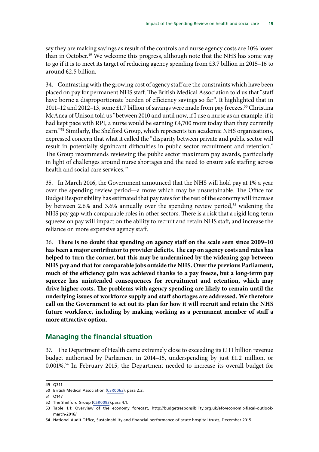<span id="page-22-0"></span>say they are making savings as result of the controls and nurse agency costs are 10% lower than in October.<sup>49</sup> We welcome this progress, although note that the NHS has some way to go if it is to meet its target of reducing agency spending from £3.7 billion in 2015–16 to around £2.5 billion.

34. Contrasting with the growing cost of agency staff are the constraints which have been placed on pay for permanent NHS staff. The British Medical Association told us that "staff have borne a disproportionate burden of efficiency savings so far". It highlighted that in 2011–12 and 2012–13, some £1.7 billion of savings were made from pay freezes.<sup>50</sup> Christina McAnea of Unison told us "between 2010 and until now, if I use a nurse as an example, if it had kept pace with RPI, a nurse would be earning £4,700 more today than they currently earn."51 Similarly, the Shelford Group, which represents ten academic NHS organisations, expressed concern that what it called the "disparity between private and public sector will result in potentially significant difficulties in public sector recruitment and retention." The Group recommends reviewing the public sector maximum pay awards, particularly in light of challenges around nurse shortages and the need to ensure safe staffing across health and social care services.<sup>52</sup>

35. In March 2016, the Government announced that the NHS will hold pay at 1% a year over the spending review period—a move which may be unsustainable. The Office for Budget Responsibility has estimated that pay rates for the rest of the economy will increase by between 2.6% and 3.6% annually over the spending review period,<sup>53</sup> widening the NHS pay gap with comparable roles in other sectors. There is a risk that a rigid long-term squeeze on pay will impact on the ability to recruit and retain NHS staff, and increase the reliance on more expensive agency staff.

36. **There is no doubt that spending on agency staff on the scale seen since 2009–10 has been a major contributor to provider deficits. The cap on agency costs and rates has helped to turn the corner, but this may be undermined by the widening gap between NHS pay and that for comparable jobs outside the NHS. Over the previous Parliament, much of the efficiency gain was achieved thanks to a pay freeze, but a long-term pay squeeze has unintended consequences for recruitment and retention, which may drive higher costs. The problems with agency spending are likely to remain until the underlying issues of workforce supply and staff shortages are addressed. We therefore call on the Government to set out its plan for how it will recruit and retain the NHS future workforce, including by making working as a permanent member of staff a more attractive option.**

## **Managing the financial situation**

37. The Department of Health came extremely close to exceeding its £111 billion revenue budget authorised by Parliament in 2014–15, underspending by just £1.2 million, or 0.001%.54 In February 2015, the Department needed to increase its overall budget for

<sup>49</sup> Q311

<sup>50</sup> British Medical Association ([CSR0063\)](http://data.parliament.uk/writtenevidence/committeeevidence.svc/evidencedocument/health-committee/impact-of-the-comprehensive-spending-review-on-health-and-social-care/written/27372.html), para 2.2.

<sup>51</sup> Q147

<sup>52</sup> The Shelford Group ([CSR0093\)](http://data.parliament.uk/writtenevidence/committeeevidence.svc/evidencedocument/health-committee/impact-of-the-comprehensive-spending-review-on-health-and-social-care/written/29046.pdf),para 4.1.

<sup>53</sup> Table 1.1: Overview of the economy forecast, http://budgetresponsibility.org.uk/efo/economic-fiscal-outlookmarch-2016/

<sup>54</sup> National Audit Office, Sustainability and financial performance of acute hospital trusts, December 2015.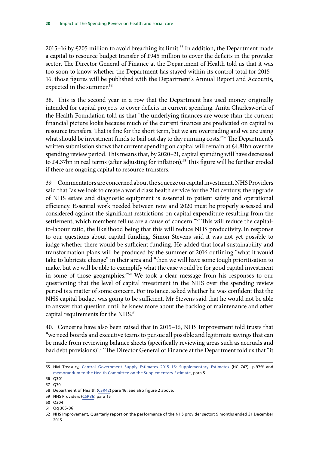2015–16 by £205 million to avoid breaching its limit.<sup>55</sup> In addition, the Department made a capital to resource budget transfer of £945 million to cover the deficits in the provider sector. The Director General of Finance at the Department of Health told us that it was too soon to know whether the Department has stayed within its control total for 2015– 16: those figures will be published with the Department's Annual Report and Accounts, expected in the summer.<sup>56</sup>

38. This is the second year in a row that the Department has used money originally intended for capital projects to cover deficits in current spending. Anita Charlesworth of the Health Foundation told us that "the underlying finances are worse than the current financial picture looks because much of the current finances are predicated on capital to resource transfers. That is fine for the short term, but we are overtrading and we are using what should be investment funds to bail out day to day running costs."<sup>57</sup> The Department's written submission shows that current spending on capital will remain at £4.81bn over the spending review period. This means that, by 2020–21, capital spending will have decreased to £4.37bn in real terms (after adjusting for inflation).<sup>58</sup> This figure will be further eroded if there are ongoing capital to resource transfers.

39. Commentators are concerned about the squeeze on capital investment. NHS Providers said that "as we look to create a world class health service for the 21st century, the upgrade of NHS estate and diagnostic equipment is essential to patient safety and operational efficiency. Essential work needed between now and 2020 must be properly assessed and considered against the significant restrictions on capital expenditure resulting from the settlement, which members tell us are a cause of concern."59 This will reduce the capitalto-labour ratio, the likelihood being that this will reduce NHS productivity.In response to our questions about capital funding, Simon Stevens said it was not yet possible to judge whether there would be sufficient funding. He added that local sustainability and transformation plans will be produced by the summer of 2016 outlining "what it would take to lubricate change" in their area and "then we will have some tough prioritisation to make, but we will be able to exemplify what the case would be for good capital investment in some of those geographies."60 We took a clear message from his responses to our questioning that the level of capital investment in the NHS over the spending review period is a matter of some concern. For instance, asked whether he was confident that the NHS capital budget was going to be sufficient, Mr Stevens said that he would not be able to answer that question until he knew more about the backlog of maintenance and other capital requirements for the NHS.<sup>61</sup>

40. Concerns have also been raised that in 2015–16, NHS Improvement told trusts that "we need boards and executive teams to pursue all possible and legitimate savings that can be made from reviewing balance sheets (specifically reviewing areas such as accruals and bad debt provisions)".<sup>62</sup> The Director General of Finance at the Department told us that "it

61 Qq 305-06

<sup>55</sup> HM Treasury, [Central Government Supply Estimates 2015–16: Supplementary Estimates](https://www.gov.uk/government/uploads/system/uploads/attachment_data/file/499032/PU1893_final_web_pdfa.pdf) (HC 747), p.97ff and [memorandum to the Health Committee on the Supplementary Estimate](http://www.parliament.uk/documents/commons-committees/Health/Department-of-Health-Memorandum-supplementary-estimate-2015-16.PDF), para 5.

<sup>56</sup> Q301

<sup>57 070</sup> 

<sup>58</sup> Department of Health [\(CSR42](http://data.parliament.uk/writtenevidence/committeeevidence.svc/evidencedocument/health-committee/impact-of-the-comprehensive-spending-review-on-health-and-social-care/written/27323.pdf)) para 16. See also figure 2 above.

<sup>59</sup> NHS Providers ([CSR36\)](http://data.parliament.uk/writtenevidence/committeeevidence.svc/evidencedocument/health-committee/impact-of-the-comprehensive-spending-review-on-health-and-social-care/written/27288.pdf) para 15

<sup>60</sup> Q304

<sup>62</sup> NHS Improvement, Quarterly report on the performance of the NHS provider sector: 9 months ended 31 December 2015.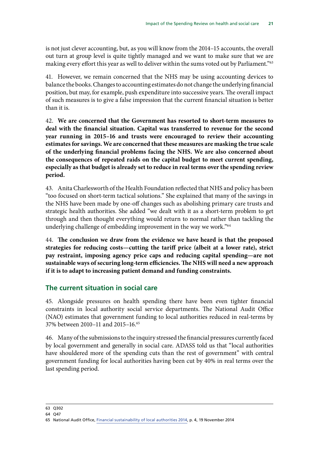<span id="page-24-0"></span>is not just clever accounting, but, as you will know from the 2014–15 accounts, the overall out turn at group level is quite tightly managed and we want to make sure that we are making every effort this year as well to deliver within the sums voted out by Parliament."<sup>63</sup>

41. However, we remain concerned that the NHS may be using accounting devices to balance the books. Changes to accounting estimates do not change the underlying financial position, but may, for example, push expenditure into successive years. The overall impact of such measures is to give a false impression that the current financial situation is better than it is.

42. **We are concerned that the Government has resorted to short-term measures to deal with the financial situation. Capital was transferred to revenue for the second year running in 2015–16 and trusts were encouraged to review their accounting estimates for savings. We are concerned that these measures are masking the true scale of the underlying financial problems facing the NHS. We are also concerned about the consequences of repeated raids on the capital budget to meet current spending, especially as that budget is already set to reduce in real terms over the spending review period.**

43. Anita Charlesworth of the Health Foundation reflected that NHS and policy has been "too focused on short-term tactical solutions." She explained that many of the savings in the NHS have been made by one-off changes such as abolishing primary care trusts and strategic health authorities. She added "we dealt with it as a short-term problem to get through and then thought everything would return to normal rather than tackling the underlying challenge of embedding improvement in the way we work."<sup>64</sup>

44. **The conclusion we draw from the evidence we have heard is that the proposed strategies for reducing costs—cutting the tariff price (albeit at a lower rate), strict pay restraint, imposing agency price caps and reducing capital spending—are not sustainable ways of securing long-term efficiencies. The NHS will need a new approach if it is to adapt to increasing patient demand and funding constraints.**

# **The current situation in social care**

45. Alongside pressures on health spending there have been even tighter financial constraints in local authority social service departments. The National Audit Office (NAO) estimates that government funding to local authorities reduced in real-terms by 37% between 2010–11 and 2015–16.65

46. Many of the submissions to the inquiry stressed the financial pressures currently faced by local government and generally in social care. ADASS told us that "local authorities have shouldered more of the spending cuts than the rest of government" with central government funding for local authorities having been cut by 40% in real terms over the last spending period.

<sup>63</sup> Q302

<sup>64</sup> Q47

<sup>65</sup> National Audit Office, [Financial sustainability of local authorities 2014,](https://www.nao.org.uk/wp-content/uploads/2014/11/Financial-sustainability-of-local-authorities-20141.pdf) p. 4, 19 November 2014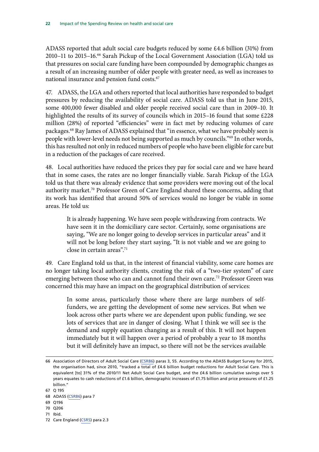ADASS reported that adult social care budgets reduced by some £4.6 billion (31%) from 2010–11 to 2015–16.66 Sarah Pickup of the Local Government Association (LGA) told us that pressures on social care funding have been compounded by demographic changes as a result of an increasing number of older people with greater need, as well as increases to national insurance and pension fund costs.<sup>67</sup>

47. ADASS, the LGA and others reported that local authorities have responded to budget pressures by reducing the availability of social care. ADASS told us that in June 2015, some 400,000 fewer disabled and older people received social care than in 2009–10. It highlighted the results of its survey of councils which in 2015–16 found that some £228 million (28%) of reported "efficiencies" were in fact met by reducing volumes of care packages.68 Ray James of ADASS explained that "in essence, what we have probably seen is people with lower-level needs not being supported as much by councils."69 In other words, this has resulted not only in reduced numbers of people who have been eligible for care but in a reduction of the packages of care received.

48. Local authorities have reduced the prices they pay for social care and we have heard that in some cases, the rates are no longer financially viable. Sarah Pickup of the LGA told us that there was already evidence that some providers were moving out of the local authority market.<sup>70</sup> Professor Green of Care England shared these concerns, adding that its work has identified that around 50% of services would no longer be viable in some areas. He told us:

It is already happening. We have seen people withdrawing from contracts. We have seen it in the domiciliary care sector. Certainly, some organisations are saying, "We are no longer going to develop services in particular areas" and it will not be long before they start saying, "It is not viable and we are going to close in certain areas".71

49. Care England told us that, in the interest of financial viability, some care homes are no longer taking local authority clients, creating the risk of a "two-tier system" of care emerging between those who can and cannot fund their own care.<sup>72</sup> Professor Green was concerned this may have an impact on the geographical distribution of services:

In some areas, particularly those where there are large numbers of selffunders, we are getting the development of some new services. But when we look across other parts where we are dependent upon public funding, we see lots of services that are in danger of closing. What I think we will see is the demand and supply equation changing as a result of this. It will not happen immediately but it will happen over a period of probably a year to 18 months but it will definitely have an impact, so there will not be the services available

- 69 Q196
- 70 Q206
- 71 Ibid.

<sup>66</sup> Association of Directors of Adult Social Care ([CSR86\)](http://data.parliament.uk/writtenevidence/committeeevidence.svc/evidencedocument/health-committee/impact-of-the-comprehensive-spending-review-on-health-and-social-care/written/27617.pdf) paras 3, 55. According to the ADASS Budget Survey for 2015, the organisation had, since 2010, "tracked a total of £4.6 billion budget reductions for Adult Social Care. This is equivalent [to] 31% of the 2010/11 Net Adult Social Care budget, and the £4.6 billion cumulative savings over 5 years equates to cash reductions of £1.6 billion, demographic increases of £1.75 billion and price pressures of £1.25 billion."

<sup>67</sup> Q 195

<sup>68</sup> ADASS [\(CSR86](http://data.parliament.uk/writtenevidence/committeeevidence.svc/evidencedocument/health-committee/impact-of-the-comprehensive-spending-review-on-health-and-social-care/written/27617.pdf)) para 7

<sup>72</sup> Care England [\(CSR5](http://data.parliament.uk/writtenevidence/committeeevidence.svc/evidencedocument/health-committee/impact-of-the-comprehensive-spending-review-on-health-and-social-care/written/26959.pdf)) para 2.3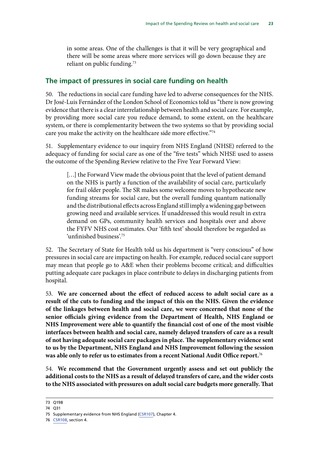<span id="page-26-0"></span>in some areas. One of the challenges is that it will be very geographical and there will be some areas where more services will go down because they are reliant on public funding.<sup>73</sup>

### **The impact of pressures in social care funding on health**

50. The reductions in social care funding have led to adverse consequences for the NHS. Dr José-Luis Fernández of the London School of Economics told us "there is now growing evidence that there is a clear interrelationship between health and social care. For example, by providing more social care you reduce demand, to some extent, on the healthcare system, or there is complementarity between the two systems so that by providing social care you make the activity on the healthcare side more effective."74

51. Supplementary evidence to our inquiry from NHS England (NHSE) referred to the adequacy of funding for social care as one of the "five tests" which NHSE used to assess the outcome of the Spending Review relative to the Five Year Forward View:

[...] the Forward View made the obvious point that the level of patient demand on the NHS is partly a function of the availability of social care, particularly for frail older people. The SR makes some welcome moves to hypothecate new funding streams for social care, but the overall funding quantum nationally and the distributional effects across England still imply a widening gap between growing need and available services. If unaddressed this would result in extra demand on GPs, community health services and hospitals over and above the FYFV NHS cost estimates. Our 'fifth test' should therefore be regarded as 'unfinished business'.75

52. The Secretary of State for Health told us his department is "very conscious" of how pressures in social care are impacting on health. For example, reduced social care support may mean that people go to A&E when their problems become critical; and difficulties putting adequate care packages in place contribute to delays in discharging patients from hospital.

53. **We are concerned about the effect of reduced access to adult social care as a result of the cuts to funding and the impact of this on the NHS. Given the evidence of the linkages between health and social care, we were concerned that none of the senior officials giving evidence from the Department of Health, NHS England or NHS Improvement were able to quantify the financial cost of one of the most visible interfaces between health and social care, namely delayed transfers of care as a result of not having adequate social care packages in place. The supplementary evidence sent to us by the Department, NHS England and NHS Improvement following the session was able only to refer us to estimates from a recent National Audit Office report.**<sup>76</sup>

54. **We recommend that the Government urgently assess and set out publicly the additional costs to the NHS as a result of delayed transfers of care, and the wider costs to the NHS associated with pressures on adult social care budgets more generally. That** 

76 CSR108, section 4.

<sup>73</sup> Q198

<sup>74</sup> Q31

<sup>75</sup> Supplementary evidence from NHS England ([CSR107\)](http://www.parliament.uk/documents/commons-committees/Health/Written%20evidence/CSR0107-NHS-England-TT.pdf), Chapter 4.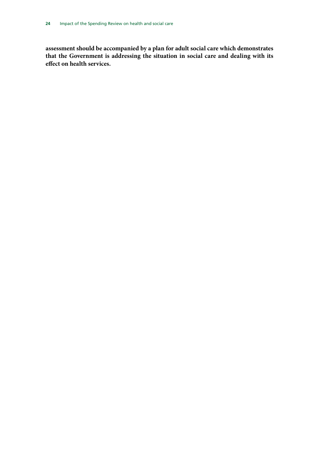<span id="page-27-0"></span>**assessment should be accompanied by a plan for adult social care which demonstrates that the Government is addressing the situation in social care and dealing with its effect on health services.**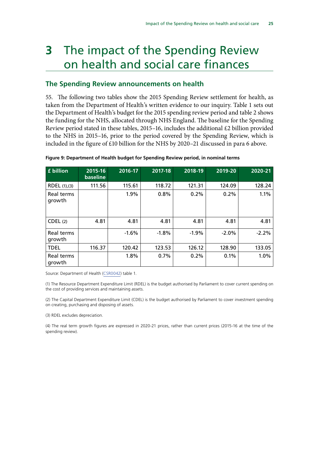# **3** The impact of the Spending Review on health and social care finances

## **The Spending Review announcements on health**

<span id="page-28-0"></span>55. The following two tables show the 2015 Spending Review settlement for health, as taken from the Department of Health's written evidence to our inquiry. Table 1 sets out the Department of Health's budget for the 2015 spending review period and table 2 shows the funding for the NHS, allocated through NHS England. The baseline for the Spending Review period stated in these tables, 2015–16, includes the additional  $£2$  billion provided to the NHS in 2015–16, prior to the period covered by the Spending Review, which is included in the figure of £10 billion for the NHS by 2020–21 discussed in para [6](#page-11-1) above.

| £ billion            | 2015-16<br>baseline | 2016-17 | 2017-18 | 2018-19 | 2019-20 | 2020-21 |
|----------------------|---------------------|---------|---------|---------|---------|---------|
| RDEL (1),(3)         | 111.56              | 115.61  | 118.72  | 121.31  | 124.09  | 128.24  |
| Real terms<br>growth |                     | 1.9%    | 0.8%    | 0.2%    | 0.2%    | 1.1%    |
| CDEL(2)              | 4.81                | 4.81    | 4.81    | 4.81    | 4.81    | 4.81    |
| Real terms<br>growth |                     | $-1.6%$ | $-1.8%$ | $-1.9%$ | $-2.0%$ | $-2.2%$ |
| <b>TDEL</b>          | 116.37              | 120.42  | 123.53  | 126.12  | 128.90  | 133.05  |
| Real terms<br>growth |                     | 1.8%    | 0.7%    | 0.2%    | 0.1%    | 1.0%    |

**Figure 9: Department of Health budget for Spending Review period, in nominal terms** 

Source: Department of Health ([CSR0042\)](http://data.parliament.uk/writtenevidence/committeeevidence.svc/evidencedocument/health-committee/impact-of-the-comprehensive-spending-review-on-health-and-social-care/written/27323.html) table 1.

(1) The Resource Department Expenditure Limit (RDEL) is the budget authorised by Parliament to cover current spending on the cost of providing services and maintaining assets.

(2) The Capital Department Expenditure Limit (CDEL) is the budget authorised by Parliament to cover investment spending on creating, purchasing and disposing of assets.

(3) RDEL excludes depreciation.

(4) The real term growth figures are expressed in 2020-21 prices, rather than current prices (2015-16 at the time of the spending review).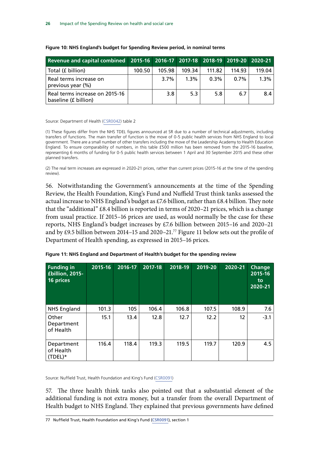| Revenue and capital combined 2015-16 2016-17 2017-18 2018-19 2019-20 2020-21 |        |        |         |         |         |        |
|------------------------------------------------------------------------------|--------|--------|---------|---------|---------|--------|
| Total (£ billion)                                                            | 100.50 | 105.98 | 109.34  | 111.82  | 114.93  | 119.04 |
| Real terms increase on<br>previous year (%)                                  |        | 3.7%   | $1.3\%$ | $0.3\%$ | $0.7\%$ | 1.3%   |
| Real terms increase on 2015-16<br>baseline (£ billion)                       |        | 3.8    | 5.3     | 5.8     | 6.7     | 84     |

#### **Figure 10: NHS England's budget for Spending Review period, in nominal terms**

Source: Department of Health ([CSR0042\)](http://data.parliament.uk/writtenevidence/committeeevidence.svc/evidencedocument/health-committee/impact-of-the-comprehensive-spending-review-on-health-and-social-care/written/27323.html) table 2

(1) These figures differ from the NHS TDEL figures announced at SR due to a number of technical adjustments, including transfers of functions. The main transfer of function is the move of 0-5 public health services from NHS England to local government. There are a small number of other transfers including the move of the Leadership Academy to Health Education England. To ensure comparability of numbers, in this table £500 million has been removed from the 2015-16 baseline, representing 6 months of funding for 0-5 public health services between 1 April and 30 September 2015 and these other planned transfers.

(2) The real term increases are expressed in 2020-21 prices, rather than current prices (2015-16 at the time of the spending review).

56. Notwithstanding the Government's announcements at the time of the Spending Review, the Health Foundation, King's Fund and Nuffield Trust think tanks assessed the actual increase to NHS England's budget as £7.6 billion, rather than £8.4 billion. They note that the "additional" £8.4 billion is reported in terms of 2020–21 prices, which is a change from usual practice. If 2015–16 prices are used, as would normally be the case for these reports, NHS England's budget increases by £7.6 billion between 2015–16 and 2020–21 and by £9.5 billion between 2014–15 and 2020–21.77 Figure 11 below sets out the profile of Department of Health spending, as expressed in 2015–16 prices.

| <b>Funding in</b><br>£billion, 2015-<br>16 prices | 2015-16 | 2016-17 | 2017-18 | 2018-19 | 2019-20 | 2020-21 | <b>Change</b><br>2015-16<br>to<br>2020-21 |
|---------------------------------------------------|---------|---------|---------|---------|---------|---------|-------------------------------------------|
| <b>NHS England</b>                                | 101.3   | 105     | 106.4   | 106.8   | 107.5   | 108.9   | 7.6                                       |
| Other<br>Department<br>of Health                  | 15.1    | 13.4    | 12.8    | 12.7    | 12.2    | 12      | $-3.1$                                    |
| Department<br>of Health<br>$(TDEL)*$              | 116.4   | 118.4   | 119.3   | 119.5   | 119.7   | 120.9   | 4.5                                       |

|  | Figure 11: NHS England and Department of Health's budget for the spending review |  |
|--|----------------------------------------------------------------------------------|--|
|  |                                                                                  |  |

Source: Nuffield Trust, Health Foundation and King's Fund [\(CSR0091](http://data.parliament.uk/writtenevidence/committeeevidence.svc/evidencedocument/health-committee/impact-of-the-comprehensive-spending-review-on-health-and-social-care/written/28159.html))

57. The three health think tanks also pointed out that a substantial element of the additional funding is not extra money, but a transfer from the overall Department of Health budget to NHS England. They explained that previous governments have defined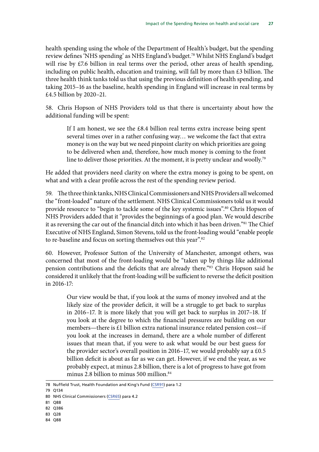<span id="page-30-0"></span>health spending using the whole of the Department of Health's budget, but the spending review defines 'NHS spending' as NHS England's budget.78 Whilst NHS England's budget will rise by £7.6 billion in real terms over the period, other areas of health spending, including on public health, education and training, will fall by more than £3 billion. The three health think tanks told us that using the previous definition of health spending, and taking 2015–16 as the baseline, health spending in England will increase in real terms by £4.5 billion by 2020–21.

58. Chris Hopson of NHS Providers told us that there is uncertainty about how the additional funding will be spent:

If I am honest, we see the £8.4 billion real terms extra increase being spent several times over in a rather confusing way… we welcome the fact that extra money is on the way but we need pinpoint clarity on which priorities are going to be delivered when and, therefore, how much money is coming to the front line to deliver those priorities. At the moment, it is pretty unclear and woolly.<sup>79</sup>

He added that providers need clarity on where the extra money is going to be spent, on what and with a clear profile across the rest of the spending review period.

59. The three think tanks, NHS Clinical Commissioners and NHS Providers all welcomed the "front-loaded" nature of the settlement. NHS Clinical Commissioners told us it would provide resource to "begin to tackle some of the key systemic issues".<sup>80</sup> Chris Hopson of NHS Providers added that it "provides the beginnings of a good plan. We would describe it as reversing the car out of the financial ditch into which it has been driven."<sup>81</sup> The Chief Executive of NHS England, Simon Stevens, told us the front-loading would "enable people to re-baseline and focus on sorting themselves out this year".<sup>82</sup>

60. However, Professor Sutton of the University of Manchester, amongst others, was concerned that most of the front-loading would be "taken up by things like additional pension contributions and the deficits that are already there."83 Chris Hopson said he considered it unlikely that the front-loading will be sufficient to reverse the deficit position in 2016-17:

Our view would be that, if you look at the sums of money involved and at the likely size of the provider deficit, it will be a struggle to get back to surplus in 2016–17. It is more likely that you will get back to surplus in 2017–18. If you look at the degree to which the financial pressures are building on our members—there is £1 billion extra national insurance related pension cost—if you look at the increases in demand, there are a whole number of different issues that mean that, if you were to ask what would be our best guess for the provider sector's overall position in 2016–17, we would probably say a  $£0.5$ billion deficit is about as far as we can get. However, if we end the year, as we probably expect, at minus 2.8 billion, there is a lot of progress to have got from minus 2.8 billion to minus 500 million. $84$ 

79 Q134

- 81 Q88
- 82 Q386
- 83 Q28
- 84 Q88

<sup>78</sup> Nuffield Trust, Health Foundation and King's Fund [\(CSR91](http://data.parliament.uk/writtenevidence/committeeevidence.svc/evidencedocument/health-committee/impact-of-the-comprehensive-spending-review-on-health-and-social-care/written/28159.pdf)) para 1.2

<sup>80</sup> NHS Clinical Commissioners ([CSR65](http://data.parliament.uk/writtenevidence/committeeevidence.svc/evidencedocument/health-committee/impact-of-the-comprehensive-spending-review-on-health-and-social-care/written/27375.pdf)) para 4.2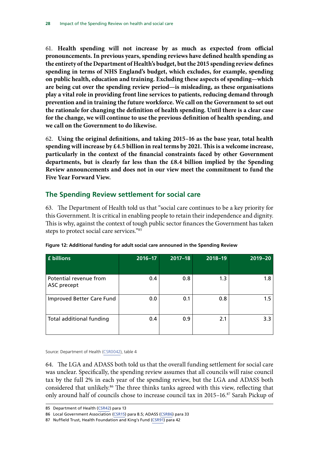61. **Health spending will not increase by as much as expected from official pronouncements. In previous years, spending reviews have defined health spending as the entirety of the Department of Health's budget, but the 2015 spending review defines spending in terms of NHS England's budget, which excludes, for example, spending on public health, education and training. Excluding these aspects of spending—which are being cut over the spending review period—is misleading, as these organisations play a vital role in providing front line services to patients, reducing demand through prevention and in training the future workforce. We call on the Government to set out the rationale for changing the definition of health spending. Until there is a clear case for the change, we will continue to use the previous definition of health spending, and we call on the Government to do likewise.**

62. **Using the original definitions, and taking 2015–16 as the base year, total health spending will increase by £4.5 billion in real terms by 2021. This is a welcome increase, particularly in the context of the financial constraints faced by other Government departments, but is clearly far less than the £8.4 billion implied by the Spending Review announcements and does not in our view meet the commitment to fund the Five Year Forward View.**

# **The Spending Review settlement for social care**

63. The Department of Health told us that "social care continues to be a key priority for this Government. It is critical in enabling people to retain their independence and dignity. This is why, against the context of tough public sector finances the Government has taken steps to protect social care services."85

| £ billions                            | $2016 - 17$ | $2017 - 18$ | 2018-19 | 2019-20 |
|---------------------------------------|-------------|-------------|---------|---------|
| Potential revenue from<br>ASC precept | 0.4         | 0.8         | 1.3     | 1.8     |
| Improved Better Care Fund             | 0.0         | 0.1         | 0.8     | 1.5     |
| Total additional funding              | 0.4         | 0.9         | 2.1     | 3.3     |

**Figure 12: Additional funding for adult social care announed in the Spending Review**

Source: Department of Health ([CSR0042\)](http://data.parliament.uk/writtenevidence/committeeevidence.svc/evidencedocument/health-committee/impact-of-the-comprehensive-spending-review-on-health-and-social-care/written/27323.html), table 4

64. The LGA and ADASS both told us that the overall funding settlement for social care was unclear. Specifically, the spending review assumes that all councils will raise council tax by the full 2% in each year of the spending review, but the LGA and ADASS both considered that unlikely.<sup>86</sup> The three thinks tanks agreed with this view, reflecting that only around half of councils chose to increase council tax in 2015–16.<sup>87</sup> Sarah Pickup of

<sup>85</sup> Department of Health [\(CSR42](http://data.parliament.uk/writtenevidence/committeeevidence.svc/evidencedocument/health-committee/impact-of-the-comprehensive-spending-review-on-health-and-social-care/written/27323.pdf)) para 13

<sup>86</sup> Local Government Association [\(CSR15](http://data.parliament.uk/writtenevidence/committeeevidence.svc/evidencedocument/health-committee/impact-of-the-comprehensive-spending-review-on-health-and-social-care/written/27203.pdf)) para 8.5; ADASS ([CSR86\)](http://data.parliament.uk/writtenevidence/committeeevidence.svc/evidencedocument/health-committee/impact-of-the-comprehensive-spending-review-on-health-and-social-care/written/27617.pdf) para 33

<sup>87</sup> Nuffield Trust, Health Foundation and King's Fund [\(CSR91](http://data.parliament.uk/writtenevidence/committeeevidence.svc/evidencedocument/health-committee/impact-of-the-comprehensive-spending-review-on-health-and-social-care/written/28159.pdf)) para 42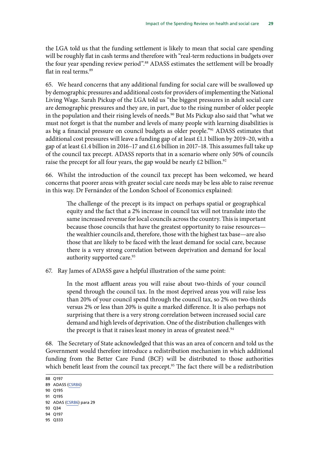<span id="page-32-0"></span>the LGA told us that the funding settlement is likely to mean that social care spending will be roughly flat in cash terms and therefore with "real-term reductions in budgets over the four year spending review period".<sup>88</sup> ADASS estimates the settlement will be broadly flat in real terms.<sup>89</sup>

65. We heard concerns that any additional funding for social care will be swallowed up by demographic pressures and additional costs for providers of implementing the National Living Wage. Sarah Pickup of the LGA told us "the biggest pressures in adult social care are demographic pressures and they are, in part, due to the rising number of older people in the population and their rising levels of needs.<sup>90</sup> But Ms Pickup also said that "what we must not forget is that the number and levels of many people with learning disabilities is as big a financial pressure on council budgets as older people."<sup>91</sup> ADASS estimates that additional cost pressures will leave a funding gap of at least £1.1 billion by 2019–20, with a gap of at least £1.4 billion in 2016–17 and £1.6 billion in 2017–18. This assumes full take up of the council tax precept. ADASS reports that in a scenario where only 50% of councils raise the precept for all four years, the gap would be nearly  $£2$  billion.<sup>92</sup>

66. Whilst the introduction of the council tax precept has been welcomed, we heard concerns that poorer areas with greater social care needs may be less able to raise revenue in this way. Dr Fernández of the London School of Economics explained:

The challenge of the precept is its impact on perhaps spatial or geographical equity and the fact that a 2% increase in council tax will not translate into the same increased revenue for local councils across the country. This is important because those councils that have the greatest opportunity to raise resources the wealthier councils and, therefore, those with the highest tax base—are also those that are likely to be faced with the least demand for social care, because there is a very strong correlation between deprivation and demand for local authority supported care.<sup>93</sup>

67. Ray James of ADASS gave a helpful illustration of the same point:

In the most affluent areas you will raise about two-thirds of your council spend through the council tax. In the most deprived areas you will raise less than 20% of your council spend through the council tax, so 2% on two-thirds versus 2% or less than 20% is quite a marked difference. It is also perhaps not surprising that there is a very strong correlation between increased social care demand and high levels of deprivation. One of the distribution challenges with the precept is that it raises least money in areas of greatest need.<sup>94</sup>

68. The Secretary of State acknowledged that this was an area of concern and told us the Government would therefore introduce a redistribution mechanism in which additional funding from the Better Care Fund (BCF) will be distributed to those authorities which benefit least from the council tax precept.<sup>95</sup> The fact there will be a redistribution

90 Q195

- 93 Q34
- 94 Q197
- 95 Q333

<sup>88</sup> Q197

<sup>89</sup> ADASS [\(CSR86](http://data.parliament.uk/writtenevidence/committeeevidence.svc/evidencedocument/health-committee/impact-of-the-comprehensive-spending-review-on-health-and-social-care/written/27617.pdf))

<sup>91</sup> Q195 92 ADAS [\(CSR86](http://data.parliament.uk/writtenevidence/committeeevidence.svc/evidencedocument/health-committee/impact-of-the-comprehensive-spending-review-on-health-and-social-care/written/27617.pdf)) para 29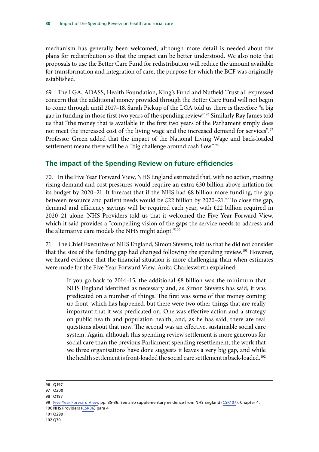<span id="page-33-0"></span>mechanism has generally been welcomed, although more detail is needed about the plans for redistribution so that the impact can be better understood. We also note that proposals to use the Better Care Fund for redistribution will reduce the amount available for transformation and integration of care, the purpose for which the BCF was originally established.

69. The LGA, ADASS, Health Foundation, King's Fund and Nuffield Trust all expressed concern that the additional money provided through the Better Care Fund will not begin to come through until 2017–18. Sarah Pickup of the LGA told us there is therefore "a big gap in funding in those first two years of the spending review".96 Similarly Ray James told us that "the money that is available in the first two years of the Parliament simply does not meet the increased cost of the living wage and the increased demand for services".<sup>97</sup> Professor Green added that the impact of the National Living Wage and back-loaded settlement means there will be a "big challenge around cash flow".<sup>98</sup>

# **The impact of the Spending Review on future efficiencies**

70. In the Five Year Forward View, NHS England estimated that, with no action, meeting rising demand and cost pressures would require an extra £30 billion above inflation for its budget by 2020–21. It forecast that if the NHS had £8 billion more funding, the gap between resource and patient needs would be £22 billion by 2020–21.<sup>99</sup> To close the gap, demand and efficiency savings will be required each year, with £22 billion required in 2020–21 alone. NHS Providers told us that it welcomed the Five Year Forward View, which it said provides a "compelling vision of the gaps the service needs to address and the alternative care models the NHS might adopt."<sup>100</sup>

71. The Chief Executive of NHS England, Simon Stevens, told us that he did not consider that the size of the funding gap had changed following the spending review.101 However, we heard evidence that the financial situation is more challenging than when estimates were made for the Five Year Forward View. Anita Charlesworth explained:

If you go back to 2014–15, the additional  $\pounds 8$  billion was the minimum that NHS England identified as necessary and, as Simon Stevens has said, it was predicated on a number of things. The first was some of that money coming up front, which has happened, but there were two other things that are really important that it was predicated on. One was effective action and a strategy on public health and population health, and, as he has said, there are real questions about that now. The second was an effective, sustainable social care system. Again, although this spending review settlement is more generous for social care than the previous Parliament spending resettlement, the work that we three organisations have done suggests it leaves a very big gap, and while the health settlement is front-loaded the social care settlement is back-loaded.<sup>102</sup>

<sup>96</sup> Q197

<sup>97</sup> Q200

<sup>98</sup> Q197

<sup>99</sup> [Five Year Forward View](https://www.england.nhs.uk/wp-content/uploads/2014/10/5yfv-web.pdf), pp. 35-36. See also supplementary evidence from NHS England ([CSR107](http://www.parliament.uk/documents/commons-committees/Health/Written%20evidence/CSR0107-NHS-England-TT.pdf)), Chapter 4. 100 NHS Providers ([CSR36\)](http://data.parliament.uk/writtenevidence/committeeevidence.svc/evidencedocument/health-committee/impact-of-the-comprehensive-spending-review-on-health-and-social-care/written/27288.pdf) para 4

<sup>101</sup> Q299

<sup>102</sup> Q70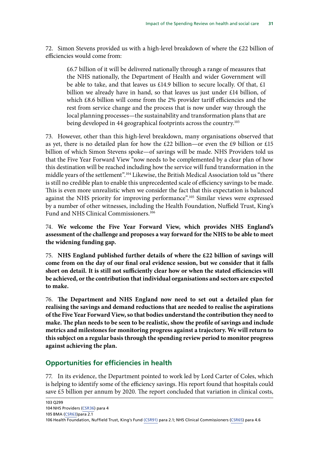72. Simon Stevens provided us with a high-level breakdown of where the £22 billion of efficiencies would come from:

£6.7 billion of it will be delivered nationally through a range of measures that the NHS nationally, the Department of Health and wider Government will be able to take, and that leaves us £14.9 billion to secure locally. Of that, £1 billion we already have in hand, so that leaves us just under £14 billion, of which £8.6 billion will come from the 2% provider tariff efficiencies and the rest from service change and the process that is now under way through the local planning processes—the sustainability and transformation plans that are being developed in 44 geographical footprints across the country.<sup>103</sup>

73. However, other than this high-level breakdown, many organisations observed that as yet, there is no detailed plan for how the £22 billion—or even the £9 billion or £15 billion of which Simon Stevens spoke—of savings will be made. NHS Providers told us that the Five Year Forward View "now needs to be complemented by a clear plan of how this destination will be reached including how the service will fund transformation in the middle years of the settlement".104 Likewise, the British Medical Association told us "there is still no credible plan to enable this unprecedented scale of efficiency savings to be made. This is even more unrealistic when we consider the fact that this expectation is balanced against the NHS priority for improving performance".105 Similar views were expressed by a number of other witnesses, including the Health Foundation, Nuffield Trust, King's Fund and NHS Clinical Commissioners.<sup>106</sup>

74. **We welcome the Five Year Forward View, which provides NHS England's assessment of the challenge and proposes a way forward for the NHS to be able to meet the widening funding gap.**

75. **NHS England published further details of where the £22 billion of savings will come from on the day of our final oral evidence session, but we consider that it falls short on detail. It is still not sufficiently clear how or when the stated efficiencies will be achieved, or the contribution that individual organisations and sectors are expected to make.**

76. **The Department and NHS England now need to set out a detailed plan for realising the savings and demand reductions that are needed to realise the aspirations of the Five Year Forward View, so that bodies understand the contribution they need to make. The plan needs to be seen to be realistic, show the profile of savings and include metrics and milestones for monitoring progress against a trajectory. We will return to this subject on a regular basis through the spending review period to monitor progress against achieving the plan.**

# **Opportunities for efficiencies in health**

77. In its evidence, the Department pointed to work led by Lord Carter of Coles, which is helping to identify some of the efficiency savings. His report found that hospitals could save £5 billion per annum by 2020. The report concluded that variation in clinical costs,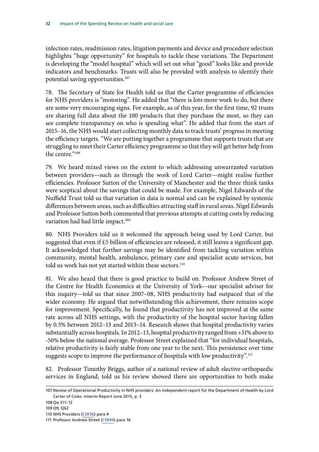<span id="page-35-0"></span>infection rates, readmission rates, litigation payments and device and procedure selection highlights "huge opportunity" for hospitals to tackle these variations. The Department is developing the "model hospital" which will set out what "good" looks like and provide indicators and benchmarks. Trusts will also be provided with analysis to identify their potential saving opportunities.<sup>107</sup>

78. The Secretary of State for Health told us that the Carter programme of efficiencies for NHS providers is "motoring". He added that "there is lots more work to do, but there are some very encouraging signs. For example, as of this year, for the first time, 92 trusts are sharing full data about the 100 products that they purchase the most, so they can see complete transparency on who is spending what". He added that from the start of 2015–16, the NHS would start collecting monthly data to track trusts' progress in meeting the efficiency targets. "We are putting together a programme that supports trusts that are struggling to meet their Carter efficiency programme so that they will get better help from the centre."<sup>108</sup>

79. We heard mixed views on the extent to which addressing unwarranted variation between providers—such as through the work of Lord Carter—might realise further efficiencies. Professor Sutton of the University of Manchester and the three think tanks were sceptical about the savings that could be made. For example, Nigel Edwards of the Nuffield Trust told us that variation in data is normal and can be explained by systemic differences between areas, such as difficulties attracting staff in rural areas. Nigel Edwards and Professor Sutton both commented that previous attempts at cutting costs by reducing variation had had little impact.<sup>109</sup>

80. NHS Providers told us it welcomed the approach being used by Lord Carter, but suggested that even if £5 billion of efficiencies are released, it still leaves a significant gap. It acknowledged that further savings may be identified from tackling variation within community, mental health, ambulance, primary care and specialist acute services, but told us work has not yet started within these sectors.<sup>110</sup>

81. We also heard that there is good practice to build on. Professor Andrew Street of the Centre for Health Economics at the University of York—our specialist adviser for this inquiry—told us that since 2007–08, NHS productivity had outpaced that of the wider economy. He argued that notwithstanding this achievement, there remains scope for improvement. Specifically, he found that productivity has not improved at the same rate across all NHS settings, with the productivity of the hospital sector having fallen by 0.5% between 2012–13 and 2013–14. Research shows that hospital productivity varies substantially across hospitals. In 2012–13, hospital productivity ranged from +31% above to -50% below the national average. Professor Street explained that "for individual hospitals, relative productivity is fairly stable from one year to the next. This persistence over time suggests scope to improve the performance of hospitals with low productivity".<sup>111</sup>

82. Professor Timothy Briggs, author of a national review of adult elective orthopaedic services in England, told us his review showed there are opportunities to both make

109 Q9, Q62

<sup>107</sup> Review of Operational Productivity in NHS providers: An independent report for the Department of Health by Lord Carter of Coles. Interim Report June 2015, p. 3

<sup>108</sup> Qq 311–12

<sup>110</sup> NHS Providers ([CSR36\)](http://data.parliament.uk/writtenevidence/committeeevidence.svc/evidencedocument/health-committee/impact-of-the-comprehensive-spending-review-on-health-and-social-care/written/27288.pdf) para 4

<sup>111</sup> Professor Andrew Street ([CSR94\)](http://data.parliament.uk/writtenevidence/committeeevidence.svc/evidencedocument/health-committee/impact-of-the-comprehensive-spending-review-on-health-and-social-care/written/29068.pdf) para 16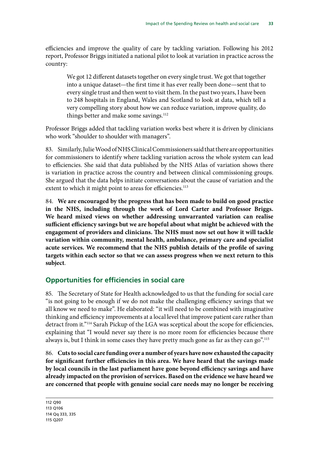efficiencies and improve the quality of care by tackling variation. Following his 2012 report, Professor Briggs initiated a national pilot to look at variation in practice across the country:

We got 12 different datasets together on every single trust. We got that together into a unique dataset—the first time it has ever really been done—sent that to every single trust and then went to visit them. In the past two years, I have been to 248 hospitals in England, Wales and Scotland to look at data, which tell a very compelling story about how we can reduce variation, improve quality, do things better and make some savings.<sup>112</sup>

Professor Briggs added that tackling variation works best where it is driven by clinicians who work "shoulder to shoulder with managers".

83. Similarly, Julie Wood of NHS Clinical Commissioners said that there are opportunities for commissioners to identify where tackling variation across the whole system can lead to efficiencies. She said that data published by the NHS Atlas of variation shows there is variation in practice across the country and between clinical commissioning groups. She argued that the data helps initiate conversations about the cause of variation and the extent to which it might point to areas for efficiencies.<sup>113</sup>

84. **We are encouraged by the progress that has been made to build on good practice in the NHS, including through the work of Lord Carter and Professor Briggs. We heard mixed views on whether addressing unwarranted variation can realise sufficient efficiency savings but we are hopeful about what might be achieved with the engagement of providers and clinicians. The NHS must now set out how it will tackle variation within community, mental health, ambulance, primary care and specialist acute services. We recommend that the NHS publish details of the profile of saving targets within each sector so that we can assess progress when we next return to this subject**.

## **Opportunities for efficiencies in social care**

85. The Secretary of State for Health acknowledged to us that the funding for social care "is not going to be enough if we do not make the challenging efficiency savings that we all know we need to make". He elaborated: "it will need to be combined with imaginative thinking and efficiency improvements at a local level that improve patient care rather than detract from it."<sup>114</sup> Sarah Pickup of the LGA was sceptical about the scope for efficiencies, explaining that "I would never say there is no more room for efficiencies because there always is, but I think in some cases they have pretty much gone as far as they can go".<sup>115</sup>

86. **Cuts to social care funding over a number of years have now exhausted the capacity for significant further efficiencies in this area. We have heard that the savings made by local councils in the last parliament have gone beyond efficiency savings and have already impacted on the provision of services. Based on the evidence we have heard we are concerned that people with genuine social care needs may no longer be receiving** 

<sup>112</sup> Q90 113 Q106 114 Qq 333, 335 115 Q207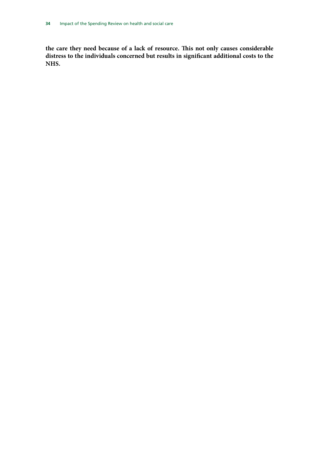**the care they need because of a lack of resource. This not only causes considerable distress to the individuals concerned but results in significant additional costs to the NHS.**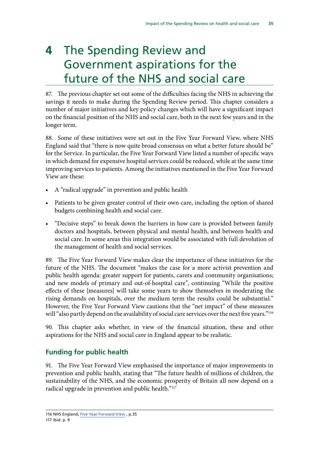## **4** The Spending Review and Government aspirations for the future of the NHS and social care

87. The previous chapter set out some of the difficulties facing the NHS in achieving the savings it needs to make during the Spending Review period. This chapter considers a number of major initiatives and key policy changes which will have a significant impact on the financial position of the NHS and social care, both in the next few years and in the longer term.

88. Some of these initiatives were set out in the Five Year Forward View, where NHS England said that "there is now quite broad consensus on what a better future should be" for the Service. In particular, the Five Year Forward View listed a number of specific ways in which demand for expensive hospital services could be reduced, while at the same time improving services to patients. Among the initiatives mentioned in the Five Year Forward View are these:

- A "radical upgrade" in prevention and public health
- Patients to be given greater control of their own care, including the option of shared budgets combining health and social care.
- "Decisive steps" to break down the barriers in how care is provided between family doctors and hospitals, between physical and mental health, and between health and social care. In some areas this integration would be associated with full devolution of the management of health and social services.

89. The Five Year Forward View makes clear the importance of these initiatives for the future of the NHS. The document "makes the case for a more activist prevention and public health agenda: greater support for patients, carers and community organisations; and new models of primary and out-of-hospital care", continuing "While the positive effects of these [measures] will take some years to show themselves in moderating the rising demands on hospitals, over the medium term the results could be substantial." However, the Five Year Forward View cautions that the "net impact" of these measures will "also partly depend on the availability of social care services over the next five years."<sup>116</sup>

90. This chapter asks whether, in view of the financial situation, these and other aspirations for the NHS and social care in England appear to be realistic.

## **Funding for public health**

91. The Five Year Forward View emphasised the importance of major improvements in prevention and public health, stating that "The future health of millions of children, the sustainability of the NHS, and the economic prosperity of Britain all now depend on a radical upgrade in prevention and public health."<sup>117</sup>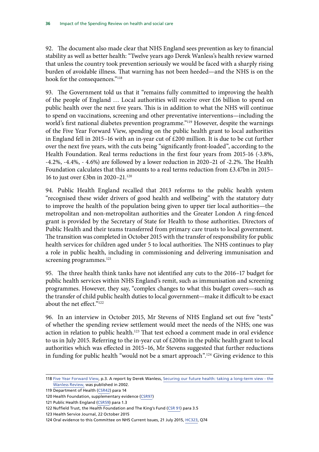92. The document also made clear that NHS England sees prevention as key to financial stability as well as better health: "Twelve years ago Derek Wanless's health review warned that unless the country took prevention seriously we would be faced with a sharply rising burden of avoidable illness. That warning has not been heeded—and the NHS is on the hook for the consequences."118

93. The Government told us that it "remains fully committed to improving the health of the people of England … Local authorities will receive over £16 billion to spend on public health over the next five years. This is in addition to what the NHS will continue to spend on vaccinations, screening and other preventative interventions—including the world's first national diabetes prevention programme."119 However, despite the warnings of the Five Year Forward View, spending on the public health grant to local authorities in England fell in 2015–16 with an in-year cut of £200 million. It is due to be cut further over the next five years, with the cuts being "significantly front-loaded", according to the Health Foundation. Real terms reductions in the first four years from 2015-16 (-3.8%, -4.2%, -4.4%, - 4.6%) are followed by a lower reduction in 2020–21 of -2.2%. The Health Foundation calculates that this amounts to a real terms reduction from £3.47bn in 2015– 16 to just over £3bn in 2020–21.120

94. Public Health England recalled that 2013 reforms to the public health system "recognised these wider drivers of good health and wellbeing" with the statutory duty to improve the health of the population being given to upper tier local authorities—the metropolitan and non-metropolitan authorities and the Greater London A ring-fenced grant is provided by the Secretary of State for Health to those authorities. Directors of Public Health and their teams transferred from primary care trusts to local government. The transition was completed in October 2015 with the transfer of responsibility for public health services for children aged under 5 to local authorities. The NHS continues to play a role in public health, including in commissioning and delivering immunisation and screening programmes.<sup>121</sup>

95. The three health think tanks have not identified any cuts to the 2016–17 budget for public health services within NHS England's remit, such as immunisation and screening programmes. However, they say, "complex changes to what this budget covers—such as the transfer of child public health duties to local government—make it difficult to be exact about the net effect."122

96. In an interview in October 2015, Mr Stevens of NHS England set out five "tests" of whether the spending review settlement would meet the needs of the NHS; one was action in relation to public health.<sup>123</sup> That test echoed a comment made in oral evidence to us in July 2015. Referring to the in-year cut of £200m in the public health grant to local authorities which was effected in 2015–16, Mr Stevens suggested that further reductions in funding for public health "would not be a smart approach".124 Giving evidence to this

<sup>118</sup> [Five Year Forward View,](https://www.england.nhs.uk/wp-content/uploads/2014/10/5yfv-web.pdf) p.3. A report by Derek Wanless, [Securing our future health: taking a long-term view - the](http://webarchive.nationalarchives.gov.uk/20130107105354/http:/www.hm-treasury.gov.uk/consult_wanless_index.htm) [Wanless Review,](http://webarchive.nationalarchives.gov.uk/20130107105354/http:/www.hm-treasury.gov.uk/consult_wanless_index.htm) was published in 2002.

<sup>119</sup> Department of Health [\(CSR42](https://www.england.nhs.uk/wp-content/uploads/2014/10/5yfv-web.pdf)) para 14

<sup>120</sup> Health Foundation, supplementary evidence ([CSR97\)](http://data.parliament.uk/writtenevidence/committeeevidence.svc/evidencedocument/health-committee/impact-of-the-comprehensive-spending-review-on-health-and-social-care/written/29950.pdf)

<sup>121</sup> Public Health England [\(CSR59](http://data.parliament.uk/writtenevidence/committeeevidence.svc/evidencedocument/health-committee/impact-of-the-comprehensive-spending-review-on-health-and-social-care/written/27365.pdf)) para 1.3

<sup>122</sup> Nuffield Trust, the Health Foundation and The King's Fund [\(CSR 91\)](http://data.parliament.uk/writtenevidence/committeeevidence.svc/evidencedocument/health-committee/impact-of-the-comprehensive-spending-review-on-health-and-social-care/written/28159.pdf) para 3.5

<sup>123</sup> Health Service Journal, 22 October 2015

<sup>124</sup> Oral evidence to this Committee on NHS Current Issues, 21 July 2015, [HC323](http://data.parliament.uk/writtenevidence/committeeevidence.svc/evidencedocument/health-committee/nhs-current-issues/oral/18809.pdf), Q74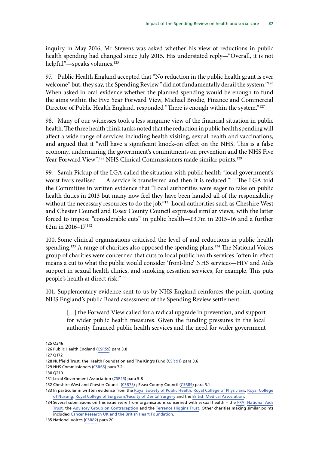inquiry in May 2016, Mr Stevens was asked whether his view of reductions in public health spending had changed since July 2015. His understated reply—"Overall, it is not helpful"—speaks volumes.<sup>125</sup>

97. Public Health England accepted that "No reduction in the public health grant is ever welcome" but, they say, the Spending Review "did not fundamentally derail the system."<sup>126</sup> When asked in oral evidence whether the planned spending would be enough to fund the aims within the Five Year Forward View, Michael Brodie, Finance and Commercial Director of Public Health England, responded "There is enough within the system."127

98. Many of our witnesses took a less sanguine view of the financial situation in public health. The three health think tanks noted that the reduction in public health spending will affect a wide range of services including health visiting, sexual health and vaccinations, and argued that it "will have a significant knock-on effect on the NHS. This is a false economy, undermining the government's commitments on prevention and the NHS Five Year Forward View".<sup>128</sup> NHS Clinical Commissioners made similar points.<sup>129</sup>

99. Sarah Pickup of the LGA called the situation with public health "local government's worst fears realised ... A service is transferred and then it is reduced."<sup>130</sup> The LGA told the Committee in written evidence that "Local authorities were eager to take on public health duties in 2013 but many now feel they have been handed all of the responsibility without the necessary resources to do the job."131 Local authorities such as Cheshire West and Chester Council and Essex County Council expressed similar views, with the latter forced to impose "considerable cuts" in public health—£3.7m in 2015–16 and a further £2m in 2016–17.132

100. Some clinical organisations criticised the level of and reductions in public health spending.<sup>133</sup> A range of charities also opposed the spending plans.<sup>134</sup> The National Voices group of charities were concerned that cuts to local public health services "often in effect means a cut to what the public would consider 'front-line' NHS services—HIV and Aids support in sexual health clinics, and smoking cessation services, for example. This puts people's health at direct risk."135

101. Supplementary evidence sent to us by NHS England reinforces the point, quoting NHS England's public Board assessment of the Spending Review settlement:

[...] the Forward View called for a radical upgrade in prevention, and support for wider public health measures. Given the funding pressures in the local authority financed public health services and the need for wider government

<sup>125</sup> Q346

<sup>126</sup> Public Health England [\(CSR59](http://data.parliament.uk/writtenevidence/committeeevidence.svc/evidencedocument/health-committee/impact-of-the-comprehensive-spending-review-on-health-and-social-care/written/27365.pdf)) para 3.8

<sup>127</sup> Q172

<sup>128</sup> Nuffield Trust, the Health Foundation and The King's Fund [\(CSR 91\)](http://data.parliament.uk/writtenevidence/committeeevidence.svc/evidencedocument/health-committee/impact-of-the-comprehensive-spending-review-on-health-and-social-care/written/28159.pdf) para 3.6

<sup>129</sup> NHS Commissioners ([CSR65\)](http://data.parliament.uk/writtenevidence/committeeevidence.svc/evidencedocument/health-committee/impact-of-the-comprehensive-spending-review-on-health-and-social-care/written/27375.pdf) para 7.2

<sup>130</sup> Q210

<sup>131</sup> Local Government Association [\(CSR15](http://data.parliament.uk/writtenevidence/committeeevidence.svc/evidencedocument/health-committee/impact-of-the-comprehensive-spending-review-on-health-and-social-care/written/27203.pdf)) para 5.8

<sup>132</sup> Cheshire West and Chester Council ([CSR73](http://data.parliament.uk/writtenevidence/committeeevidence.svc/evidencedocument/health-committee/impact-of-the-comprehensive-spending-review-on-health-and-social-care/written/27385.pdf)) ; Essex County Council [\(CSR89](http://data.parliament.uk/writtenevidence/committeeevidence.svc/evidencedocument/health-committee/impact-of-the-comprehensive-spending-review-on-health-and-social-care/written/27351.pdf)) para 5.1

<sup>133</sup> In particular in written evidence from the [Royal Society of Public Health](http://data.parliament.uk/writtenevidence/committeeevidence.svc/evidencedocument/health-committee/impact-of-the-comprehensive-spending-review-on-health-and-social-care/written/27561.pdf), [Royal College of Physicians](http://data.parliament.uk/writtenevidence/committeeevidence.svc/evidencedocument/health-committee/impact-of-the-comprehensive-spending-review-on-health-and-social-care/written/27192.pdf), [Royal College](http://data.parliament.uk/writtenevidence/committeeevidence.svc/evidencedocument/health-committee/impact-of-the-comprehensive-spending-review-on-health-and-social-care/written/27547.pdf) [of Nursing,](http://data.parliament.uk/writtenevidence/committeeevidence.svc/evidencedocument/health-committee/impact-of-the-comprehensive-spending-review-on-health-and-social-care/written/27547.pdf) [Royal College of Surgeons/Faculty of Dental Surgery](http://data.parliament.uk/writtenevidence/committeeevidence.svc/evidencedocument/health-committee/impact-of-the-comprehensive-spending-review-on-health-and-social-care/written/27346.pdf) and the [British Medical Association](http://data.parliament.uk/writtenevidence/committeeevidence.svc/evidencedocument/health-committee/impact-of-the-comprehensive-spending-review-on-health-and-social-care/written/27346.pdf).

<sup>134</sup> Several submissions on this issue were from organisations concerned with sexual health – th[e FPA](http://data.parliament.uk/writtenevidence/committeeevidence.svc/evidencedocument/health-committee/impact-of-the-comprehensive-spending-review-on-health-and-social-care/written/27274.pdf), [National Aids](http://data.parliament.uk/writtenevidence/committeeevidence.svc/evidencedocument/health-committee/impact-of-the-comprehensive-spending-review-on-health-and-social-care/written/27374.pdf) [Trust](http://data.parliament.uk/writtenevidence/committeeevidence.svc/evidencedocument/health-committee/impact-of-the-comprehensive-spending-review-on-health-and-social-care/written/27374.pdf), the [Advisory Group on Contraception](http://data.parliament.uk/writtenevidence/committeeevidence.svc/evidencedocument/health-committee/impact-of-the-comprehensive-spending-review-on-health-and-social-care/written/27338.pdf) and the [Terrence Higgins Trust.](http://data.parliament.uk/writtenevidence/committeeevidence.svc/evidencedocument/health-committee/impact-of-the-comprehensive-spending-review-on-health-and-social-care/written/31436.pdf) Other charities making similar points included [Cancer Research UK](http://data.parliament.uk/writtenevidence/committeeevidence.svc/evidencedocument/health-committee/impact-of-the-comprehensive-spending-review-on-health-and-social-care/written/27392.pdf) [and the British Heart Foundation](http://data.parliament.uk/writtenevidence/committeeevidence.svc/evidencedocument/health-committee/impact-of-the-comprehensive-spending-review-on-health-and-social-care/written/27380.pdf).

<sup>135</sup> National Voices ([CSR82\)](http://data.parliament.uk/writtenevidence/committeeevidence.svc/evidencedocument/health-committee/impact-of-the-comprehensive-spending-review-on-health-and-social-care/written/27552.pdf) para 20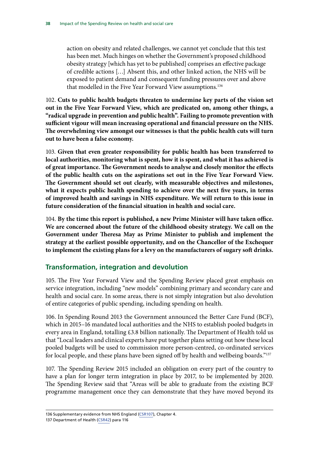action on obesity and related challenges, we cannot yet conclude that this test has been met. Much hinges on whether the Government's proposed childhood obesity strategy [which has yet to be published] comprises an effective package of credible actions […] Absent this, and other linked action, the NHS will be exposed to patient demand and consequent funding pressures over and above that modelled in the Five Year Forward View assumptions.<sup>136</sup>

102. **Cuts to public health budgets threaten to undermine key parts of the vision set out in the Five Year Forward View, which are predicated on, among other things, a "radical upgrade in prevention and public health". Failing to promote prevention with sufficient vigour will mean increasing operational and financial pressure on the NHS. The overwhelming view amongst our witnesses is that the public health cuts will turn out to have been a false economy.**

103. **Given that even greater responsibility for public health has been transferred to local authorities, monitoring what is spent, how it is spent, and what it has achieved is of great importance. The Government needs to analyse and closely monitor the effects of the public health cuts on the aspirations set out in the Five Year Forward View. The Government should set out clearly, with measurable objectives and milestones, what it expects public health spending to achieve over the next five years, in terms of improved health and savings in NHS expenditure. We will return to this issue in future consideration of the financial situation in health and social care.**

104. **By the time this report is published, a new Prime Minister will have taken office. We are concerned about the future of the childhood obesity strategy. We call on the Government under Theresa May as Prime Minister to publish and implement the strategy at the earliest possible opportunity, and on the Chancellor of the Exchequer to implement the existing plans for a levy on the manufacturers of sugary soft drinks.**

## **Transformation, integration and devolution**

105. The Five Year Forward View and the Spending Review placed great emphasis on service integration, including "new models" combining primary and secondary care and health and social care. In some areas, there is not simply integration but also devolution of entire categories of public spending, including spending on health.

106. In Spending Round 2013 the Government announced the Better Care Fund (BCF), which in 2015–16 mandated local authorities and the NHS to establish pooled budgets in every area in England, totalling £3.8 billion nationally. The Department of Health told us that "Local leaders and clinical experts have put together plans setting out how these local pooled budgets will be used to commission more person-centred, co-ordinated services for local people, and these plans have been signed off by health and wellbeing boards."137

107. The Spending Review 2015 included an obligation on every part of the country to have a plan for longer term integration in place by 2017, to be implemented by 2020. The Spending Review said that "Areas will be able to graduate from the existing BCF programme management once they can demonstrate that they have moved beyond its

<sup>136</sup> Supplementary evidence from NHS England ([CSR107\)](http://www.parliament.uk/documents/commons-committees/Health/Written%20evidence/CSR0107-NHS-England-TT.pdf), Chapter 4.

<sup>137</sup> Department of Health [\(CSR42](http://data.parliament.uk/writtenevidence/committeeevidence.svc/evidencedocument/health-committee/impact-of-the-comprehensive-spending-review-on-health-and-social-care/written/27323.pdf)) para 116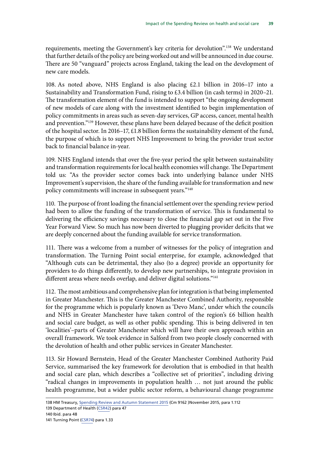requirements, meeting the Government's key criteria for devolution".<sup>138</sup> We understand that further details of the policy are being worked out and will be announced in due course. There are 50 "vanguard" projects across England, taking the lead on the development of new care models.

108. As noted above, NHS England is also placing £2.1 billion in 2016–17 into a Sustainability and Transformation Fund, rising to £3.4 billion (in cash terms) in 2020–21. The transformation element of the fund is intended to support "the ongoing development of new models of care along with the investment identified to begin implementation of policy commitments in areas such as seven-day services, GP access, cancer, mental health and prevention."139 However, these plans have been delayed because of the deficit position of the hospital sector. In 2016–17, £1.8 billion forms the sustainability element of the fund, the purpose of which is to support NHS Improvement to bring the provider trust sector back to financial balance in-year.

109. NHS England intends that over the five-year period the split between sustainability and transformation requirements for local health economies will change. The Department told us: "As the provider sector comes back into underlying balance under NHS Improvement's supervision, the share of the funding available for transformation and new policy commitments will increase in subsequent years."140

110. The purpose of front loading the financial settlement over the spending review period had been to allow the funding of the transformation of service. This is fundamental to delivering the efficiency savings necessary to close the financial gap set out in the Five Year Forward View. So much has now been diverted to plugging provider deficits that we are deeply concerned about the funding available for service transformation.

111. There was a welcome from a number of witnesses for the policy of integration and transformation. The Turning Point social enterprise, for example, acknowledged that "Although cuts can be detrimental, they also (to a degree) provide an opportunity for providers to do things differently, to develop new partnerships, to integrate provision in different areas where needs overlap, and deliver digital solutions."<sup>141</sup>

112. The most ambitious and comprehensive plan for integration is that being implemented in Greater Manchester. This is the Greater Manchester Combined Authority, responsible for the programme which is popularly known as 'Devo Manc', under which the councils and NHS in Greater Manchester have taken control of the region's £6 billion health and social care budget, as well as other public spending. This is being delivered in ten 'localities'–parts of Greater Manchester which will have their own approach within an overall framework. We took evidence in Salford from two people closely concerned with the devolution of health and other public services in Greater Manchester.

113. Sir Howard Bernstein, Head of the Greater Manchester Combined Authority Paid Service, summarised the key framework for devolution that is embodied in that health and social care plan, which describes a "collective set of priorities", including driving "radical changes in improvements in population health … not just around the public health programme, but a wider public sector reform, a behavioural change programme

<sup>138</sup> HM Treasury, [Spending Review and Autumn Statement 2015](https://www.gov.uk/government/uploads/system/uploads/attachment_data/file/479749/52229_Blue_Book_PU1865_Web_Accessible.pdf) (Cm 9162 )November 2015, para 1.112

<sup>139</sup> Department of Health [\(CSR42](http://data.parliament.uk/writtenevidence/committeeevidence.svc/evidencedocument/health-committee/impact-of-the-comprehensive-spending-review-on-health-and-social-care/written/27323.pdf)) para 47

<sup>140</sup> Ibid. para 48

<sup>141</sup> Turning Point [\(CSR74](http://data.parliament.uk/writtenevidence/committeeevidence.svc/evidencedocument/health-committee/impact-of-the-comprehensive-spending-review-on-health-and-social-care/written/27387.pdf)) para 1.33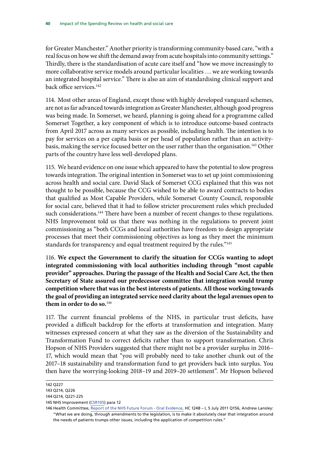for Greater Manchester." Another priority is transforming community-based care, "with a real focus on how we shift the demand away from acute hospitals into community settings." Thirdly, there is the standardisation of acute care itself and "how we move increasingly to more collaborative service models around particular localities … we are working towards an integrated hospital service." There is also an aim of standardising clinical support and back office services.<sup>142</sup>

114. Most other areas of England, except those with highly developed vanguard schemes, are not as far advanced towards integration as Greater Manchester, although good progress was being made. In Somerset, we heard, planning is going ahead for a programme called Somerset Together, a key component of which is to introduce outcome-based contracts from April 2017 across as many services as possible, including health. The intention is to pay for services on a per capita basis or per head of population rather than an activitybasis, making the service focused better on the user rather than the organisation.<sup>143</sup> Other parts of the country have less well-developed plans.

115. We heard evidence on one issue which appeared to have the potential to slow progress towards integration. The original intention in Somerset was to set up joint commissioning across health and social care. David Slack of Somerset CCG explained that this was not thought to be possible, because the CCG wished to be able to award contracts to bodies that qualified as Most Capable Providers, while Somerset County Council, responsible for social care, believed that it had to follow stricter procurement rules which precluded such considerations.<sup>144</sup> There have been a number of recent changes to these regulations. NHS Improvement told us that there was nothing in the regulations to prevent joint commissioning as "both CCGs and local authorities have freedom to design appropriate processes that meet their commissioning objectives as long as they meet the minimum standards for transparency and equal treatment required by the rules."<sup>145</sup>

116. **We expect the Government to clarify the situation for CCGs wanting to adopt integrated commissioning with local authorities including through "most capable provider" approaches. During the passage of the Health and Social Care Act, the then Secretary of State assured our predecessor committee that integration would trump competition where that was in the best interests of patients. All those working towards the goal of providing an integrated service need clarity about the legal avenues open to them in order to do so.**<sup>146</sup>

117. The current financial problems of the NHS, in particular trust deficits, have provided a difficult backdrop for the efforts at transformation and integration. Many witnesses expressed concern at what they saw as the diversion of the Sustainability and Transformation Fund to correct deficits rather than to support transformation. Chris Hopson of NHS Providers suggested that there might not be a provider surplus in 2016– 17, which would mean that "you will probably need to take another chunk out of the 2017–18 sustainability and transformation fund to get providers back into surplus. You then have the worrying-looking 2018–19 and 2019–20 settlement". Mr Hopson believed

<sup>142</sup> Q227

<sup>143</sup> Q214, Q226

<sup>144</sup> Q214, Q221-225

<sup>145</sup> NHS Improvement ([CSR105\)](http://data.parliament.uk/writtenevidence/committeeevidence.svc/evidencedocument/health-committee/impact-of-the-comprehensive-spending-review-on-health-and-social-care/written/32899.pdf) para 12

<sup>146</sup> Health Committee, [Report of the NHS Future Forum - Oral Evidence,](http://www.publications.parliament.uk/pa/cm201012/cmselect/cmhealth/1248/1248i_ii.pdf) HC 1248 – I, 5 July 2011 Q156, Andrew Lansley: "What we are doing, through amendments to the legislation, is to make it absolutely clear that integration around the needs of patients trumps other issues, including the application of competition rules."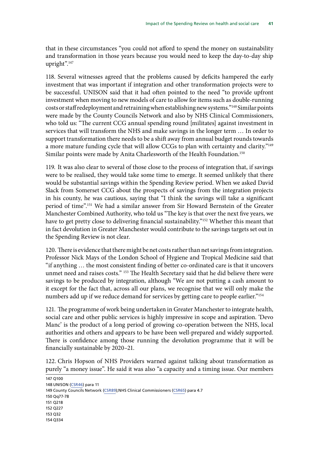that in these circumstances "you could not afford to spend the money on sustainability and transformation in those years because you would need to keep the day-to-day ship upright".<sup>147</sup>

118. Several witnesses agreed that the problems caused by deficits hampered the early investment that was important if integration and other transformation projects were to be successful. UNISON said that it had often pointed to the need "to provide upfront investment when moving to new models of care to allow for items such as double-running costs or staff redeployment and retraining when establishing new systems."148 Similar points were made by the County Councils Network and also by NHS Clinical Commissioners, who told us: "The current CCG annual spending round [militates] against investment in services that will transform the NHS and make savings in the longer term … In order to support transformation there needs to be a shift away from annual budget rounds towards a more mature funding cycle that will allow CCGs to plan with certainty and clarity."<sup>149</sup> Similar points were made by Anita Charlesworth of the Health Foundation.<sup>150</sup>

119. It was also clear to several of those close to the process of integration that, if savings were to be realised, they would take some time to emerge. It seemed unlikely that there would be substantial savings within the Spending Review period. When we asked David Slack from Somerset CCG about the prospects of savings from the integration projects in his county, he was cautious, saying that "I think the savings will take a significant period of time".151 We had a similar answer from Sir Howard Bernstein of the Greater Manchester Combined Authority, who told us "The key is that over the next five years, we have to get pretty close to delivering financial sustainability."<sup>152</sup> Whether this meant that in fact devolution in Greater Manchester would contribute to the savings targets set out in the Spending Review is not clear.

120. There is evidence that there might be net costs rather than net savings from integration. Professor Nick Mays of the London School of Hygiene and Tropical Medicine said that "if anything … the most consistent finding of better co-ordinated care is that it uncovers unmet need and raises costs." 153 The Health Secretary said that he did believe there were savings to be produced by integration, although "We are not putting a cash amount to it except for the fact that, across all our plans, we recognise that we will only make the numbers add up if we reduce demand for services by getting care to people earlier."<sup>154</sup>

121. The programme of work being undertaken in Greater Manchester to integrate health, social care and other public services is highly impressive in scope and aspiration. 'Devo Manc' is the product of a long period of growing co-operation between the NHS, local authorities and others and appears to be have been well-prepared and widely supported. There is confidence among those running the devolution programme that it will be financially sustainable by 2020–21.

122. Chris Hopson of NHS Providers warned against talking about transformation as purely "a money issue". He said it was also "a capacity and a timing issue. Our members

147 Q100 148 UNISON [\(CSR46\)](http://data.parliament.uk/writtenevidence/committeeevidence.svc/evidencedocument/health-committee/impact-of-the-comprehensive-spending-review-on-health-and-social-care/written/27336.pdf) para 11 149 County Councils Network [\(CSR89](http://data.parliament.uk/writtenevidence/committeeevidence.svc/evidencedocument/health-committee/impact-of-the-comprehensive-spending-review-on-health-and-social-care/written/27709.pdf));NHS Clinical Commissioners [\(CSR65](http://data.parliament.uk/writtenevidence/committeeevidence.svc/evidencedocument/health-committee/impact-of-the-comprehensive-spending-review-on-health-and-social-care/written/27375.pdf)) para 4.7 150 Qq77-78 151 Q218 152 Q227 153 Q32 154 Q334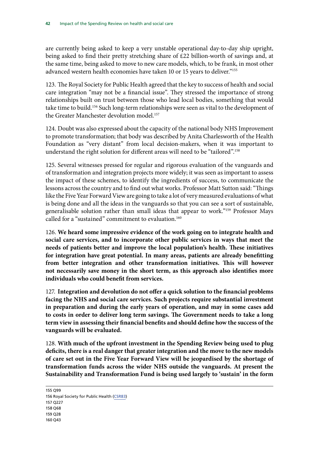are currently being asked to keep a very unstable operational day-to-day ship upright, being asked to find their pretty stretching share of £22 billion-worth of savings and, at the same time, being asked to move to new care models, which, to be frank, in most other advanced western health economies have taken 10 or 15 years to deliver."<sup>155</sup>

123. The Royal Society for Public Health agreed that the key to success of health and social care integration "may not be a financial issue". They stressed the importance of strong relationships built on trust between those who lead local bodies, something that would take time to build.<sup>156</sup> Such long-term relationships were seen as vital to the development of the Greater Manchester devolution model.<sup>157</sup>

124. Doubt was also expressed about the capacity of the national body NHS Improvement to promote transformation; that body was described by Anita Charlesworth of the Health Foundation as "very distant" from local decision-makers, when it was important to understand the right solution for different areas will need to be "tailored".158

125. Several witnesses pressed for regular and rigorous evaluation of the vanguards and of transformation and integration projects more widely; it was seen as important to assess the impact of these schemes, to identify the ingredients of success, to communicate the lessons across the country and to find out what works. Professor Matt Sutton said: "Things like the Five Year Forward View are going to take a lot of very measured evaluations of what is being done and all the ideas in the vanguards so that you can see a sort of sustainable, generalisable solution rather than small ideas that appear to work."159 Professor Mays called for a "sustained" commitment to evaluation.<sup>160</sup>

126. **We heard some impressive evidence of the work going on to integrate health and social care services, and to incorporate other public services in ways that meet the needs of patients better and improve the local population's health. These initiatives for integration have great potential. In many areas, patients are already benefitting from better integration and other transformation initiatives. This will however not necessarily save money in the short term, as this approach also identifies more individuals who could benefit from services.**

127. **Integration and devolution do not offer a quick solution to the financial problems facing the NHS and social care services. Such projects require substantial investment in preparation and during the early years of operation, and may in some cases add to costs in order to deliver long term savings. The Government needs to take a long term view in assessing their financial benefits and should define how the success of the vanguards will be evaluated.**

128. **With much of the upfront investment in the Spending Review being used to plug deficits, there is a real danger that greater integration and the move to the new models of care set out in the Five Year Forward View will be jeopardised by the shortage of transformation funds across the wider NHS outside the vanguards. At present the Sustainability and Transformation Fund is being used largely to 'sustain' in the form** 

155 Q99 156 Royal Society for Public Health ([CSR83\)](http://data.parliament.uk/writtenevidence/committeeevidence.svc/evidencedocument/health-committee/impact-of-the-comprehensive-spending-review-on-health-and-social-care/written/27561.pdf) 157 Q227 158 Q68 159 Q28 160 Q43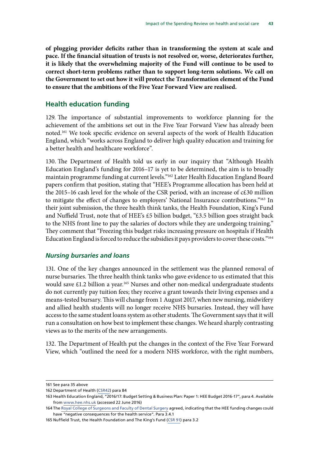**of plugging provider deficits rather than in transforming the system at scale and pace. If the financial situation of trusts is not resolved or, worse, deteriorates further, it is likely that the overwhelming majority of the Fund will continue to be used to correct short-term problems rather than to support long-term solutions. We call on the Government to set out how it will protect the Transformation element of the Fund to ensure that the ambitions of the Five Year Forward View are realised.**

#### **Health education funding**

129. The importance of substantial improvements to workforce planning for the achievement of the ambitions set out in the Five Year Forward View has already been noted.161 We took specific evidence on several aspects of the work of Health Education England, which "works across England to deliver high quality education and training for a better health and healthcare workforce".

130. The Department of Health told us early in our inquiry that "Although Health Education England's funding for 2016–17 is yet to be determined, the aim is to broadly maintain programme funding at current levels."162 Later Health Education England Board papers confirm that position, stating that "HEE's Programme allocation has been held at the 2015–16 cash level for the whole of the CSR period, with an increase of c£30 million to mitigate the effect of changes to employers' National Insurance contributions."<sup>163</sup> In their joint submission, the three health think tanks, the Health Foundation, King's Fund and Nuffield Trust, note that of HEE's £5 billion budget, "£3.5 billion goes straight back to the NHS front line to pay the salaries of doctors while they are undergoing training." They comment that "Freezing this budget risks increasing pressure on hospitals if Health Education England is forced to reduce the subsidies it pays providers to cover these costs."164

#### *Nursing bursaries and loans*

131. One of the key changes announced in the settlement was the planned removal of nurse bursaries. The three health think tanks who gave evidence to us estimated that this would save £1.2 billion a year.<sup>165</sup> Nurses and other non-medical undergraduate students do not currently pay tuition fees; they receive a grant towards their living expenses and a means-tested bursary. This will change from 1 August 2017, when new nursing, midwifery and allied health students will no longer receive NHS bursaries. Instead, they will have access to the same student loans system as other students. The Government says that it will run a consultation on how best to implement these changes. We heard sharply contrasting views as to the merits of the new arrangements.

132. The Department of Health put the changes in the context of the Five Year Forward View, which "outlined the need for a modern NHS workforce, with the right numbers,

<sup>161</sup> See para [35](#page-22-0) above

<sup>162</sup> Department of Health [\(CSR42](http://data.parliament.uk/writtenevidence/committeeevidence.svc/evidencedocument/health-committee/impact-of-the-comprehensive-spending-review-on-health-and-social-care/written/27323.pdf)) para 84

<sup>163</sup> Health Education England, "2016/17: Budget Setting & Business Plan: Paper 1: HEE Budget 2016-17", para 4. Available from [www.hee.nhs.uk](http://www.hee.nhs.uk) (accessed 22 June 2016)

<sup>164</sup> The [Royal College of Surgeons and Faculty of Dental Surgery](http://data.parliament.uk/writtenevidence/committeeevidence.svc/evidencedocument/health-committee/impact-of-the-comprehensive-spending-review-on-health-and-social-care/written/27346.pdf) agreed, indicating that the HEE funding changes could have "negative consequences for the health service". Para 3.4.1

<sup>165</sup> Nuffield Trust, the Health Foundation and The King's Fund [\(CSR 91\)](http://data.parliament.uk/writtenevidence/committeeevidence.svc/evidencedocument/health-committee/impact-of-the-comprehensive-spending-review-on-health-and-social-care/written/28159.pdf) para 3.2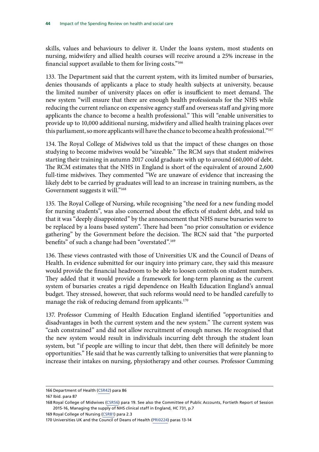skills, values and behaviours to deliver it. Under the loans system, most students on nursing, midwifery and allied health courses will receive around a 25% increase in the financial support available to them for living costs."166

133. The Department said that the current system, with its limited number of bursaries, denies thousands of applicants a place to study health subjects at university, because the limited number of university places on offer is insufficient to meet demand. The new system "will ensure that there are enough health professionals for the NHS while reducing the current reliance on expensive agency staff and overseas staff and giving more applicants the chance to become a health professional." This will "enable universities to provide up to 10,000 additional nursing, midwifery and allied health training places over this parliament, so more applicants will have the chance to become a health professional."<sup>167</sup>

134. The Royal College of Midwives told us that the impact of these changes on those studying to become midwives would be "sizeable." The RCM says that student midwives starting their training in autumn 2017 could graduate with up to around  $£60,000$  of debt. The RCM estimates that the NHS in England is short of the equivalent of around 2,600 full-time midwives. They commented "We are unaware of evidence that increasing the likely debt to be carried by graduates will lead to an increase in training numbers, as the Government suggests it will."168

135. The Royal College of Nursing, while recognising "the need for a new funding model for nursing students", was also concerned about the effects of student debt, and told us that it was "deeply disappointed" by the announcement that NHS nurse bursaries were to be replaced by a loans based system". There had been "no prior consultation or evidence gathering" by the Government before the decision. The RCN said that "the purported benefits" of such a change had been "overstated".<sup>169</sup>

136. These views contrasted with those of Universities UK and the Council of Deans of Health. In evidence submitted for our inquiry into primary care, they said this measure would provide the financial headroom to be able to loosen controls on student numbers. They added that it would provide a framework for long-term planning as the current system of bursaries creates a rigid dependence on Health Education England's annual budget. They stressed, however, that such reforms would need to be handled carefully to manage the risk of reducing demand from applicants.<sup>170</sup>

137. Professor Cumming of Health Education England identified "opportunities and disadvantages in both the current system and the new system." The current system was "cash constrained" and did not allow recruitment of enough nurses. He recognised that the new system would result in individuals incurring debt through the student loan system, but "if people are willing to incur that debt, then there will definitely be more opportunities." He said that he was currently talking to universities that were planning to increase their intakes on nursing, physiotherapy and other courses. Professor Cumming

169 Royal College of Nursing ([CSR81](http://data.parliament.uk/writtenevidence/committeeevidence.svc/evidencedocument/health-committee/impact-of-the-comprehensive-spending-review-on-health-and-social-care/written/27547.pdf)) para 2.3

<sup>166</sup> Department of Health [\(CSR42](http://data.parliament.uk/writtenevidence/committeeevidence.svc/evidencedocument/health-committee/impact-of-the-comprehensive-spending-review-on-health-and-social-care/written/27323.pdf)) para 86

<sup>167</sup> Ibid. para 87

<sup>168</sup> Royal College of Midwives [\(CSR56\)](http://data.parliament.uk/writtenevidence/committeeevidence.svc/evidencedocument/health-committee/impact-of-the-comprehensive-spending-review-on-health-and-social-care/written/27360.pdf) para 19. See also the Committee of Public Accounts, Fortieth Report of Session 2015-16, Managing the supply of NHS clinical staff in England, HC 731, p.7

<sup>170</sup> Universities UK and the Council of Deans of Health ([PRI0224](http://data.parliament.uk/writtenevidence/committeeevidence.svc/evidencedocument/health-committee/primary-care/written/25009.pdf)) paras 13-14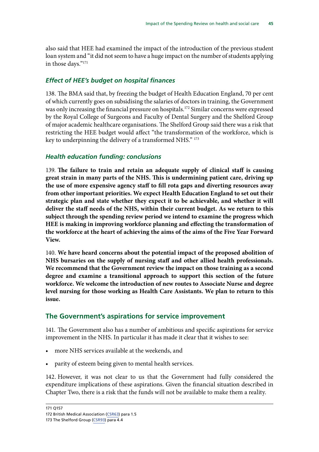also said that HEE had examined the impact of the introduction of the previous student loan system and "it did not seem to have a huge impact on the number of students applying in those days."171

#### *Effect of HEE's budget on hospital finances*

138. The BMA said that, by freezing the budget of Health Education England, 70 per cent of which currently goes on subsidising the salaries of doctors in training, the Government was only increasing the financial pressure on hospitals.<sup>172</sup> Similar concerns were expressed by the Royal College of Surgeons and Faculty of Dental Surgery and the Shelford Group of major academic healthcare organisations. The Shelford Group said there was a risk that restricting the HEE budget would affect "the transformation of the workforce, which is key to underpinning the delivery of a transformed NHS." 173

#### *Health education funding: conclusions*

139. **The failure to train and retain an adequate supply of clinical staff is causing great strain in many parts of the NHS. This is undermining patient care, driving up the use of more expensive agency staff to fill rota gaps and diverting resources away from other important priorities. We expect Health Education England to set out their strategic plan and state whether they expect it to be achievable, and whether it will deliver the staff needs of the NHS, within their current budget. As we return to this subject through the spending review period we intend to examine the progress which HEE is making in improving workforce planning and effecting the transformation of the workforce at the heart of achieving the aims of the aims of the Five Year Forward View.**

140. **We have heard concerns about the potential impact of the proposed abolition of NHS bursaries on the supply of nursing staff and other allied health professionals. We recommend that the Government review the impact on those training as a second degree and examine a transitional approach to support this section of the future workforce. We welcome the introduction of new routes to Associate Nurse and degree level nursing for those working as Health Care Assistants. We plan to return to this issue.**

## **The Government's aspirations for service improvement**

141. The Government also has a number of ambitious and specific aspirations for service improvement in the NHS. In particular it has made it clear that it wishes to see:

- more NHS services available at the weekends, and
- parity of esteem being given to mental health services.

142. However, it was not clear to us that the Government had fully considered the expenditure implications of these aspirations. Given the financial situation described in Chapter Two, there is a risk that the funds will not be available to make them a reality.

<sup>171</sup> Q157

<sup>172</sup> British Medical Association ([CSR63\)](http://data.parliament.uk/writtenevidence/committeeevidence.svc/evidencedocument/health-committee/impact-of-the-comprehensive-spending-review-on-health-and-social-care/written/27372.pdf) para 1.5

<sup>173</sup> The Shelford Group ([CSR93\)](http://data.parliament.uk/writtenevidence/committeeevidence.svc/evidencedocument/health-committee/impact-of-the-comprehensive-spending-review-on-health-and-social-care/written/29046.pdf) para 4.4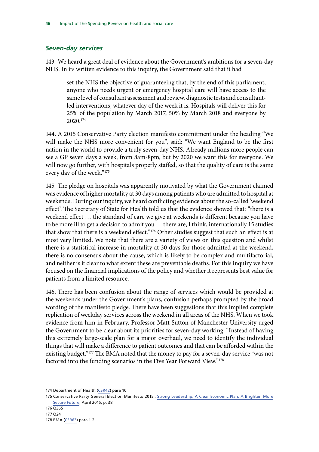## *Seven-day services*

143. We heard a great deal of evidence about the Government's ambitions for a seven-day NHS. In its written evidence to this inquiry, the Government said that it had

set the NHS the objective of guaranteeing that, by the end of this parliament, anyone who needs urgent or emergency hospital care will have access to the same level of consultant assessment and review, diagnostic tests and consultantled interventions, whatever day of the week it is. Hospitals will deliver this for 25% of the population by March 2017, 50% by March 2018 and everyone by 2020.174

144. A 2015 Conservative Party election manifesto commitment under the heading "We will make the NHS more convenient for you", said: "We want England to be the first nation in the world to provide a truly seven-day NHS. Already millions more people can see a GP seven days a week, from 8am-8pm, but by 2020 we want this for everyone. We will now go further, with hospitals properly staffed, so that the quality of care is the same every day of the week."<sup>175</sup>

145. The pledge on hospitals was apparently motivated by what the Government claimed was evidence of higher mortality at 30 days among patients who are admitted to hospital at weekends. During our inquiry, we heard conflicting evidence about the so-called 'weekend effect'. The Secretary of State for Health told us that the evidence showed that: "there is a weekend effect … the standard of care we give at weekends is different because you have to be more ill to get a decision to admit you … there are, I think, internationally 15 studies that show that there is a weekend effect."<sup>176</sup> Other studies suggest that such an effect is at most very limited. We note that there are a variety of views on this question and whilst there is a statistical increase in mortality at 30 days for those admitted at the weekend, there is no consensus about the cause, which is likely to be complex and multifactorial, and neither is it clear to what extent these are preventable deaths. For this inquiry we have focused on the financial implications of the policy and whether it represents best value for patients from a limited resource.

146. There has been confusion about the range of services which would be provided at the weekends under the Government's plans, confusion perhaps prompted by the broad wording of the manifesto pledge. There have been suggestions that this implied complete replication of weekday services across the weekend in all areas of the NHS. When we took evidence from him in February, Professor Matt Sutton of Manchester University urged the Government to be clear about its priorities for seven-day working. "Instead of having this extremely large-scale plan for a major overhaul, we need to identify the individual things that will make a difference to patient outcomes and that can be afforded within the existing budget."<sup>177</sup> The BMA noted that the money to pay for a seven-day service "was not factored into the funding scenarios in the Five Year Forward View."178

<sup>174</sup> Department of Health [\(CSR42](http://data.parliament.uk/writtenevidence/committeeevidence.svc/evidencedocument/health-committee/impact-of-the-comprehensive-spending-review-on-health-and-social-care/written/27323.pdf)) para 10

<sup>175</sup> Conservative Party General Election Manifesto 2015 : [Strong Leadership, A Clear Economic Plan, A Brighter, More](https://s3-eu-west-1.amazonaws.com/manifesto2015/ConservativeManifesto2015.pdf) [Secure Future](https://s3-eu-west-1.amazonaws.com/manifesto2015/ConservativeManifesto2015.pdf), April 2015, p. 38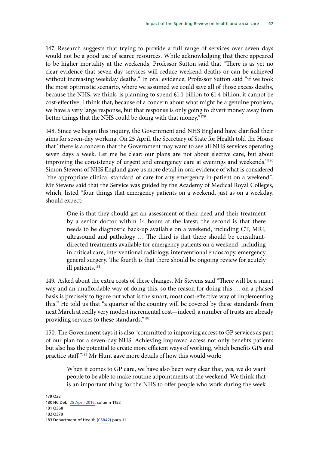147. Research suggests that trying to provide a full range of services over seven days would not be a good use of scarce resources. While acknowledging that there appeared to be higher mortality at the weekends, Professor Sutton said that "There is as yet no clear evidence that seven-day services will reduce weekend deaths or can be achieved without increasing weekday deaths." In oral evidence, Professor Sutton said "if we took the most optimistic scenario, where we assumed we could save all of those excess deaths, because the NHS, we think, is planning to spend £1.1 billion to £1.4 billion, it cannot be cost-effective. I think that, because of a concern about what might be a genuine problem, we have a very large response, but that response is only going to divert money away from better things that the NHS could be doing with that money."179

148. Since we began this inquiry, the Government and NHS England have clarified their aims for seven-day working. On 25 April, the Secretary of State for Health told the House that "there is a concern that the Government may want to see all NHS services operating seven days a week. Let me be clear: our plans are not about elective care, but about improving the consistency of urgent and emergency care at evenings and weekends."<sup>180</sup> Simon Stevens of NHS England gave us more detail in oral evidence of what is considered "the appropriate clinical standard of care for any emergency in-patient on a weekend". Mr Stevens said that the Service was guided by the Academy of Medical Royal Colleges, which, listed "four things that emergency patients on a weekend, just as on a weekday, should expect:

One is that they should get an assessment of their need and their treatment by a senior doctor within 14 hours at the latest; the second is that there needs to be diagnostic back-up available on a weekend, including CT, MRI, ultrasound and pathology … The third is that there should be consultantdirected treatments available for emergency patients on a weekend, including in critical care, interventional radiology, interventional endoscopy, emergency general surgery. The fourth is that there should be ongoing review for acutely ill patients.<sup>181</sup>

149. Asked about the extra costs of these changes, Mr Stevens said "There will be a smart way and an unaffordable way of doing this, so the reason for doing this … on a phased basis is precisely to figure out what is the smart, most cost-effective way of implementing this." He told us that "a quarter of the country will be covered by these standards from next March at really very modest incremental cost—indeed, a number of trusts are already providing services to these standards."182

150. The Government says it is also "committed to improving access to GP services as part of our plan for a seven-day NHS. Achieving improved access not only benefits patients but also has the potential to create more efficient ways of working, which benefits GPs and practice staff."183 Mr Hunt gave more details of how this would work:

When it comes to GP care, we have also been very clear that, yes, we do want people to be able to make routine appointments at the weekend. We think that is an important thing for the NHS to offer people who work during the week

- 181 Q368
- 182 Q378

<sup>179</sup> Q22 180 HC Deb, [25 April 2016,](https://hansard.parliament.uk/commons/2016-04-25/debates/16042516000001/JuniorDoctorsContracts) column 1152

<sup>183</sup> Department of Health [\(CSR42](http://data.parliament.uk/writtenevidence/committeeevidence.svc/evidencedocument/health-committee/impact-of-the-comprehensive-spending-review-on-health-and-social-care/written/27323.pdf)) para 11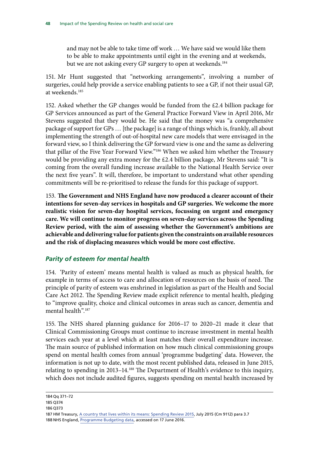and may not be able to take time off work … We have said we would like them to be able to make appointments until eight in the evening and at weekends, but we are not asking every GP surgery to open at weekends.<sup>184</sup>

151. Mr Hunt suggested that "networking arrangements", involving a number of surgeries, could help provide a service enabling patients to see a GP, if not their usual GP, at weekends.<sup>185</sup>

152. Asked whether the GP changes would be funded from the £2.4 billion package for GP Services announced as part of the General Practice Forward View in April 2016, Mr Stevens suggested that they would be. He said that the money was "a comprehensive package of support for GPs … [the package] is a range of things which is, frankly, all about implementing the strength of out-of-hospital new care models that were envisaged in the forward view, so I think delivering the GP forward view is one and the same as delivering that pillar of the Five Year Forward View."186 When we asked him whether the Treasury would be providing any extra money for the £2.4 billion package, Mr Stevens said: "It is coming from the overall funding increase available to the National Health Service over the next five years". It will, therefore, be important to understand what other spending commitments will be re-prioritised to release the funds for this package of support.

153. **The Government and NHS England have now produced a clearer account of their intentions for seven-day services in hospitals and GP surgeries. We welcome the more realistic vision for seven-day hospital services, focussing on urgent and emergency care. We will continue to monitor progress on seven-day services across the Spending Review period, with the aim of assessing whether the Government's ambitions are achievable and delivering value for patients given the constraints on available resources and the risk of displacing measures which would be more cost effective.**

## *Parity of esteem for mental health*

154. 'Parity of esteem' means mental health is valued as much as physical health, for example in terms of access to care and allocation of resources on the basis of need. The principle of parity of esteem was enshrined in legislation as part of the Health and Social Care Act 2012. The Spending Review made explicit reference to mental health, pledging to "improve quality, choice and clinical outcomes in areas such as cancer, dementia and mental health".187

155. The NHS shared planning guidance for 2016–17 to 2020–21 made it clear that Clinical Commissioning Groups must continue to increase investment in mental health services each year at a level which at least matches their overall expenditure increase. The main source of published information on how much clinical commissioning groups spend on mental health comes from annual 'programme budgeting' data. However, the information is not up to date, with the most recent published data, released in June 2015, relating to spending in 2013–14.188 The Department of Health's evidence to this inquiry, which does not include audited figures, suggests spending on mental health increased by

<sup>184</sup> Qq 371–72

<sup>185</sup> Q374

<sup>186</sup> Q373

<sup>187</sup> HM Treasury, [A country that lives within its means: Spending Review 2015](https://www.gov.uk/government/uploads/system/uploads/attachment_data/file/447101/a_country_that_lives_within_its_means.pdf), July 2015 (Cm 9112) para 3.7

<sup>188</sup> NHS England, [Programme Budgeting data,](https://www.england.nhs.uk/resources/resources-for-ccgs/prog-budgeting/) accessed on 17 June 2016.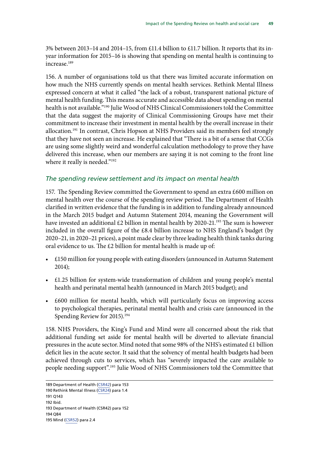3% between 2013–14 and 2014–15, from £11.4 billion to £11.7 billion. It reports that its inyear information for 2015–16 is showing that spending on mental health is continuing to increase $^{189}$ 

156. A number of organisations told us that there was limited accurate information on how much the NHS currently spends on mental health services. Rethink Mental Illness expressed concern at what it called "the lack of a robust, transparent national picture of mental health funding. This means accurate and accessible data about spending on mental health is not available."190 Julie Wood of NHS Clinical Commissioners told the Committee that the data suggest the majority of Clinical Commissioning Groups have met their commitment to increase their investment in mental health by the overall increase in their allocation.<sup>191</sup> In contrast, Chris Hopson at NHS Providers said its members feel strongly that they have not seen an increase. He explained that "There is a bit of a sense that CCGs are using some slightly weird and wonderful calculation methodology to prove they have delivered this increase, when our members are saying it is not coming to the front line where it really is needed."<sup>192</sup>

#### *The spending review settlement and its impact on mental health*

157. The Spending Review committed the Government to spend an extra £600 million on mental health over the course of the spending review period. The Department of Health clarified in written evidence that the funding is in addition to funding already announced in the March 2015 budget and Autumn Statement 2014, meaning the Government will have invested an additional £2 billion in mental health by 2020-21.<sup>193</sup> The sum is however included in the overall figure of the £8.4 billion increase to NHS England's budget (by 2020–21, in 2020–21 prices), a point made clear by three leading health think tanks during oral evidence to us. The £2 billion for mental health is made up of:

- £150 million for young people with eating disorders (announced in Autumn Statement 2014);
- £1.25 billion for system-wide transformation of children and young people's mental health and perinatal mental health (announced in March 2015 budget); and
- £600 million for mental health, which will particularly focus on improving access to psychological therapies, perinatal mental health and crisis care (announced in the Spending Review for 2015).<sup>194</sup>

158. NHS Providers, the King's Fund and Mind were all concerned about the risk that additional funding set aside for mental health will be diverted to alleviate financial pressures in the acute sector.Mind noted that some 98% of the NHS's estimated £1 billion deficit lies in the acute sector. It said that the solvency of mental health budgets had been achieved through cuts to services, which has "severely impacted the care available to people needing support".195 Julie Wood of NHS Commissioners told the Committee that

- 191 Q143
- 192 Ibid.

194 Q84

<sup>189</sup> Department of Health [\(CSR42](http://data.parliament.uk/writtenevidence/committeeevidence.svc/evidencedocument/health-committee/impact-of-the-comprehensive-spending-review-on-health-and-social-care/written/27323.pdf)) para 153

<sup>190</sup> Rethink Mental Illness ([CSR24\)](http://data.parliament.uk/writtenevidence/committeeevidence.svc/evidencedocument/health-committee/impact-of-the-comprehensive-spending-review-on-health-and-social-care/written/27265.pdf) para 1.4

<sup>193</sup> Department of Health (CSR42) para 152

<sup>195</sup> Mind [\(CSR52](http://data.parliament.uk/writtenevidence/committeeevidence.svc/evidencedocument/health-committee/impact-of-the-comprehensive-spending-review-on-health-and-social-care/written/27352.pdf)) para 2.4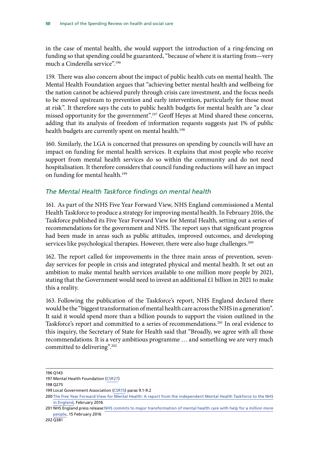in the case of mental health, she would support the introduction of a ring-fencing on funding so that spending could be guaranteed, "because of where it is starting from—very much a Cinderella service".196

159. There was also concern about the impact of public health cuts on mental health. The Mental Health Foundation argues that "achieving better mental health and wellbeing for the nation cannot be achieved purely through crisis care investment, and the focus needs to be moved upstream to prevention and early intervention, particularly for those most at risk". It therefore says the cuts to public health budgets for mental health are "a clear missed opportunity for the government".197 Geoff Heyes at Mind shared these concerns, adding that its analysis of freedom of information requests suggests just 1% of public health budgets are currently spent on mental health.<sup>198</sup>

160. Similarly, the LGA is concerned that pressures on spending by councils will have an impact on funding for mental health services. It explains that most people who receive support from mental health services do so within the community and do not need hospitalisation. It therefore considers that council funding reductions will have an impact on funding for mental health.<sup>199</sup>

#### *The Mental Health Taskforce findings on mental health*

161. As part of the NHS Five Year Forward View, NHS England commissioned a Mental Health Taskforce to produce a strategy for improving mental health. In February 2016, the Taskforce published its Five Year Forward View for Mental Health, setting out a series of recommendations for the government and NHS. The report says that significant progress had been made in areas such as public attitudes, improved outcomes, and developing services like psychological therapies. However, there were also huge challenges.<sup>200</sup>

162. The report called for improvements in the three main areas of prevention, sevenday services for people in crisis and integrated physical and mental health. It set out an ambition to make mental health services available to one million more people by 2021, stating that the Government would need to invest an additional £1 billion in 2021 to make this a reality.

163. Following the publication of the Taskforce's report, NHS England declared there would be the "biggest transformation of mental health care across the NHS in a generation". It said it would spend more than a billion pounds to support the vision outlined in the Taskforce's report and committed to a series of recommendations.<sup>201</sup> In oral evidence to this inquiry, the Secretary of State for Health said that "Broadly, we agree with all those recommendations. It is a very ambitious programme … and something we are very much committed to delivering".<sup>202</sup>

<sup>196</sup> Q143

<sup>197</sup> Mental Health Foundation ([CSR27\)](http://data.parliament.uk/writtenevidence/committeeevidence.svc/evidencedocument/health-committee/impact-of-the-comprehensive-spending-review-on-health-and-social-care/written/27271.pdf)

<sup>198</sup> Q275

<sup>199</sup> Local Government Association [\(CSR15](http://data.parliament.uk/writtenevidence/committeeevidence.svc/evidencedocument/health-committee/impact-of-the-comprehensive-spending-review-on-health-and-social-care/written/27203.pdf)) paras 9.1-9.2

<sup>200</sup> [The Five Year Forward View for Mental Health: A report from the independent Mental Health Taskforce to the NHS](https://www.england.nhs.uk/wp-content/uploads/2016/02/Mental-Health-Taskforce-FYFV-final.pdf) [in England](https://www.england.nhs.uk/wp-content/uploads/2016/02/Mental-Health-Taskforce-FYFV-final.pdf), February 2016

<sup>201</sup> NHS England press release:[NHS commits to major transformation of mental health care with help for a million more](https://www.england.nhs.uk/2016/02/fyfv-mh/) [people](https://www.england.nhs.uk/2016/02/fyfv-mh/), 15 February 2016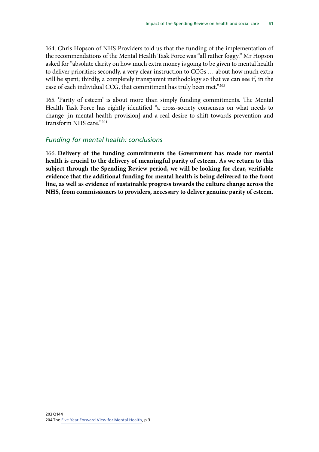164. Chris Hopson of NHS Providers told us that the funding of the implementation of the recommendations of the Mental Health Task Force was "all rather foggy." Mr Hopson asked for "absolute clarity on how much extra money is going to be given to mental health to deliver priorities; secondly, a very clear instruction to CCGs … about how much extra will be spent; thirdly, a completely transparent methodology so that we can see if, in the case of each individual CCG, that commitment has truly been met."203

165. 'Parity of esteem' is about more than simply funding commitments. The Mental Health Task Force has rightly identified "a cross-society consensus on what needs to change [in mental health provision] and a real desire to shift towards prevention and transform NHS care."204

#### *Funding for mental health: conclusions*

166. **Delivery of the funding commitments the Government has made for mental health is crucial to the delivery of meaningful parity of esteem. As we return to this subject through the Spending Review period, we will be looking for clear, verifiable evidence that the additional funding for mental health is being delivered to the front line, as well as evidence of sustainable progress towards the culture change across the NHS, from commissioners to providers, necessary to deliver genuine parity of esteem.**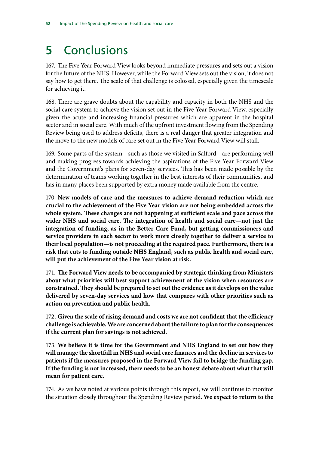# **5** Conclusions

167. The Five Year Forward View looks beyond immediate pressures and sets out a vision for the future of the NHS. However, while the Forward View sets out the vision, it does not say how to get there. The scale of that challenge is colossal, especially given the timescale for achieving it.

168. There are grave doubts about the capability and capacity in both the NHS and the social care system to achieve the vision set out in the Five Year Forward View, especially given the acute and increasing financial pressures which are apparent in the hospital sector and in social care. With much of the upfront investment flowing from the Spending Review being used to address deficits, there is a real danger that greater integration and the move to the new models of care set out in the Five Year Forward View will stall.

169. Some parts of the system—such as those we visited in Salford—are performing well and making progress towards achieving the aspirations of the Five Year Forward View and the Government's plans for seven-day services. This has been made possible by the determination of teams working together in the best interests of their communities, and has in many places been supported by extra money made available from the centre.

170. **New models of care and the measures to achieve demand reduction which are crucial to the achievement of the Five Year vision are not being embedded across the whole system. These changes are not happening at sufficient scale and pace across the wider NHS and social care. The integration of health and social care—not just the integration of funding, as in the Better Care Fund, but getting commissioners and service providers in each sector to work more closely together to deliver a service to their local population—is not proceeding at the required pace. Furthermore, there is a risk that cuts to funding outside NHS England, such as public health and social care, will put the achievement of the Five Year vision at risk.**

171. **The Forward View needs to be accompanied by strategic thinking from Ministers about what priorities will best support achievement of the vision when resources are constrained. They should be prepared to set out the evidence as it develops on the value delivered by seven-day services and how that compares with other priorities such as action on prevention and public health.**

172. **Given the scale of rising demand and costs we are not confident that the efficiency challenge is achievable. We are concerned about the failure to plan for the consequences if the current plan for savings is not achieved.**

173. **We believe it is time for the Government and NHS England to set out how they will manage the shortfall in NHS and social care finances and the decline in services to patients if the measures proposed in the Forward View fail to bridge the funding gap. If the funding is not increased, there needs to be an honest debate about what that will mean for patient care.**

174. As we have noted at various points through this report, we will continue to monitor the situation closely throughout the Spending Review period. **We expect to return to the**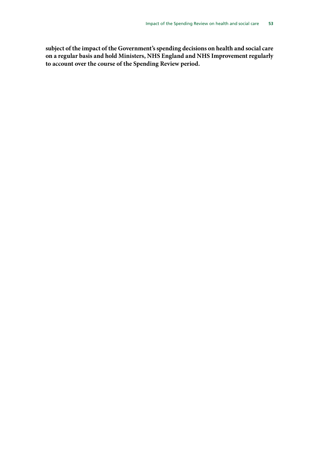**subject of the impact of the Government's spending decisions on health and social care on a regular basis and hold Ministers, NHS England and NHS Improvement regularly to account over the course of the Spending Review period.**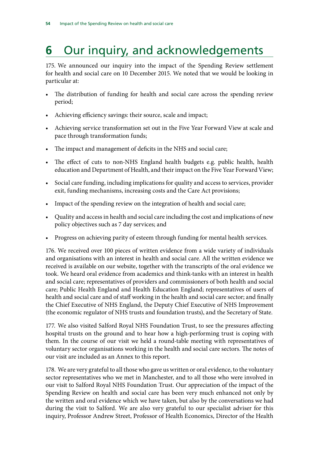# **6** Our inquiry, and acknowledgements

175. We announced our inquiry into the impact of the Spending Review settlement for health and social care on 10 December 2015. We noted that we would be looking in particular at:

- The distribution of funding for health and social care across the spending review period;
- Achieving efficiency savings: their source, scale and impact;
- Achieving service transformation set out in the Five Year Forward View at scale and pace through transformation funds;
- The impact and management of deficits in the NHS and social care;
- The effect of cuts to non-NHS England health budgets e.g. public health, health education and Department of Health, and their impact on the Five Year Forward View;
- Social care funding, including implications for quality and access to services, provider exit, funding mechanisms, increasing costs and the Care Act provisions;
- Impact of the spending review on the integration of health and social care;
- Quality and access in health and social care including the cost and implications of new policy objectives such as 7 day services; and
- Progress on achieving parity of esteem through funding for mental health services.

176. We received over 100 pieces of written evidence from a wide variety of individuals and organisations with an interest in health and social care. All the written evidence we received is available on our website, together with the transcripts of the oral evidence we took. We heard oral evidence from academics and think-tanks with an interest in health and social care; representatives of providers and commissioners of both health and social care; Public Health England and Health Education England; representatives of users of health and social care and of staff working in the health and social care sector; and finally the Chief Executive of NHS England, the Deputy Chief Executive of NHS Improvement (the economic regulator of NHS trusts and foundation trusts), and the Secretary of State.

177. We also visited Salford Royal NHS Foundation Trust, to see the pressures affecting hospital trusts on the ground and to hear how a high-performing trust is coping with them. In the course of our visit we held a round-table meeting with representatives of voluntary sector organisations working in the health and social care sectors. The notes of our visit are included as an Annex to this report.

178. We are very grateful to all those who gave us written or oral evidence, to the voluntary sector representatives who we met in Manchester, and to all those who were involved in our visit to Salford Royal NHS Foundation Trust. Our appreciation of the impact of the Spending Review on health and social care has been very much enhanced not only by the written and oral evidence which we have taken, but also by the conversations we had during the visit to Salford. We are also very grateful to our specialist adviser for this inquiry, Professor Andrew Street, Professor of Health Economics, Director of the Health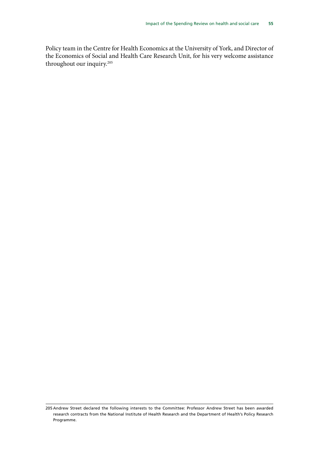Policy team in the Centre for Health Economics at the University of York, and Director of the Economics of Social and Health Care Research Unit, for his very welcome assistance throughout our inquiry.<sup>205</sup>

<sup>205</sup> Andrew Street declared the following interests to the Committee: Professor Andrew Street has been awarded research contracts from the National Institute of Health Research and the Department of Health's Policy Research Programme.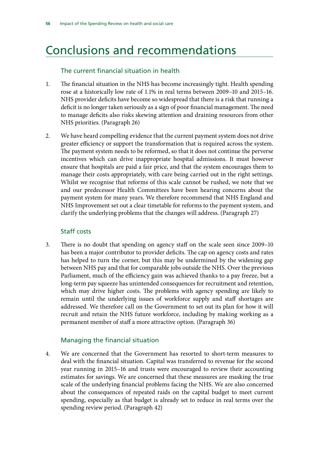## Conclusions and recommendations

#### The current financial situation in health

- 1. The financial situation in the NHS has become increasingly tight. Health spending rose at a historically low rate of 1.1% in real terms between 2009–10 and 2015–16. NHS provider deficits have become so widespread that there is a risk that running a deficit is no longer taken seriously as a sign of poor financial management. The need to manage deficits also risks skewing attention and draining resources from other NHS priorities. (Paragraph 26)
- 2. We have heard compelling evidence that the current payment system does not drive greater efficiency or support the transformation that is required across the system. The payment system needs to be reformed, so that it does not continue the perverse incentives which can drive inappropriate hospital admissions. It must however ensure that hospitals are paid a fair price, and that the system encourages them to manage their costs appropriately, with care being carried out in the right settings. Whilst we recognise that reforms of this scale cannot be rushed, we note that we and our predecessor Health Committees have been hearing concerns about the payment system for many years. We therefore recommend that NHS England and NHS Improvement set out a clear timetable for reforms to the payment system, and clarify the underlying problems that the changes will address. (Paragraph 27)

#### Staff costs

3. There is no doubt that spending on agency staff on the scale seen since 2009–10 has been a major contributor to provider deficits. The cap on agency costs and rates has helped to turn the corner, but this may be undermined by the widening gap between NHS pay and that for comparable jobs outside the NHS. Over the previous Parliament, much of the efficiency gain was achieved thanks to a pay freeze, but a long-term pay squeeze has unintended consequences for recruitment and retention, which may drive higher costs. The problems with agency spending are likely to remain until the underlying issues of workforce supply and staff shortages are addressed. We therefore call on the Government to set out its plan for how it will recruit and retain the NHS future workforce, including by making working as a permanent member of staff a more attractive option. (Paragraph 36)

#### Managing the financial situation

4. We are concerned that the Government has resorted to short-term measures to deal with the financial situation. Capital was transferred to revenue for the second year running in 2015–16 and trusts were encouraged to review their accounting estimates for savings. We are concerned that these measures are masking the true scale of the underlying financial problems facing the NHS. We are also concerned about the consequences of repeated raids on the capital budget to meet current spending, especially as that budget is already set to reduce in real terms over the spending review period. (Paragraph 42)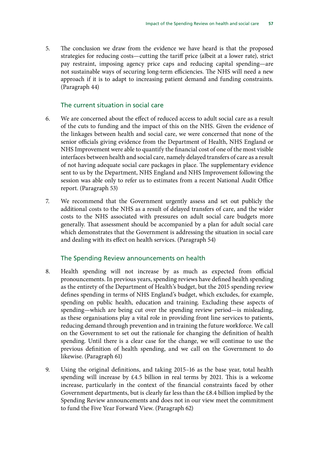5. The conclusion we draw from the evidence we have heard is that the proposed strategies for reducing costs—cutting the tariff price (albeit at a lower rate), strict pay restraint, imposing agency price caps and reducing capital spending—are not sustainable ways of securing long-term efficiencies. The NHS will need a new approach if it is to adapt to increasing patient demand and funding constraints. (Paragraph 44)

#### The current situation in social care

- 6. We are concerned about the effect of reduced access to adult social care as a result of the cuts to funding and the impact of this on the NHS. Given the evidence of the linkages between health and social care, we were concerned that none of the senior officials giving evidence from the Department of Health, NHS England or NHS Improvement were able to quantify the financial cost of one of the most visible interfaces between health and social care, namely delayed transfers of care as a result of not having adequate social care packages in place. The supplementary evidence sent to us by the Department, NHS England and NHS Improvement following the session was able only to refer us to estimates from a recent National Audit Office report. (Paragraph 53)
- 7. We recommend that the Government urgently assess and set out publicly the additional costs to the NHS as a result of delayed transfers of care, and the wider costs to the NHS associated with pressures on adult social care budgets more generally. That assessment should be accompanied by a plan for adult social care which demonstrates that the Government is addressing the situation in social care and dealing with its effect on health services. (Paragraph 54)

#### The Spending Review announcements on health

- 8. Health spending will not increase by as much as expected from official pronouncements. In previous years, spending reviews have defined health spending as the entirety of the Department of Health's budget, but the 2015 spending review defines spending in terms of NHS England's budget, which excludes, for example, spending on public health, education and training. Excluding these aspects of spending—which are being cut over the spending review period—is misleading, as these organisations play a vital role in providing front line services to patients, reducing demand through prevention and in training the future workforce. We call on the Government to set out the rationale for changing the definition of health spending. Until there is a clear case for the change, we will continue to use the previous definition of health spending, and we call on the Government to do likewise. (Paragraph 61)
- 9. Using the original definitions, and taking 2015–16 as the base year, total health spending will increase by £4.5 billion in real terms by 2021. This is a welcome increase, particularly in the context of the financial constraints faced by other Government departments, but is clearly far less than the £8.4 billion implied by the Spending Review announcements and does not in our view meet the commitment to fund the Five Year Forward View. (Paragraph 62)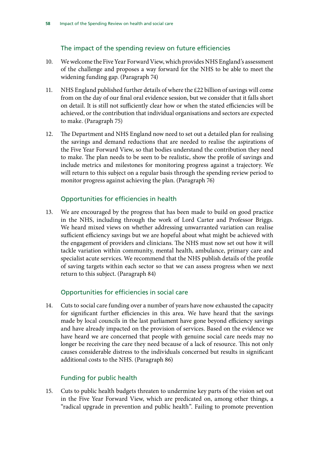## The impact of the spending review on future efficiencies

- 10. We welcome the Five Year Forward View, which provides NHS England's assessment of the challenge and proposes a way forward for the NHS to be able to meet the widening funding gap. (Paragraph 74)
- 11. NHS England published further details of where the £22 billion of savings will come from on the day of our final oral evidence session, but we consider that it falls short on detail. It is still not sufficiently clear how or when the stated efficiencies will be achieved, or the contribution that individual organisations and sectors are expected to make. (Paragraph 75)
- 12. The Department and NHS England now need to set out a detailed plan for realising the savings and demand reductions that are needed to realise the aspirations of the Five Year Forward View, so that bodies understand the contribution they need to make. The plan needs to be seen to be realistic, show the profile of savings and include metrics and milestones for monitoring progress against a trajectory. We will return to this subject on a regular basis through the spending review period to monitor progress against achieving the plan. (Paragraph 76)

## Opportunities for efficiencies in health

13. We are encouraged by the progress that has been made to build on good practice in the NHS, including through the work of Lord Carter and Professor Briggs. We heard mixed views on whether addressing unwarranted variation can realise sufficient efficiency savings but we are hopeful about what might be achieved with the engagement of providers and clinicians. The NHS must now set out how it will tackle variation within community, mental health, ambulance, primary care and specialist acute services. We recommend that the NHS publish details of the profile of saving targets within each sector so that we can assess progress when we next return to this subject. (Paragraph 84)

## Opportunities for efficiencies in social care

14. Cuts to social care funding over a number of years have now exhausted the capacity for significant further efficiencies in this area. We have heard that the savings made by local councils in the last parliament have gone beyond efficiency savings and have already impacted on the provision of services. Based on the evidence we have heard we are concerned that people with genuine social care needs may no longer be receiving the care they need because of a lack of resource. This not only causes considerable distress to the individuals concerned but results in significant additional costs to the NHS. (Paragraph 86)

## Funding for public health

15. Cuts to public health budgets threaten to undermine key parts of the vision set out in the Five Year Forward View, which are predicated on, among other things, a "radical upgrade in prevention and public health". Failing to promote prevention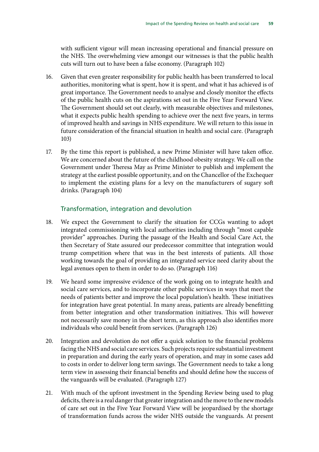with sufficient vigour will mean increasing operational and financial pressure on the NHS. The overwhelming view amongst our witnesses is that the public health cuts will turn out to have been a false economy. (Paragraph 102)

- 16. Given that even greater responsibility for public health has been transferred to local authorities, monitoring what is spent, how it is spent, and what it has achieved is of great importance. The Government needs to analyse and closely monitor the effects of the public health cuts on the aspirations set out in the Five Year Forward View. The Government should set out clearly, with measurable objectives and milestones, what it expects public health spending to achieve over the next five years, in terms of improved health and savings in NHS expenditure. We will return to this issue in future consideration of the financial situation in health and social care. (Paragraph 103)
- 17. By the time this report is published, a new Prime Minister will have taken office. We are concerned about the future of the childhood obesity strategy. We call on the Government under Theresa May as Prime Minister to publish and implement the strategy at the earliest possible opportunity, and on the Chancellor of the Exchequer to implement the existing plans for a levy on the manufacturers of sugary soft drinks. (Paragraph 104)

#### Transformation, integration and devolution

- 18. We expect the Government to clarify the situation for CCGs wanting to adopt integrated commissioning with local authorities including through "most capable provider" approaches. During the passage of the Health and Social Care Act, the then Secretary of State assured our predecessor committee that integration would trump competition where that was in the best interests of patients. All those working towards the goal of providing an integrated service need clarity about the legal avenues open to them in order to do so. (Paragraph 116)
- 19. We heard some impressive evidence of the work going on to integrate health and social care services, and to incorporate other public services in ways that meet the needs of patients better and improve the local population's health. These initiatives for integration have great potential. In many areas, patients are already benefitting from better integration and other transformation initiatives. This will however not necessarily save money in the short term, as this approach also identifies more individuals who could benefit from services. (Paragraph 126)
- 20. Integration and devolution do not offer a quick solution to the financial problems facing the NHS and social care services. Such projects require substantial investment in preparation and during the early years of operation, and may in some cases add to costs in order to deliver long term savings. The Government needs to take a long term view in assessing their financial benefits and should define how the success of the vanguards will be evaluated. (Paragraph 127)
- 21. With much of the upfront investment in the Spending Review being used to plug deficits, there is a real danger that greater integration and the move to the new models of care set out in the Five Year Forward View will be jeopardised by the shortage of transformation funds across the wider NHS outside the vanguards. At present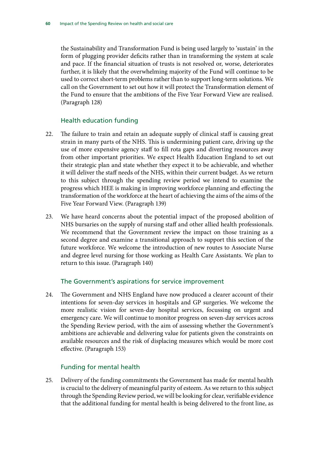the Sustainability and Transformation Fund is being used largely to 'sustain' in the form of plugging provider deficits rather than in transforming the system at scale and pace. If the financial situation of trusts is not resolved or, worse, deteriorates further, it is likely that the overwhelming majority of the Fund will continue to be used to correct short-term problems rather than to support long-term solutions. We call on the Government to set out how it will protect the Transformation element of the Fund to ensure that the ambitions of the Five Year Forward View are realised. (Paragraph 128)

#### Health education funding

- 22. The failure to train and retain an adequate supply of clinical staff is causing great strain in many parts of the NHS. This is undermining patient care, driving up the use of more expensive agency staff to fill rota gaps and diverting resources away from other important priorities. We expect Health Education England to set out their strategic plan and state whether they expect it to be achievable, and whether it will deliver the staff needs of the NHS, within their current budget. As we return to this subject through the spending review period we intend to examine the progress which HEE is making in improving workforce planning and effecting the transformation of the workforce at the heart of achieving the aims of the aims of the Five Year Forward View. (Paragraph 139)
- 23. We have heard concerns about the potential impact of the proposed abolition of NHS bursaries on the supply of nursing staff and other allied health professionals. We recommend that the Government review the impact on those training as a second degree and examine a transitional approach to support this section of the future workforce. We welcome the introduction of new routes to Associate Nurse and degree level nursing for those working as Health Care Assistants. We plan to return to this issue. (Paragraph 140)

## The Government's aspirations for service improvement

24. The Government and NHS England have now produced a clearer account of their intentions for seven-day services in hospitals and GP surgeries. We welcome the more realistic vision for seven-day hospital services, focussing on urgent and emergency care. We will continue to monitor progress on seven-day services across the Spending Review period, with the aim of assessing whether the Government's ambitions are achievable and delivering value for patients given the constraints on available resources and the risk of displacing measures which would be more cost effective. (Paragraph 153)

## Funding for mental health

25. Delivery of the funding commitments the Government has made for mental health is crucial to the delivery of meaningful parity of esteem. As we return to this subject through the Spending Review period, we will be looking for clear, verifiable evidence that the additional funding for mental health is being delivered to the front line, as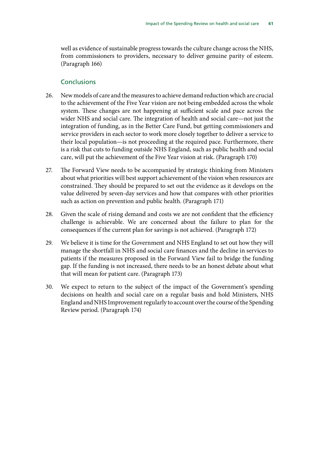well as evidence of sustainable progress towards the culture change across the NHS, from commissioners to providers, necessary to deliver genuine parity of esteem. (Paragraph 166)

#### **Conclusions**

- 26. New models of care and the measures to achieve demand reduction which are crucial to the achievement of the Five Year vision are not being embedded across the whole system. These changes are not happening at sufficient scale and pace across the wider NHS and social care. The integration of health and social care—not just the integration of funding, as in the Better Care Fund, but getting commissioners and service providers in each sector to work more closely together to deliver a service to their local population—is not proceeding at the required pace. Furthermore, there is a risk that cuts to funding outside NHS England, such as public health and social care, will put the achievement of the Five Year vision at risk. (Paragraph 170)
- 27. The Forward View needs to be accompanied by strategic thinking from Ministers about what priorities will best support achievement of the vision when resources are constrained. They should be prepared to set out the evidence as it develops on the value delivered by seven-day services and how that compares with other priorities such as action on prevention and public health. (Paragraph 171)
- 28. Given the scale of rising demand and costs we are not confident that the efficiency challenge is achievable. We are concerned about the failure to plan for the consequences if the current plan for savings is not achieved. (Paragraph 172)
- 29. We believe it is time for the Government and NHS England to set out how they will manage the shortfall in NHS and social care finances and the decline in services to patients if the measures proposed in the Forward View fail to bridge the funding gap. If the funding is not increased, there needs to be an honest debate about what that will mean for patient care. (Paragraph 173)
- 30. We expect to return to the subject of the impact of the Government's spending decisions on health and social care on a regular basis and hold Ministers, NHS England and NHS Improvement regularly to account over the course of the Spending Review period. (Paragraph 174)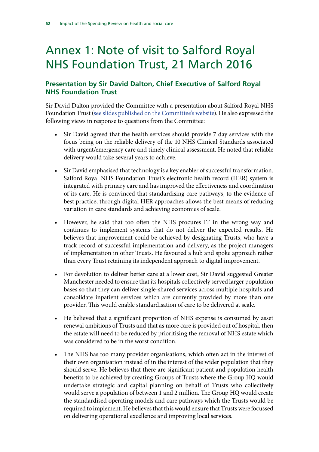## Annex 1: Note of visit to Salford Royal NHS Foundation Trust, 21 March 2016

## **Presentation by Sir David Dalton, Chief Executive of Salford Royal NHS Foundation Trust**

Sir David Dalton provided the Committee with a presentation about Salford Royal NHS Foundation Trust [\(see slides published on the Committee's website](http://www.parliament.uk/documents/commons-committees/Health/Written%20evidence/CSR0111-Sir-David-Dalton-(CSR0111).pdf)). He also expressed the following views in response to questions from the Committee:

- Sir David agreed that the health services should provide 7 day services with the focus being on the reliable delivery of the 10 NHS Clinical Standards associated with urgent/emergency care and timely clinical assessment. He noted that reliable delivery would take several years to achieve.
- Sir David emphasised that technology is a key enabler of successful transformation. Salford Royal NHS Foundation Trust's electronic health record (HER) system is integrated with primary care and has improved the effectiveness and coordination of its care. He is convinced that standardising care pathways, to the evidence of best practice, through digital HER approaches allows the best means of reducing variation in care standards and achieving economies of scale.
- However, he said that too often the NHS procures IT in the wrong way and continues to implement systems that do not deliver the expected results. He believes that improvement could be achieved by designating Trusts, who have a track record of successful implementation and delivery, as the project managers of implementation in other Trusts. He favoured a hub and spoke approach rather than every Trust retaining its independent approach to digital improvement.
- For devolution to deliver better care at a lower cost, Sir David suggested Greater Manchester needed to ensure that its hospitals collectively served larger population bases so that they can deliver single-shared services across multiple hospitals and consolidate inpatient services which are currently provided by more than one provider. This would enable standardisation of care to be delivered at scale.
- He believed that a significant proportion of NHS expense is consumed by asset renewal ambitions of Trusts and that as more care is provided out of hospital, then the estate will need to be reduced by prioritising the removal of NHS estate which was considered to be in the worst condition.
- The NHS has too many provider organisations, which often act in the interest of their own organisation instead of in the interest of the wider population that they should serve. He believes that there are significant patient and population health benefits to be achieved by creating Groups of Trusts where the Group HQ would undertake strategic and capital planning on behalf of Trusts who collectively would serve a population of between 1 and 2 million. The Group HQ would create the standardised operating models and care pathways which the Trusts would be required to implement. He believes that this would ensure that Trusts were focussed on delivering operational excellence and improving local services.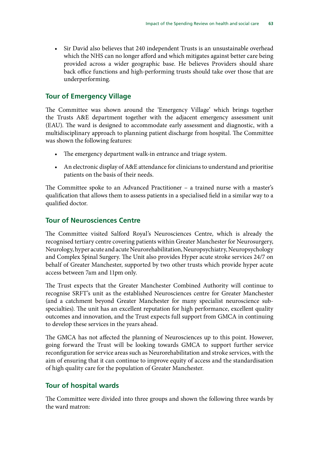• Sir David also believes that 240 independent Trusts is an unsustainable overhead which the NHS can no longer afford and which mitigates against better care being provided across a wider geographic base. He believes Providers should share back office functions and high-performing trusts should take over those that are underperforming.

### **Tour of Emergency Village**

The Committee was shown around the 'Emergency Village' which brings together the Trusts A&E department together with the adjacent emergency assessment unit (EAU). The ward is designed to accommodate early assessment and diagnostic, with a multidisciplinary approach to planning patient discharge from hospital. The Committee was shown the following features:

- The emergency department walk-in entrance and triage system.
- An electronic display of A&E attendance for clinicians to understand and prioritise patients on the basis of their needs.

The Committee spoke to an Advanced Practitioner – a trained nurse with a master's qualification that allows them to assess patients in a specialised field in a similar way to a qualified doctor.

## **Tour of Neurosciences Centre**

The Committee visited Salford Royal's Neurosciences Centre, which is already the recognised tertiary centre covering patients within Greater Manchester for Neurosurgery, Neurology, hyper acute and acute Neurorehabilitation, Neuropsychiatry, Neuropsychology and Complex Spinal Surgery. The Unit also provides Hyper acute stroke services 24/7 on behalf of Greater Manchester, supported by two other trusts which provide hyper acute access between 7am and 11pm only.

The Trust expects that the Greater Manchester Combined Authority will continue to recognise SRFT's unit as the established Neurosciences centre for Greater Manchester (and a catchment beyond Greater Manchester for many specialist neuroscience subspecialties). The unit has an excellent reputation for high performance, excellent quality outcomes and innovation, and the Trust expects full support from GMCA in continuing to develop these services in the years ahead.

The GMCA has not affected the planning of Neurosciences up to this point. However, going forward the Trust will be looking towards GMCA to support further service reconfiguration for service areas such as Neurorehabilitation and stroke services, with the aim of ensuring that it can continue to improve equity of access and the standardisation of high quality care for the population of Greater Manchester.

## **Tour of hospital wards**

The Committee were divided into three groups and shown the following three wards by the ward matron: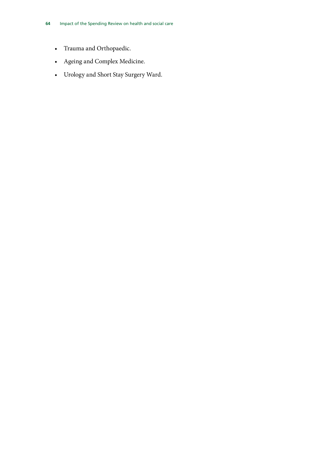- Trauma and Orthopaedic.
- Ageing and Complex Medicine.
- Urology and Short Stay Surgery Ward.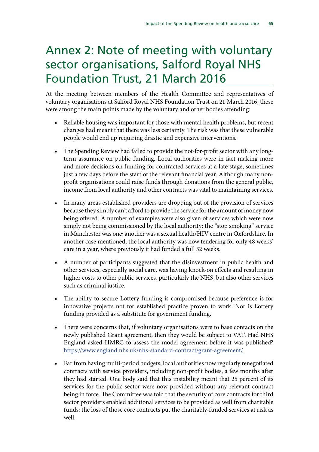## Annex 2: Note of meeting with voluntary sector organisations, Salford Royal NHS Foundation Trust, 21 March 2016

At the meeting between members of the Health Committee and representatives of voluntary organisations at Salford Royal NHS Foundation Trust on 21 March 2016, these were among the main points made by the voluntary and other bodies attending:

- Reliable housing was important for those with mental health problems, but recent changes had meant that there was less certainty. The risk was that these vulnerable people would end up requiring drastic and expensive interventions.
- The Spending Review had failed to provide the not-for-profit sector with any longterm assurance on public funding. Local authorities were in fact making more and more decisions on funding for contracted services at a late stage, sometimes just a few days before the start of the relevant financial year. Although many nonprofit organisations could raise funds through donations from the general public, income from local authority and other contracts was vital to maintaining services.
- In many areas established providers are dropping out of the provision of services because they simply can't afford to provide the service for the amount of money now being offered. A number of examples were also given of services which were now simply not being commissioned by the local authority: the "stop smoking" service in Manchester was one; another was a sexual health/HIV centre in Oxfordshire. In another case mentioned, the local authority was now tendering for only 48 weeks' care in a year, where previously it had funded a full 52 weeks.
- A number of participants suggested that the disinvestment in public health and other services, especially social care, was having knock-on effects and resulting in higher costs to other public services, particularly the NHS, but also other services such as criminal justice.
- The ability to secure Lottery funding is compromised because preference is for innovative projects not for established practice proven to work. Nor is Lottery funding provided as a substitute for government funding.
- There were concerns that, if voluntary organisations were to base contacts on the newly published Grant agreement, then they would be subject to VAT. Had NHS England asked HMRC to assess the model agreement before it was published? <https://www.england.nhs.uk/nhs-standard-contract/grant-agreement/>
- Far from having multi-period budgets, local authorities now regularly renegotiated contracts with service providers, including non-profit bodies, a few months after they had started. One body said that this instability meant that 25 percent of its services for the public sector were now provided without any relevant contract being in force. The Committee was told that the security of core contracts for third sector providers enabled additional services to be provided as well from charitable funds: the loss of those core contracts put the charitably-funded services at risk as well.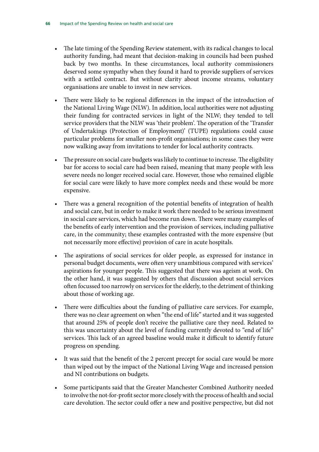- The late timing of the Spending Review statement, with its radical changes to local authority funding, had meant that decision-making in councils had been pushed back by two months. In these circumstances, local authority commissioners deserved some sympathy when they found it hard to provide suppliers of services with a settled contract. But without clarity about income streams, voluntary organisations are unable to invest in new services.
- There were likely to be regional differences in the impact of the introduction of the National Living Wage (NLW). In addition, local authorities were not adjusting their funding for contracted services in light of the NLW; they tended to tell service providers that the NLW was 'their problem'. The operation of the 'Transfer of Undertakings (Protection of Employment)' (TUPE) regulations could cause particular problems for smaller non-profit organisations; in some cases they were now walking away from invitations to tender for local authority contracts.
- The pressure on social care budgets was likely to continue to increase. The eligibility bar for access to social care had been raised, meaning that many people with less severe needs no longer received social care. However, those who remained eligible for social care were likely to have more complex needs and these would be more expensive.
- There was a general recognition of the potential benefits of integration of health and social care, but in order to make it work there needed to be serious investment in social care services, which had become run down. There were many examples of the benefits of early intervention and the provision of services, including palliative care, in the community; these examples contrasted with the more expensive (but not necessarily more effective) provision of care in acute hospitals.
- The aspirations of social services for older people, as expressed for instance in personal budget documents, were often very unambitious compared with services' aspirations for younger people. This suggested that there was ageism at work. On the other hand, it was suggested by others that discussion about social services often focussed too narrowly on services for the elderly, to the detriment of thinking about those of working age.
- There were difficulties about the funding of palliative care services. For example, there was no clear agreement on when "the end of life" started and it was suggested that around 25% of people don't receive the palliative care they need. Related to this was uncertainty about the level of funding currently devoted to "end of life" services. This lack of an agreed baseline would make it difficult to identify future progress on spending.
- It was said that the benefit of the 2 percent precept for social care would be more than wiped out by the impact of the National Living Wage and increased pension and NI contributions on budgets.
- Some participants said that the Greater Manchester Combined Authority needed to involve the not-for-profit sector more closely with the process of health and social care devolution. The sector could offer a new and positive perspective, but did not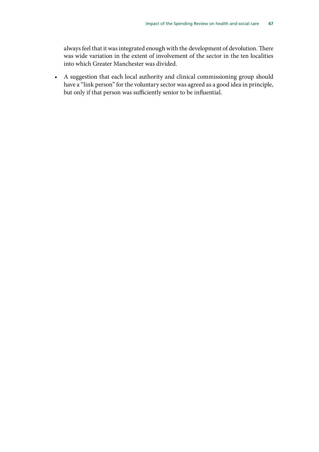always feel that it was integrated enough with the development of devolution. There was wide variation in the extent of involvement of the sector in the ten localities into which Greater Manchester was divided.

• A suggestion that each local authority and clinical commissioning group should have a "link person" for the voluntary sector was agreed as a good idea in principle, but only if that person was sufficiently senior to be influential.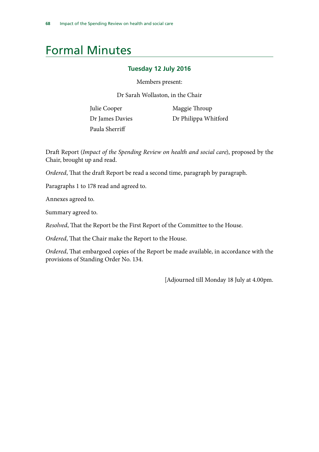## Formal Minutes

#### **Tuesday 12 July 2016**

Members present:

Dr Sarah Wollaston, in the Chair

Julie Cooper Dr James Davies Paula Sherriff

Maggie Throup Dr Philippa Whitford

Draft Report (*Impact of the Spending Review on health and social care*), proposed by the Chair, brought up and read.

*Ordered*, That the draft Report be read a second time, paragraph by paragraph.

Paragraphs 1 to 178 read and agreed to.

Annexes agreed to.

Summary agreed to.

*Resolved*, That the Report be the First Report of the Committee to the House.

*Ordered*, That the Chair make the Report to the House.

*Ordered*, That embargoed copies of the Report be made available, in accordance with the provisions of Standing Order No. 134.

[Adjourned till Monday 18 July at 4.00pm.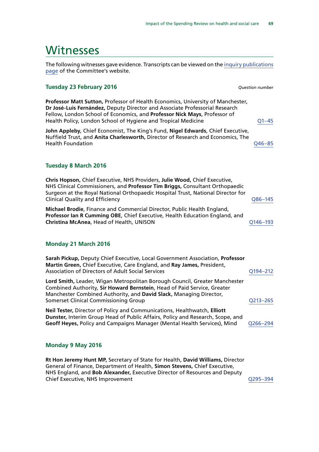### Witnesses

The following witnesses gave evidence. Transcripts can be viewed on the [inquiry publications](http://www.parliament.uk/business/committees/committees-a-z/commons-select/health-committee/inquiries/parliament-2015/impact-comprehensive-spending-review-health-social-care-15-16/publications/) [page](http://www.parliament.uk/business/committees/committees-a-z/commons-select/health-committee/inquiries/parliament-2015/impact-comprehensive-spending-review-health-social-care-15-16/publications/) of the Committee's website.

#### **Tuesday 23 February 2016** *Question number*

**Professor Matt Sutton,** Professor of Health Economics, University of Manchester, **Dr José-Luis Fernández,** Deputy Director and Associate Professorial Research Fellow, London School of Economics, and **Professor Nick Mays**, Professor of Health Policy, London School of Hygiene and Tropical Medicine **COLOGY Propilled**  $Q1-45$ 

**John Appleby**, Chief Economist, The King's Fund, **Nigel Edwards**, Chief Executive, Nuffield Trust, and **Anita Charlesworth,** Director of Research and Economics, The Health Foundation [Q46–85](http://data.parliament.uk/writtenevidence/committeeevidence.svc/evidencedocument/health-committee/impact-of-the-comprehensive-spending-review-on-health-and-social-care/oral/29678.html)

#### **Tuesday 8 March 2016**

**Chris Hopson,** Chief Executive, NHS Providers, **Julie Wood,** Chief Executive, NHS Clinical Commissioners, and **Professor Tim Briggs,** Consultant Orthopaedic Surgeon at the Royal National Orthopaedic Hospital Trust, National Director for Clinical Quality and Efficiency [Q86–145](http://data.parliament.uk/writtenevidence/committeeevidence.svc/evidencedocument/health-committee/impact-of-the-comprehensive-spending-review-on-health-and-social-care/oral/30367.html)

**Michael Brodie**, Finance and Commercial Director, Public Health England, **Professor Ian R Cumming OBE**, Chief Executive, Health Education England, and **Christina McAnea, Head of Health, UNISON CHANGE AND READ COMMUNIST CONSUMINGLY** 

#### **Monday 21 March 2016**

| Sarah Pickup, Deputy Chief Executive, Local Government Association, Professor<br>Martin Green, Chief Executive, Care England, and Ray James, President,<br><b>Association of Directors of Adult Social Services</b>                                                  | Q194-212 |
|----------------------------------------------------------------------------------------------------------------------------------------------------------------------------------------------------------------------------------------------------------------------|----------|
| Lord Smith, Leader, Wigan Metropolitan Borough Council, Greater Manchester<br>Combined Authority, Sir Howard Bernstein, Head of Paid Service, Greater<br>Manchester Combined Authority, and David Slack, Managing Director,<br>Somerset Clinical Commissioning Group | Q213-265 |
| Neil Tester, Director of Policy and Communications, Healthwatch, Elliott<br>Dunster, Interim Group Head of Public Affairs, Policy and Research, Scope, and<br>Geoff Heyes, Policy and Campaigns Manager (Mental Health Services), Mind                               | Q266-294 |

#### **Monday 9 May 2016**

**Rt Hon Jeremy Hunt MP,** Secretary of State for Health, **David Williams,** Director General of Finance, Department of Health, **Simon Stevens,** Chief Executive, NHS England, and **Bob Alexander,** Executive Director of Resources and Deputy Chief Executive, NHS Improvement Chief Chief Executive, NHS Improvement Communications of Cases Chief Chief Chief Chief Chief Chief Chief Chief Chief Chief Chief Chief Chief Chief Chief Chief Chief Chief Chief Chief Chief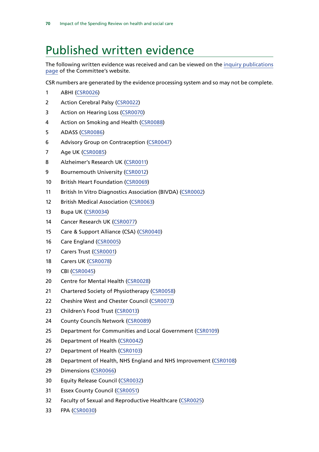## Published written evidence

The following written evidence was received and can be viewed on the [inquiry publications](http://www.parliament.uk/business/committees/committees-a-z/commons-select/health-committee/inquiries/parliament-2015/impact-comprehensive-spending-review-health-social-care-15-16/publications/) [page](http://www.parliament.uk/business/committees/committees-a-z/commons-select/health-committee/inquiries/parliament-2015/impact-comprehensive-spending-review-health-social-care-15-16/publications/) of the Committee's website.

CSR numbers are generated by the evidence processing system and so may not be complete.

- ABHI [\(CSR0026\)](http://data.parliament.uk/WrittenEvidence/CommitteeEvidence.svc/EvidenceDocument/Health/Impact%20of%20the%20Comprehensive%20Spending%20Review%20on%20health%20and%20social%20care/written/27268.html)
- 2 Action Cerebral Palsy [\(CSR0022](http://data.parliament.uk/WrittenEvidence/CommitteeEvidence.svc/EvidenceDocument/Health/Impact%20of%20the%20Comprehensive%20Spending%20Review%20on%20health%20and%20social%20care/written/27263.html))
- Action on Hearing Loss [\(CSR0070](http://data.parliament.uk/WrittenEvidence/CommitteeEvidence.svc/EvidenceDocument/Health/Impact%20of%20the%20Comprehensive%20Spending%20Review%20on%20health%20and%20social%20care/written/27382.html))
- Action on Smoking and Health [\(CSR0088\)](http://data.parliament.uk/WrittenEvidence/CommitteeEvidence.svc/EvidenceDocument/Health/Impact%20of%20the%20Comprehensive%20Spending%20Review%20on%20health%20and%20social%20care/written/27689.html)
- ADASS [\(CSR0086\)](http://data.parliament.uk/WrittenEvidence/CommitteeEvidence.svc/EvidenceDocument/Health/Impact%20of%20the%20Comprehensive%20Spending%20Review%20on%20health%20and%20social%20care/written/27617.html)
- Advisory Group on Contraception [\(CSR0047](http://data.parliament.uk/WrittenEvidence/CommitteeEvidence.svc/EvidenceDocument/Health/Impact%20of%20the%20Comprehensive%20Spending%20Review%20on%20health%20and%20social%20care/written/27338.html))
- Age UK [\(CSR0085](http://data.parliament.uk/WrittenEvidence/CommitteeEvidence.svc/EvidenceDocument/Health/Impact%20of%20the%20Comprehensive%20Spending%20Review%20on%20health%20and%20social%20care/written/27614.html))
- Alzheimer's Research UK ([CSR0011](http://data.parliament.uk/WrittenEvidence/CommitteeEvidence.svc/EvidenceDocument/Health/Impact%20of%20the%20Comprehensive%20Spending%20Review%20on%20health%20and%20social%20care/written/27176.html))
- 9 Bournemouth University [\(CSR0012](http://data.parliament.uk/WrittenEvidence/CommitteeEvidence.svc/EvidenceDocument/Health/Impact%20of%20the%20Comprehensive%20Spending%20Review%20on%20health%20and%20social%20care/written/27180.html))
- British Heart Foundation [\(CSR0069](http://data.parliament.uk/WrittenEvidence/CommitteeEvidence.svc/EvidenceDocument/Health/Impact%20of%20the%20Comprehensive%20Spending%20Review%20on%20health%20and%20social%20care/written/27380.html))
- British In Vitro Diagnostics Association (BIVDA) ([CSR0002\)](http://data.parliament.uk/WrittenEvidence/CommitteeEvidence.svc/EvidenceDocument/Health/Impact%20of%20the%20Comprehensive%20Spending%20Review%20on%20health%20and%20social%20care/written/26840.html)
- 12 British Medical Association ([CSR0063\)](http://data.parliament.uk/WrittenEvidence/CommitteeEvidence.svc/EvidenceDocument/Health/Impact%20of%20the%20Comprehensive%20Spending%20Review%20on%20health%20and%20social%20care/written/27372.html)
- Bupa UK [\(CSR0034](http://data.parliament.uk/WrittenEvidence/CommitteeEvidence.svc/EvidenceDocument/Health/Impact%20of%20the%20Comprehensive%20Spending%20Review%20on%20health%20and%20social%20care/written/27284.html))
- Cancer Research UK [\(CSR0077](http://data.parliament.uk/WrittenEvidence/CommitteeEvidence.svc/EvidenceDocument/Health/Impact%20of%20the%20Comprehensive%20Spending%20Review%20on%20health%20and%20social%20care/written/27392.html))
- Care & Support Alliance (CSA) [\(CSR0040\)](http://data.parliament.uk/WrittenEvidence/CommitteeEvidence.svc/EvidenceDocument/Health/Impact%20of%20the%20Comprehensive%20Spending%20Review%20on%20health%20and%20social%20care/written/27303.html)
- Care England ([CSR0005](http://data.parliament.uk/WrittenEvidence/CommitteeEvidence.svc/EvidenceDocument/Health/Impact%20of%20the%20Comprehensive%20Spending%20Review%20on%20health%20and%20social%20care/written/26959.html))
- Carers Trust [\(CSR0001](http://data.parliament.uk/WrittenEvidence/CommitteeEvidence.svc/EvidenceDocument/Health/Impact%20of%20the%20Comprehensive%20Spending%20Review%20on%20health%20and%20social%20care/written/26801.html))
- Carers UK [\(CSR0078](http://data.parliament.uk/WrittenEvidence/CommitteeEvidence.svc/EvidenceDocument/Health/Impact%20of%20the%20Comprehensive%20Spending%20Review%20on%20health%20and%20social%20care/written/27394.html))
- CBI [\(CSR0045\)](http://data.parliament.uk/WrittenEvidence/CommitteeEvidence.svc/EvidenceDocument/Health/Impact%20of%20the%20Comprehensive%20Spending%20Review%20on%20health%20and%20social%20care/written/27331.html)
- Centre for Mental Health ([CSR0028\)](http://data.parliament.uk/WrittenEvidence/CommitteeEvidence.svc/EvidenceDocument/Health/Impact%20of%20the%20Comprehensive%20Spending%20Review%20on%20health%20and%20social%20care/written/27272.html)
- Chartered Society of Physiotherapy [\(CSR0058](http://data.parliament.uk/WrittenEvidence/CommitteeEvidence.svc/EvidenceDocument/Health/Impact%20of%20the%20Comprehensive%20Spending%20Review%20on%20health%20and%20social%20care/written/27363.html))
- Cheshire West and Chester Council [\(CSR0073\)](http://data.parliament.uk/WrittenEvidence/CommitteeEvidence.svc/EvidenceDocument/Health/Impact%20of%20the%20Comprehensive%20Spending%20Review%20on%20health%20and%20social%20care/written/27385.html)
- Children's Food Trust [\(CSR0013\)](http://data.parliament.uk/WrittenEvidence/CommitteeEvidence.svc/EvidenceDocument/Health/Impact%20of%20the%20Comprehensive%20Spending%20Review%20on%20health%20and%20social%20care/written/27188.html)
- 24 County Councils Network [\(CSR0089](http://data.parliament.uk/WrittenEvidence/CommitteeEvidence.svc/EvidenceDocument/Health/Impact%20of%20the%20Comprehensive%20Spending%20Review%20on%20health%20and%20social%20care/written/27709.html))
- 25 Department for Communities and Local Government ([CSR0109\)](http://data.parliament.uk/WrittenEvidence/CommitteeEvidence.svc/EvidenceDocument/Health/Impact%20of%20the%20Comprehensive%20Spending%20Review%20on%20health%20and%20social%20care/written/34604.html)
- Department of Health [\(CSR0042\)](http://data.parliament.uk/WrittenEvidence/CommitteeEvidence.svc/EvidenceDocument/Health/Impact%20of%20the%20Comprehensive%20Spending%20Review%20on%20health%20and%20social%20care/written/27323.html)
- Department of Health [\(CSR0103\)](http://data.parliament.uk/WrittenEvidence/CommitteeEvidence.svc/EvidenceDocument/Health/Impact%20of%20the%20Comprehensive%20Spending%20Review%20on%20health%20and%20social%20care/written/32845.html)
- Department of Health, NHS England and NHS Improvement ([CSR0108](http://data.parliament.uk/WrittenEvidence/CommitteeEvidence.svc/EvidenceDocument/Health/Impact%20of%20the%20Comprehensive%20Spending%20Review%20on%20health%20and%20social%20care/written/34286.html))
- Dimensions [\(CSR0066\)](http://data.parliament.uk/WrittenEvidence/CommitteeEvidence.svc/EvidenceDocument/Health/Impact%20of%20the%20Comprehensive%20Spending%20Review%20on%20health%20and%20social%20care/written/27376.html)
- Equity Release Council [\(CSR0032](http://data.parliament.uk/WrittenEvidence/CommitteeEvidence.svc/EvidenceDocument/Health/Impact%20of%20the%20Comprehensive%20Spending%20Review%20on%20health%20and%20social%20care/written/27278.html))
- Essex County Council [\(CSR0051](http://data.parliament.uk/WrittenEvidence/CommitteeEvidence.svc/EvidenceDocument/Health/Impact%20of%20the%20Comprehensive%20Spending%20Review%20on%20health%20and%20social%20care/written/27351.html))
- Faculty of Sexual and Reproductive Healthcare [\(CSR0025](http://data.parliament.uk/WrittenEvidence/CommitteeEvidence.svc/EvidenceDocument/Health/Impact%20of%20the%20Comprehensive%20Spending%20Review%20on%20health%20and%20social%20care/written/27267.html))
- FPA ([CSR0030\)](http://data.parliament.uk/WrittenEvidence/CommitteeEvidence.svc/EvidenceDocument/Health/Impact%20of%20the%20Comprehensive%20Spending%20Review%20on%20health%20and%20social%20care/written/27274.html)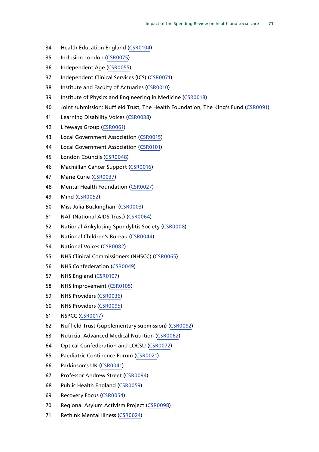- Health Education England [\(CSR0104\)](http://data.parliament.uk/WrittenEvidence/CommitteeEvidence.svc/EvidenceDocument/Health/Impact%20of%20the%20Comprehensive%20Spending%20Review%20on%20health%20and%20social%20care/written/32898.html)
- Inclusion London [\(CSR0075](http://data.parliament.uk/WrittenEvidence/CommitteeEvidence.svc/EvidenceDocument/Health/Impact%20of%20the%20Comprehensive%20Spending%20Review%20on%20health%20and%20social%20care/written/27388.html))
- Independent Age ([CSR0055\)](http://data.parliament.uk/WrittenEvidence/CommitteeEvidence.svc/EvidenceDocument/Health/Impact%20of%20the%20Comprehensive%20Spending%20Review%20on%20health%20and%20social%20care/written/27357.html)
- Independent Clinical Services (ICS) [\(CSR0071](http://data.parliament.uk/WrittenEvidence/CommitteeEvidence.svc/EvidenceDocument/Health/Impact%20of%20the%20Comprehensive%20Spending%20Review%20on%20health%20and%20social%20care/written/27383.html))
- Institute and Faculty of Actuaries [\(CSR0010\)](http://data.parliament.uk/WrittenEvidence/CommitteeEvidence.svc/EvidenceDocument/Health/Impact%20of%20the%20Comprehensive%20Spending%20Review%20on%20health%20and%20social%20care/written/27151.html)
- Institute of Physics and Engineering in Medicine ([CSR0018](http://data.parliament.uk/WrittenEvidence/CommitteeEvidence.svc/EvidenceDocument/Health/Impact%20of%20the%20Comprehensive%20Spending%20Review%20on%20health%20and%20social%20care/written/27246.html))
- Joint submission: Nuffield Trust, The Health Foundation, The King's Fund [\(CSR0091\)](http://data.parliament.uk/WrittenEvidence/CommitteeEvidence.svc/EvidenceDocument/Health/Impact%20of%20the%20Comprehensive%20Spending%20Review%20on%20health%20and%20social%20care/written/28159.html)
- Learning Disability Voices [\(CSR0038\)](http://data.parliament.uk/WrittenEvidence/CommitteeEvidence.svc/EvidenceDocument/Health/Impact%20of%20the%20Comprehensive%20Spending%20Review%20on%20health%20and%20social%20care/written/27295.html)
- Lifeways Group ([CSR0061\)](http://data.parliament.uk/WrittenEvidence/CommitteeEvidence.svc/EvidenceDocument/Health/Impact%20of%20the%20Comprehensive%20Spending%20Review%20on%20health%20and%20social%20care/written/27369.html)
- Local Government Association [\(CSR0015](http://data.parliament.uk/WrittenEvidence/CommitteeEvidence.svc/EvidenceDocument/Health/Impact%20of%20the%20Comprehensive%20Spending%20Review%20on%20health%20and%20social%20care/written/27203.html))
- Local Government Association [\(CSR0101](http://data.parliament.uk/WrittenEvidence/CommitteeEvidence.svc/EvidenceDocument/Health/Impact%20of%20the%20Comprehensive%20Spending%20Review%20on%20health%20and%20social%20care/written/31672.html))
- London Councils [\(CSR0048\)](http://data.parliament.uk/WrittenEvidence/CommitteeEvidence.svc/EvidenceDocument/Health/Impact%20of%20the%20Comprehensive%20Spending%20Review%20on%20health%20and%20social%20care/written/27340.html)
- Macmillan Cancer Support [\(CSR0016\)](http://data.parliament.uk/WrittenEvidence/CommitteeEvidence.svc/EvidenceDocument/Health/Impact%20of%20the%20Comprehensive%20Spending%20Review%20on%20health%20and%20social%20care/written/27234.html)
- Marie Curie ([CSR0037\)](http://data.parliament.uk/WrittenEvidence/CommitteeEvidence.svc/EvidenceDocument/Health/Impact%20of%20the%20Comprehensive%20Spending%20Review%20on%20health%20and%20social%20care/written/27294.html)
- Mental Health Foundation ([CSR0027\)](http://data.parliament.uk/WrittenEvidence/CommitteeEvidence.svc/EvidenceDocument/Health/Impact%20of%20the%20Comprehensive%20Spending%20Review%20on%20health%20and%20social%20care/written/27271.html)
- Mind ([CSR0052\)](http://data.parliament.uk/WrittenEvidence/CommitteeEvidence.svc/EvidenceDocument/Health/Impact%20of%20the%20Comprehensive%20Spending%20Review%20on%20health%20and%20social%20care/written/27352.html)
- Miss Julia Buckingham [\(CSR0003](http://data.parliament.uk/WrittenEvidence/CommitteeEvidence.svc/EvidenceDocument/Health/Impact%20of%20the%20Comprehensive%20Spending%20Review%20on%20health%20and%20social%20care/written/26908.html))
- NAT (National AIDS Trust) [\(CSR0064\)](http://data.parliament.uk/WrittenEvidence/CommitteeEvidence.svc/EvidenceDocument/Health/Impact%20of%20the%20Comprehensive%20Spending%20Review%20on%20health%20and%20social%20care/written/27374.html)
- National Ankylosing Spondylitis Society [\(CSR0008\)](http://data.parliament.uk/WrittenEvidence/CommitteeEvidence.svc/EvidenceDocument/Health/Impact%20of%20the%20Comprehensive%20Spending%20Review%20on%20health%20and%20social%20care/written/27094.html)
- National Children's Bureau [\(CSR0044\)](http://data.parliament.uk/WrittenEvidence/CommitteeEvidence.svc/EvidenceDocument/Health/Impact%20of%20the%20Comprehensive%20Spending%20Review%20on%20health%20and%20social%20care/written/27329.html)
- National Voices [\(CSR0082\)](http://data.parliament.uk/WrittenEvidence/CommitteeEvidence.svc/EvidenceDocument/Health/Impact%20of%20the%20Comprehensive%20Spending%20Review%20on%20health%20and%20social%20care/written/27552.html)
- NHS Clinical Commissioners (NHSCC) ([CSR0065\)](http://data.parliament.uk/WrittenEvidence/CommitteeEvidence.svc/EvidenceDocument/Health/Impact%20of%20the%20Comprehensive%20Spending%20Review%20on%20health%20and%20social%20care/written/27375.html)
- NHS Confederation ([CSR0049](http://data.parliament.uk/WrittenEvidence/CommitteeEvidence.svc/EvidenceDocument/Health/Impact%20of%20the%20Comprehensive%20Spending%20Review%20on%20health%20and%20social%20care/written/27341.html))
- NHS England [\(CSR0107](http://www.parliament.uk/documents/commons-committees/Health/CSR0107-NHS-England-TT(CSR0107).pdf))
- NHS Improvement ([CSR0105](http://data.parliament.uk/WrittenEvidence/CommitteeEvidence.svc/EvidenceDocument/Health/Impact%20of%20the%20Comprehensive%20Spending%20Review%20on%20health%20and%20social%20care/written/32899.html))
- NHS Providers [\(CSR0036\)](http://data.parliament.uk/WrittenEvidence/CommitteeEvidence.svc/EvidenceDocument/Health/Impact%20of%20the%20Comprehensive%20Spending%20Review%20on%20health%20and%20social%20care/written/27288.html)
- NHS Providers [\(CSR0095](http://data.parliament.uk/WrittenEvidence/CommitteeEvidence.svc/EvidenceDocument/Health/Impact%20of%20the%20Comprehensive%20Spending%20Review%20on%20health%20and%20social%20care/written/29897.html))
- NSPCC ([CSR0017\)](http://data.parliament.uk/WrittenEvidence/CommitteeEvidence.svc/EvidenceDocument/Health/Impact%20of%20the%20Comprehensive%20Spending%20Review%20on%20health%20and%20social%20care/written/27236.html)
- Nuffield Trust (supplementary submission) [\(CSR0092](http://data.parliament.uk/WrittenEvidence/CommitteeEvidence.svc/EvidenceDocument/Health/Impact%20of%20the%20Comprehensive%20Spending%20Review%20on%20health%20and%20social%20care/written/28935.html))
- Nutricia: Advanced Medical Nutrition [\(CSR0062](http://data.parliament.uk/WrittenEvidence/CommitteeEvidence.svc/EvidenceDocument/Health/Impact%20of%20the%20Comprehensive%20Spending%20Review%20on%20health%20and%20social%20care/written/27370.html))
- Optical Confederation and LOCSU [\(CSR0072](http://data.parliament.uk/WrittenEvidence/CommitteeEvidence.svc/EvidenceDocument/Health/Impact%20of%20the%20Comprehensive%20Spending%20Review%20on%20health%20and%20social%20care/written/27384.html))
- Paediatric Continence Forum [\(CSR0021](http://data.parliament.uk/WrittenEvidence/CommitteeEvidence.svc/EvidenceDocument/Health/Impact%20of%20the%20Comprehensive%20Spending%20Review%20on%20health%20and%20social%20care/written/27261.html))
- Parkinson's UK [\(CSR0041\)](http://data.parliament.uk/WrittenEvidence/CommitteeEvidence.svc/EvidenceDocument/Health/Impact%20of%20the%20Comprehensive%20Spending%20Review%20on%20health%20and%20social%20care/written/27321.html)
- Professor Andrew Street [\(CSR0094\)](http://data.parliament.uk/WrittenEvidence/CommitteeEvidence.svc/EvidenceDocument/Health/Impact%20of%20the%20Comprehensive%20Spending%20Review%20on%20health%20and%20social%20care/written/29068.html)
- Public Health England [\(CSR0059](http://data.parliament.uk/WrittenEvidence/CommitteeEvidence.svc/EvidenceDocument/Health/Impact%20of%20the%20Comprehensive%20Spending%20Review%20on%20health%20and%20social%20care/written/27365.html))
- Recovery Focus [\(CSR0054](http://data.parliament.uk/WrittenEvidence/CommitteeEvidence.svc/EvidenceDocument/Health/Impact%20of%20the%20Comprehensive%20Spending%20Review%20on%20health%20and%20social%20care/written/27355.html))
- Regional Asylum Activism Project [\(CSR0098\)](http://data.parliament.uk/WrittenEvidence/CommitteeEvidence.svc/EvidenceDocument/Health/Impact%20of%20the%20Comprehensive%20Spending%20Review%20on%20health%20and%20social%20care/written/31432.html)
- Rethink Mental Illness ([CSR0024](http://data.parliament.uk/WrittenEvidence/CommitteeEvidence.svc/EvidenceDocument/Health/Impact%20of%20the%20Comprehensive%20Spending%20Review%20on%20health%20and%20social%20care/written/27265.html))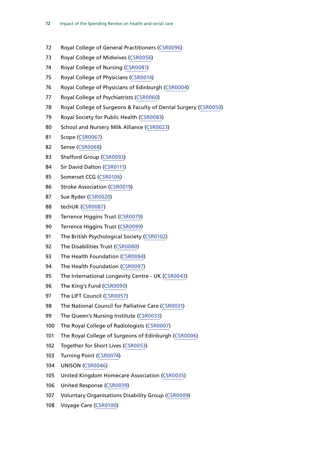- Royal College of General Practitioners ([CSR0096](http://data.parliament.uk/WrittenEvidence/CommitteeEvidence.svc/EvidenceDocument/Health/Impact%20of%20the%20Comprehensive%20Spending%20Review%20on%20health%20and%20social%20care/written/29940.html))
- Royal College of Midwives [\(CSR0056\)](http://data.parliament.uk/WrittenEvidence/CommitteeEvidence.svc/EvidenceDocument/Health/Impact%20of%20the%20Comprehensive%20Spending%20Review%20on%20health%20and%20social%20care/written/27360.html)
- Royal College of Nursing ([CSR0081](http://data.parliament.uk/WrittenEvidence/CommitteeEvidence.svc/EvidenceDocument/Health/Impact%20of%20the%20Comprehensive%20Spending%20Review%20on%20health%20and%20social%20care/written/27547.html))
- Royal College of Physicians [\(CSR0014\)](http://data.parliament.uk/WrittenEvidence/CommitteeEvidence.svc/EvidenceDocument/Health/Impact%20of%20the%20Comprehensive%20Spending%20Review%20on%20health%20and%20social%20care/written/27192.html)
- Royal College of Physicians of Edinburgh ([CSR0004](http://data.parliament.uk/WrittenEvidence/CommitteeEvidence.svc/EvidenceDocument/Health/Impact%20of%20the%20Comprehensive%20Spending%20Review%20on%20health%20and%20social%20care/written/26950.html))
- Royal College of Psychiatrists [\(CSR0060\)](http://data.parliament.uk/WrittenEvidence/CommitteeEvidence.svc/EvidenceDocument/Health/Impact%20of%20the%20Comprehensive%20Spending%20Review%20on%20health%20and%20social%20care/written/27368.html)
- Royal College of Surgeons & Faculty of Dental Surgery ([CSR0050](http://data.parliament.uk/WrittenEvidence/CommitteeEvidence.svc/EvidenceDocument/Health/Impact%20of%20the%20Comprehensive%20Spending%20Review%20on%20health%20and%20social%20care/written/27346.html))
- 79 Royal Society for Public Health [\(CSR0083](http://data.parliament.uk/WrittenEvidence/CommitteeEvidence.svc/EvidenceDocument/Health/Impact%20of%20the%20Comprehensive%20Spending%20Review%20on%20health%20and%20social%20care/written/27561.html))
- 80 School and Nursery Milk Alliance [\(CSR0023](http://data.parliament.uk/WrittenEvidence/CommitteeEvidence.svc/EvidenceDocument/Health/Impact%20of%20the%20Comprehensive%20Spending%20Review%20on%20health%20and%20social%20care/written/27264.html))
- Scope ([CSR0067](http://data.parliament.uk/WrittenEvidence/CommitteeEvidence.svc/EvidenceDocument/Health/Impact%20of%20the%20Comprehensive%20Spending%20Review%20on%20health%20and%20social%20care/written/27377.html))
- Sense ([CSR0068](http://data.parliament.uk/WrittenEvidence/CommitteeEvidence.svc/EvidenceDocument/Health/Impact%20of%20the%20Comprehensive%20Spending%20Review%20on%20health%20and%20social%20care/written/27378.html))
- Shelford Group [\(CSR0093](http://data.parliament.uk/WrittenEvidence/CommitteeEvidence.svc/EvidenceDocument/Health/Impact%20of%20the%20Comprehensive%20Spending%20Review%20on%20health%20and%20social%20care/written/29046.html))
- Sir David Dalton ([CSR0111](http://www.parliament.uk/documents/commons-committees/Health/Written evidence/CSR0111-Sir-David-Dalton-(CSR0111).pdf))
- Somerset CCG [\(CSR0106](http://data.parliament.uk/WrittenEvidence/CommitteeEvidence.svc/EvidenceDocument/Health/Impact%20of%20the%20Comprehensive%20Spending%20Review%20on%20health%20and%20social%20care/written/33102.html))
- Stroke Association [\(CSR0019](http://data.parliament.uk/WrittenEvidence/CommitteeEvidence.svc/EvidenceDocument/Health/Impact%20of%20the%20Comprehensive%20Spending%20Review%20on%20health%20and%20social%20care/written/27253.html))
- Sue Ryder ([CSR0020\)](http://data.parliament.uk/WrittenEvidence/CommitteeEvidence.svc/EvidenceDocument/Health/Impact%20of%20the%20Comprehensive%20Spending%20Review%20on%20health%20and%20social%20care/written/27258.html)
- techUK [\(CSR0087\)](http://data.parliament.uk/WrittenEvidence/CommitteeEvidence.svc/EvidenceDocument/Health/Impact%20of%20the%20Comprehensive%20Spending%20Review%20on%20health%20and%20social%20care/written/27662.html)
- Terrence Higgins Trust [\(CSR0079](http://data.parliament.uk/WrittenEvidence/CommitteeEvidence.svc/EvidenceDocument/Health/Impact%20of%20the%20Comprehensive%20Spending%20Review%20on%20health%20and%20social%20care/written/27395.html))
- Terrence Higgins Trust [\(CSR0099](http://data.parliament.uk/WrittenEvidence/CommitteeEvidence.svc/EvidenceDocument/Health/Impact%20of%20the%20Comprehensive%20Spending%20Review%20on%20health%20and%20social%20care/written/31436.html))
- 91 The British Psychological Society [\(CSR0102](http://data.parliament.uk/WrittenEvidence/CommitteeEvidence.svc/EvidenceDocument/Health/Impact%20of%20the%20Comprehensive%20Spending%20Review%20on%20health%20and%20social%20care/written/32494.html))
- 92 The Disabilities Trust ([CSR0080](http://data.parliament.uk/WrittenEvidence/CommitteeEvidence.svc/EvidenceDocument/Health/Impact%20of%20the%20Comprehensive%20Spending%20Review%20on%20health%20and%20social%20care/written/27402.html))
- The Health Foundation ([CSR0084](http://data.parliament.uk/WrittenEvidence/CommitteeEvidence.svc/EvidenceDocument/Health/Impact%20of%20the%20Comprehensive%20Spending%20Review%20on%20health%20and%20social%20care/written/27581.html))
- The Health Foundation ([CSR0097\)](http://data.parliament.uk/WrittenEvidence/CommitteeEvidence.svc/EvidenceDocument/Health/Impact%20of%20the%20Comprehensive%20Spending%20Review%20on%20health%20and%20social%20care/written/29950.html)
- 95 The International Longevity Centre UK [\(CSR0043\)](http://data.parliament.uk/WrittenEvidence/CommitteeEvidence.svc/EvidenceDocument/Health/Impact%20of%20the%20Comprehensive%20Spending%20Review%20on%20health%20and%20social%20care/written/27326.html)
- The King's Fund [\(CSR0090](http://data.parliament.uk/WrittenEvidence/CommitteeEvidence.svc/EvidenceDocument/Health/Impact%20of%20the%20Comprehensive%20Spending%20Review%20on%20health%20and%20social%20care/written/27767.html))
- 97 The LIFT Council ([CSR0057\)](http://data.parliament.uk/WrittenEvidence/CommitteeEvidence.svc/EvidenceDocument/Health/Impact%20of%20the%20Comprehensive%20Spending%20Review%20on%20health%20and%20social%20care/written/27361.html)
- 98 The National Council for Palliative Care [\(CSR0031](http://data.parliament.uk/WrittenEvidence/CommitteeEvidence.svc/EvidenceDocument/Health/Impact%20of%20the%20Comprehensive%20Spending%20Review%20on%20health%20and%20social%20care/written/27276.html))
- 99 The Queen's Nursing Institute ([CSR0033\)](http://data.parliament.uk/WrittenEvidence/CommitteeEvidence.svc/EvidenceDocument/Health/Impact%20of%20the%20Comprehensive%20Spending%20Review%20on%20health%20and%20social%20care/written/27279.html)
- The Royal College of Radiologists [\(CSR0007](http://data.parliament.uk/WrittenEvidence/CommitteeEvidence.svc/EvidenceDocument/Health/Impact%20of%20the%20Comprehensive%20Spending%20Review%20on%20health%20and%20social%20care/written/26991.html))
- The Royal College of Surgeons of Edinburgh [\(CSR0006\)](http://data.parliament.uk/WrittenEvidence/CommitteeEvidence.svc/EvidenceDocument/Health/Impact%20of%20the%20Comprehensive%20Spending%20Review%20on%20health%20and%20social%20care/written/26963.html)
- Together for Short Lives [\(CSR0053](http://data.parliament.uk/WrittenEvidence/CommitteeEvidence.svc/EvidenceDocument/Health/Impact%20of%20the%20Comprehensive%20Spending%20Review%20on%20health%20and%20social%20care/written/27354.html))
- Turning Point ([CSR0074\)](http://data.parliament.uk/WrittenEvidence/CommitteeEvidence.svc/EvidenceDocument/Health/Impact%20of%20the%20Comprehensive%20Spending%20Review%20on%20health%20and%20social%20care/written/27387.html)
- UNISON [\(CSR0046\)](http://data.parliament.uk/WrittenEvidence/CommitteeEvidence.svc/EvidenceDocument/Health/Impact%20of%20the%20Comprehensive%20Spending%20Review%20on%20health%20and%20social%20care/written/27336.html)
- United Kingdom Homecare Association ([CSR0035\)](http://data.parliament.uk/WrittenEvidence/CommitteeEvidence.svc/EvidenceDocument/Health/Impact%20of%20the%20Comprehensive%20Spending%20Review%20on%20health%20and%20social%20care/written/27286.html)
- United Response ([CSR0039\)](http://data.parliament.uk/WrittenEvidence/CommitteeEvidence.svc/EvidenceDocument/Health/Impact%20of%20the%20Comprehensive%20Spending%20Review%20on%20health%20and%20social%20care/written/27298.html)
- 107 Voluntary Organisations Disability Group [\(CSR0009\)](http://data.parliament.uk/WrittenEvidence/CommitteeEvidence.svc/EvidenceDocument/Health/Impact%20of%20the%20Comprehensive%20Spending%20Review%20on%20health%20and%20social%20care/written/27135.html)
- Voyage Care [\(CSR0100\)](http://data.parliament.uk/WrittenEvidence/CommitteeEvidence.svc/EvidenceDocument/Health/Impact%20of%20the%20Comprehensive%20Spending%20Review%20on%20health%20and%20social%20care/written/31670.html)